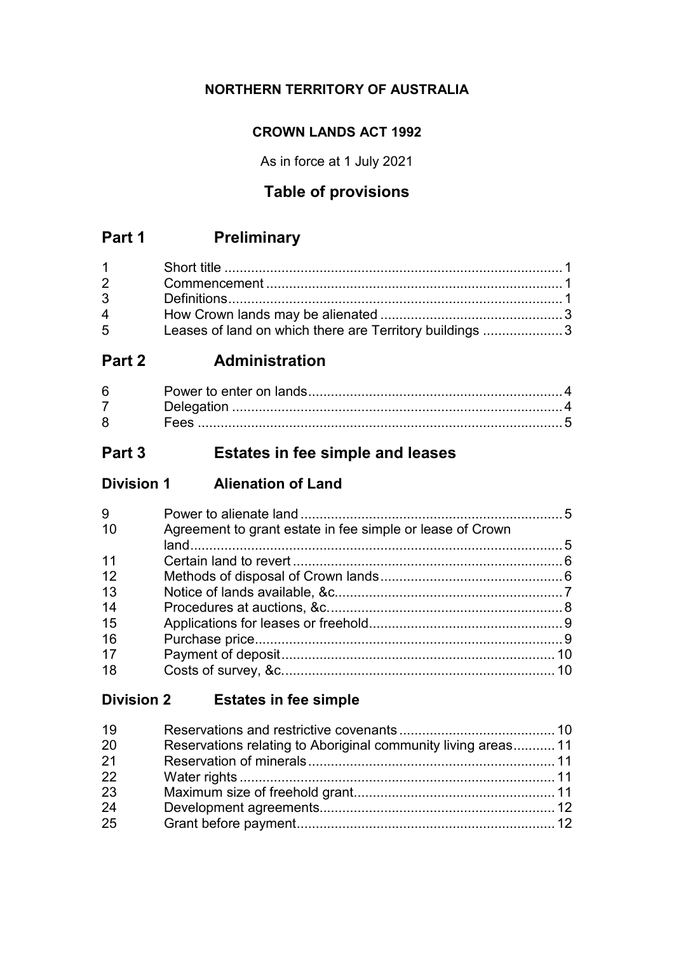## **NORTHERN TERRITORY OF AUSTRALIA**

### **CROWN LANDS ACT 1992**

As in force at 1 July 2021

# **Table of provisions**

# **Part 1 Preliminary**

| $1 \quad \blacksquare$         |                                                         |  |
|--------------------------------|---------------------------------------------------------|--|
| $2 \left( \frac{1}{2} \right)$ |                                                         |  |
| $3^{\circ}$                    |                                                         |  |
| $\overline{4}$                 |                                                         |  |
| $5^{\circ}$                    | Leases of land on which there are Territory buildings 3 |  |

# **Part 2 Administration**

| 6 |  |
|---|--|
|   |  |
|   |  |

# **Part 3 Estates in fee simple and leases**

**Division 1 Alienation of Land**

| 9   |                                                           |  |
|-----|-----------------------------------------------------------|--|
| -10 | Agreement to grant estate in fee simple or lease of Crown |  |
|     |                                                           |  |
| 11  |                                                           |  |
| 12  |                                                           |  |
| 13  |                                                           |  |
| 14  |                                                           |  |
| 15  |                                                           |  |
| 16  |                                                           |  |
| 17  |                                                           |  |
| 18  |                                                           |  |

# **Division 2 Estates in fee simple**

| Reservations relating to Aboriginal community living areas 11 |
|---------------------------------------------------------------|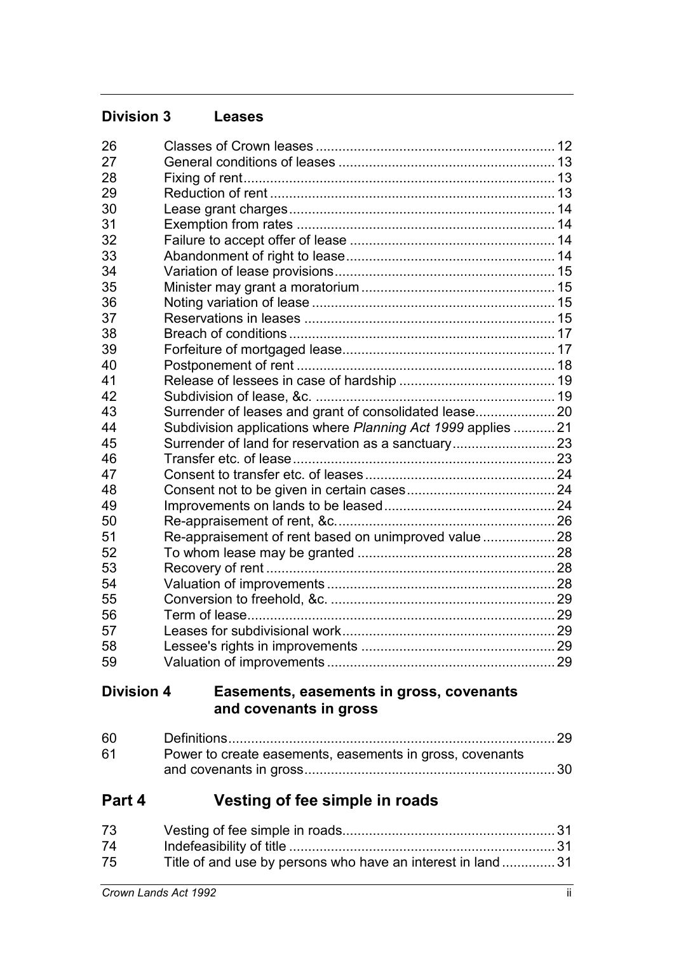| <b>Division 3</b> | <b>Leases</b>                                                |  |
|-------------------|--------------------------------------------------------------|--|
| 26                |                                                              |  |
| 27                |                                                              |  |
| 28                |                                                              |  |
| 29                |                                                              |  |
| 30                |                                                              |  |
| 31                |                                                              |  |
| 32                |                                                              |  |
| 33                |                                                              |  |
| 34                |                                                              |  |
| 35                |                                                              |  |
| 36                |                                                              |  |
| 37                |                                                              |  |
| 38                |                                                              |  |
| 39                |                                                              |  |
| 40                |                                                              |  |
| 41                |                                                              |  |
| 42                |                                                              |  |
| 43                | Surrender of leases and grant of consolidated lease 20       |  |
| 44                | Subdivision applications where Planning Act 1999 applies  21 |  |
| 45                |                                                              |  |
| 46                |                                                              |  |
| 47                |                                                              |  |
| 48                |                                                              |  |
| 49                |                                                              |  |
| 50                |                                                              |  |
| 51                | Re-appraisement of rent based on unimproved value  28        |  |
| 52                |                                                              |  |
| 53                |                                                              |  |
| 54                |                                                              |  |
| 55                |                                                              |  |
| 56                |                                                              |  |
| 57                |                                                              |  |
| 58                |                                                              |  |
| 59                |                                                              |  |
| <b>Division 4</b> | Easements, easements in gross, covenants                     |  |

# **and covenants in gross**

| 61 | Power to create easements, easements in gross, covenants |  |
|----|----------------------------------------------------------|--|
|    |                                                          |  |

# **Part 4 Vesting of fee simple in roads**

| 73 |                                                             |  |
|----|-------------------------------------------------------------|--|
| 74 |                                                             |  |
| 75 | Title of and use by persons who have an interest in land 31 |  |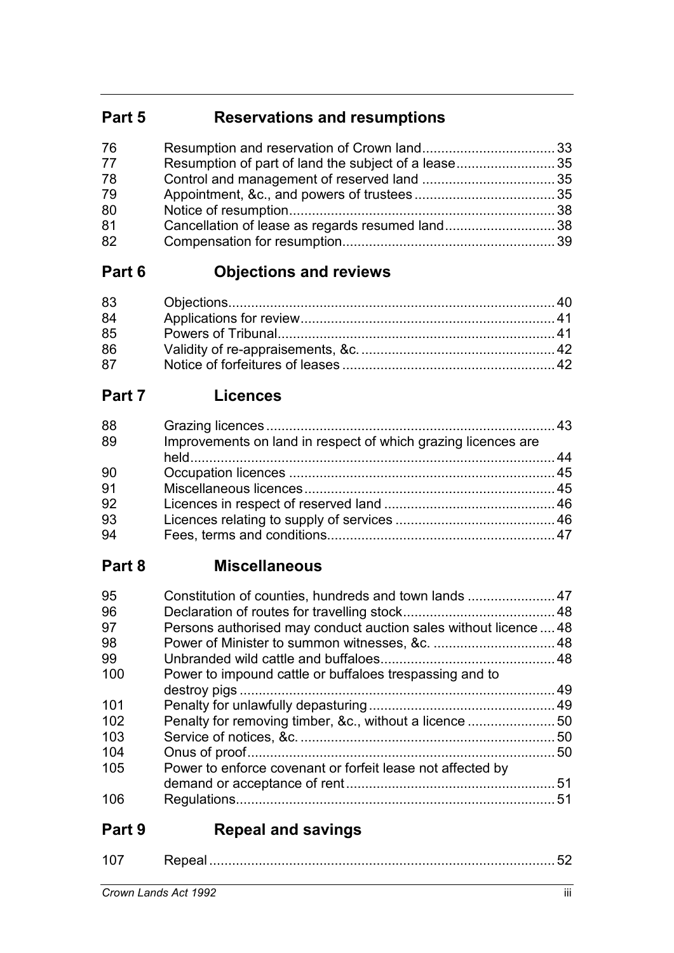# **Part 5 Reservations and resumptions**

| 76 |                                                     |  |
|----|-----------------------------------------------------|--|
| 77 | Resumption of part of land the subject of a lease35 |  |
| 78 |                                                     |  |
| 79 |                                                     |  |
| 80 |                                                     |  |
| 81 | Cancellation of lease as regards resumed land38     |  |
| 82 |                                                     |  |

# **Part 6 Objections and reviews**

| 83 |  |
|----|--|
| 84 |  |
| 85 |  |
| 86 |  |
| 87 |  |

# **Part 7 Licences**

| 88 |                                                               |  |
|----|---------------------------------------------------------------|--|
| 89 | Improvements on land in respect of which grazing licences are |  |
|    |                                                               |  |
| 90 |                                                               |  |
| 91 |                                                               |  |
| 92 |                                                               |  |
| 93 |                                                               |  |
| 94 |                                                               |  |

# **Part 8 Miscellaneous**

| 95  |                                                                  |    |
|-----|------------------------------------------------------------------|----|
| 96  |                                                                  |    |
| 97  | Persons authorised may conduct auction sales without licence  48 |    |
| 98  |                                                                  |    |
| 99  |                                                                  |    |
| 100 | Power to impound cattle or buffaloes trespassing and to          |    |
|     |                                                                  | 49 |
| 101 |                                                                  |    |
| 102 |                                                                  |    |
| 103 |                                                                  |    |
| 104 |                                                                  | 50 |
| 105 | Power to enforce covenant or forfeit lease not affected by       |    |
|     |                                                                  |    |
| 106 |                                                                  | 51 |

# **Part 9 Repeal and savings**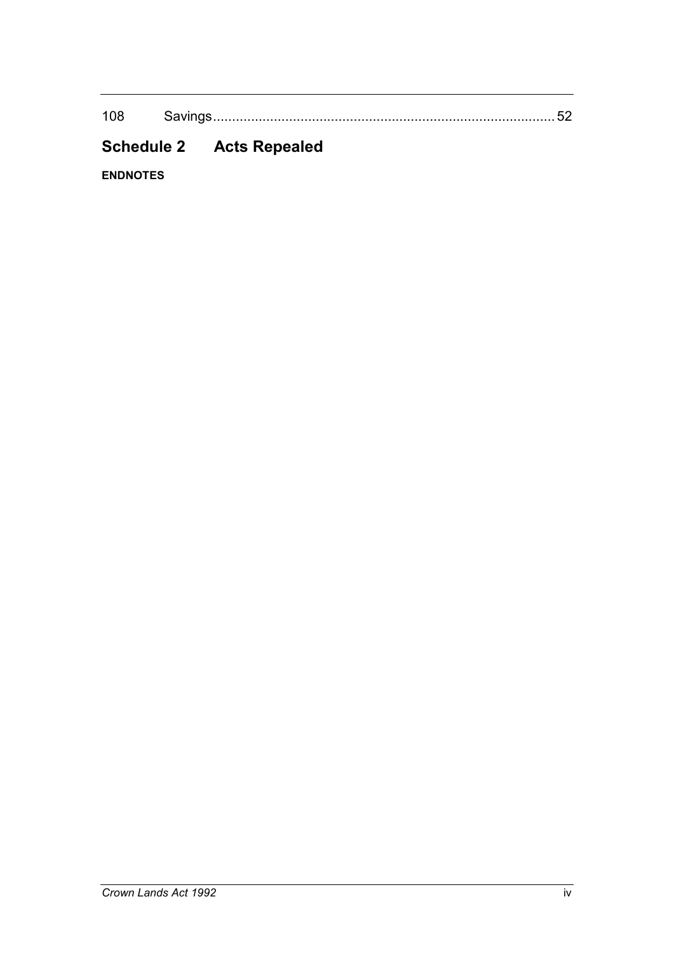108 Savings.......................................................................................... 52

# **Schedule 2 Acts Repealed**

**ENDNOTES**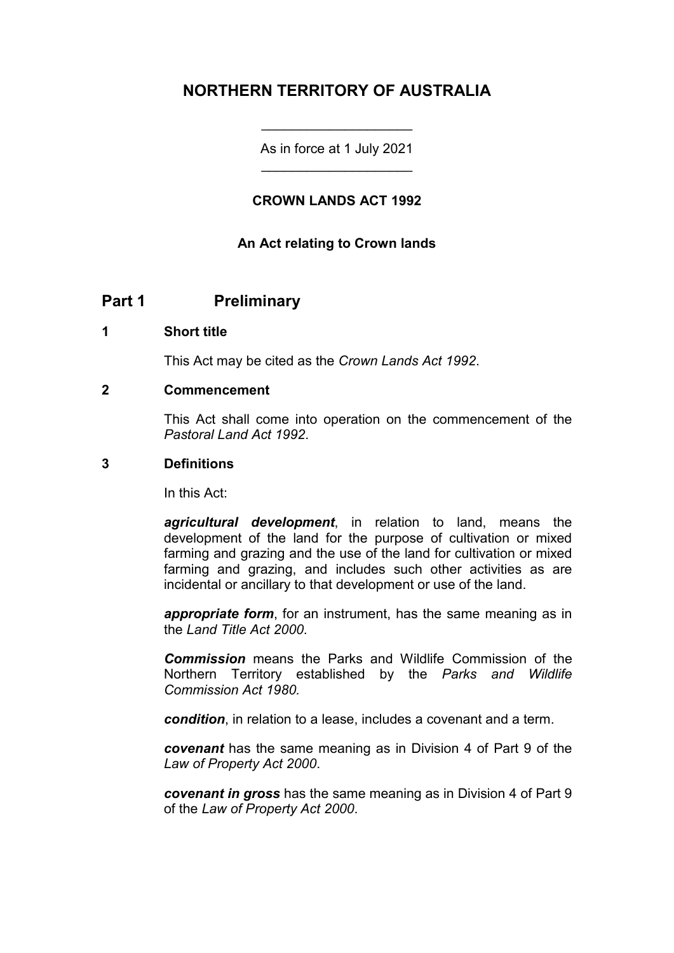# **NORTHERN TERRITORY OF AUSTRALIA**

As in force at 1 July 2021 \_\_\_\_\_\_\_\_\_\_\_\_\_\_\_\_\_\_\_\_

\_\_\_\_\_\_\_\_\_\_\_\_\_\_\_\_\_\_\_\_

#### **CROWN LANDS ACT 1992**

#### **An Act relating to Crown lands**

### **Part 1 Preliminary**

#### **1 Short title**

This Act may be cited as the *Crown Lands Act 1992*.

#### **2 Commencement**

This Act shall come into operation on the commencement of the *Pastoral Land Act 1992*.

#### **3 Definitions**

In this Act:

*agricultural development*, in relation to land, means the development of the land for the purpose of cultivation or mixed farming and grazing and the use of the land for cultivation or mixed farming and grazing, and includes such other activities as are incidental or ancillary to that development or use of the land.

*appropriate form*, for an instrument, has the same meaning as in the *Land Title Act 2000*.

*Commission* means the Parks and Wildlife Commission of the Northern Territory established by the *Parks and Wildlife Commission Act 1980.*

*condition*, in relation to a lease, includes a covenant and a term.

*covenant* has the same meaning as in Division 4 of Part 9 of the *Law of Property Act 2000*.

*covenant in gross* has the same meaning as in Division 4 of Part 9 of the *Law of Property Act 2000*.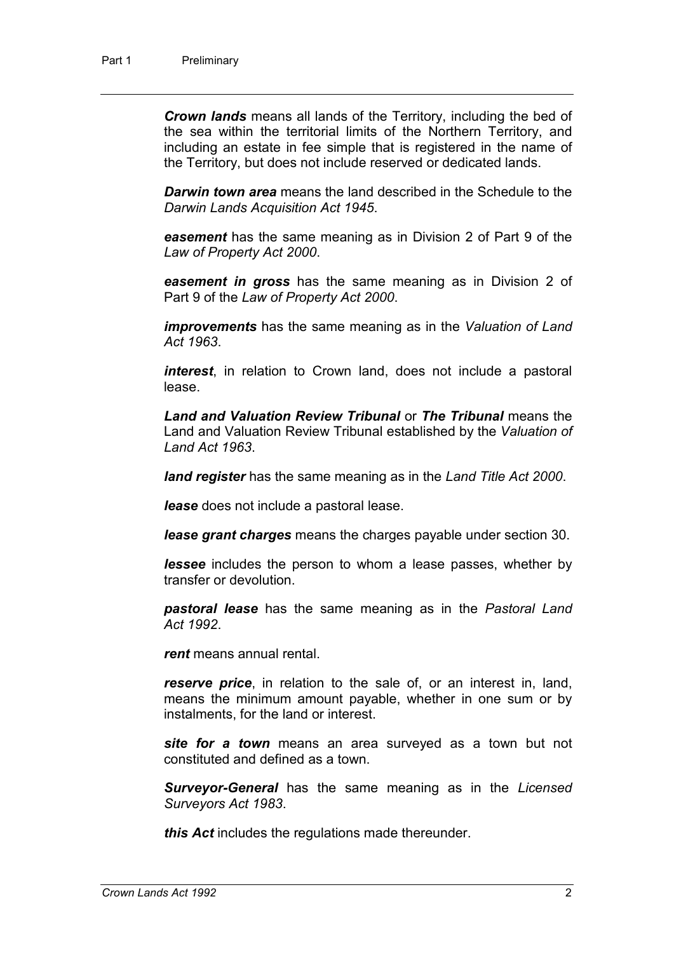*Crown lands* means all lands of the Territory, including the bed of the sea within the territorial limits of the Northern Territory, and including an estate in fee simple that is registered in the name of the Territory, but does not include reserved or dedicated lands.

*Darwin town area* means the land described in the Schedule to the *Darwin Lands Acquisition Act 1945*.

*easement* has the same meaning as in Division 2 of Part 9 of the *Law of Property Act 2000*.

*easement in gross* has the same meaning as in Division 2 of Part 9 of the *Law of Property Act 2000*.

*improvements* has the same meaning as in the *Valuation of Land Act 1963*.

*interest*, in relation to Crown land, does not include a pastoral lease.

*Land and Valuation Review Tribunal* or *The Tribunal* means the Land and Valuation Review Tribunal established by the *Valuation of Land Act 1963*.

*land register* has the same meaning as in the *Land Title Act 2000*.

*lease* does not include a pastoral lease.

*lease grant charges* means the charges payable under section 30.

*lessee* includes the person to whom a lease passes, whether by transfer or devolution.

*pastoral lease* has the same meaning as in the *Pastoral Land Act 1992*.

*rent* means annual rental.

*reserve price*, in relation to the sale of, or an interest in, land, means the minimum amount payable, whether in one sum or by instalments, for the land or interest.

*site for a town* means an area surveyed as a town but not constituted and defined as a town.

*Surveyor-General* has the same meaning as in the *Licensed Surveyors Act 1983*.

*this Act* includes the regulations made thereunder.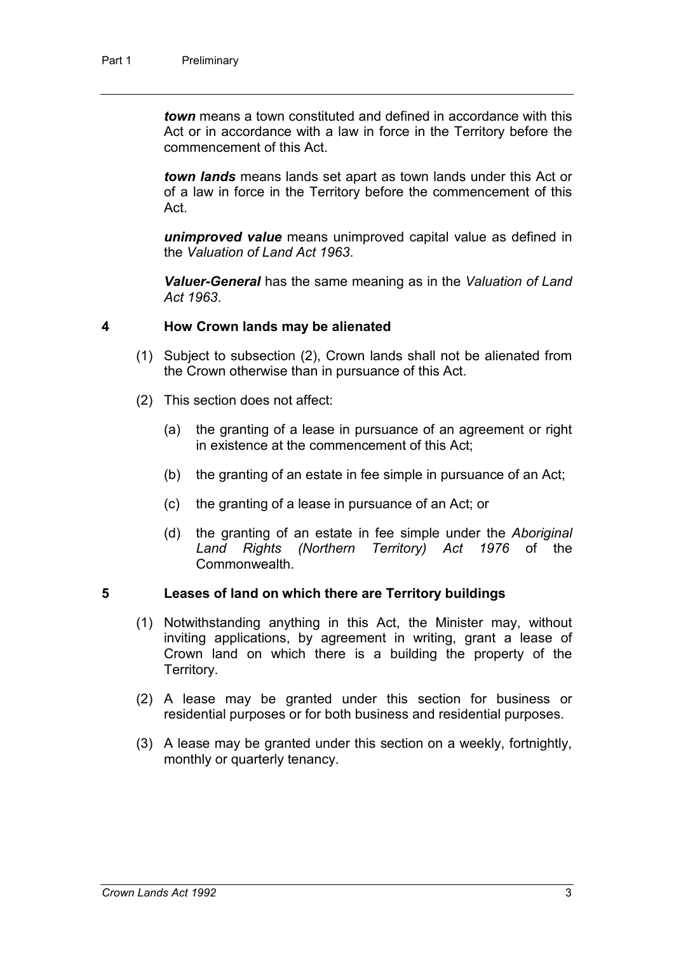*town* means a town constituted and defined in accordance with this Act or in accordance with a law in force in the Territory before the commencement of this Act.

*town lands* means lands set apart as town lands under this Act or of a law in force in the Territory before the commencement of this Act.

*unimproved value* means unimproved capital value as defined in the *Valuation of Land Act 1963*.

*Valuer-General* has the same meaning as in the *Valuation of Land Act 1963*.

#### **4 How Crown lands may be alienated**

- (1) Subject to subsection (2), Crown lands shall not be alienated from the Crown otherwise than in pursuance of this Act.
- (2) This section does not affect:
	- (a) the granting of a lease in pursuance of an agreement or right in existence at the commencement of this Act;
	- (b) the granting of an estate in fee simple in pursuance of an Act;
	- (c) the granting of a lease in pursuance of an Act; or
	- (d) the granting of an estate in fee simple under the *Aboriginal Land Rights (Northern Territory) Act 1976* of the **Commonwealth**

#### **5 Leases of land on which there are Territory buildings**

- (1) Notwithstanding anything in this Act, the Minister may, without inviting applications, by agreement in writing, grant a lease of Crown land on which there is a building the property of the Territory.
- (2) A lease may be granted under this section for business or residential purposes or for both business and residential purposes.
- (3) A lease may be granted under this section on a weekly, fortnightly, monthly or quarterly tenancy.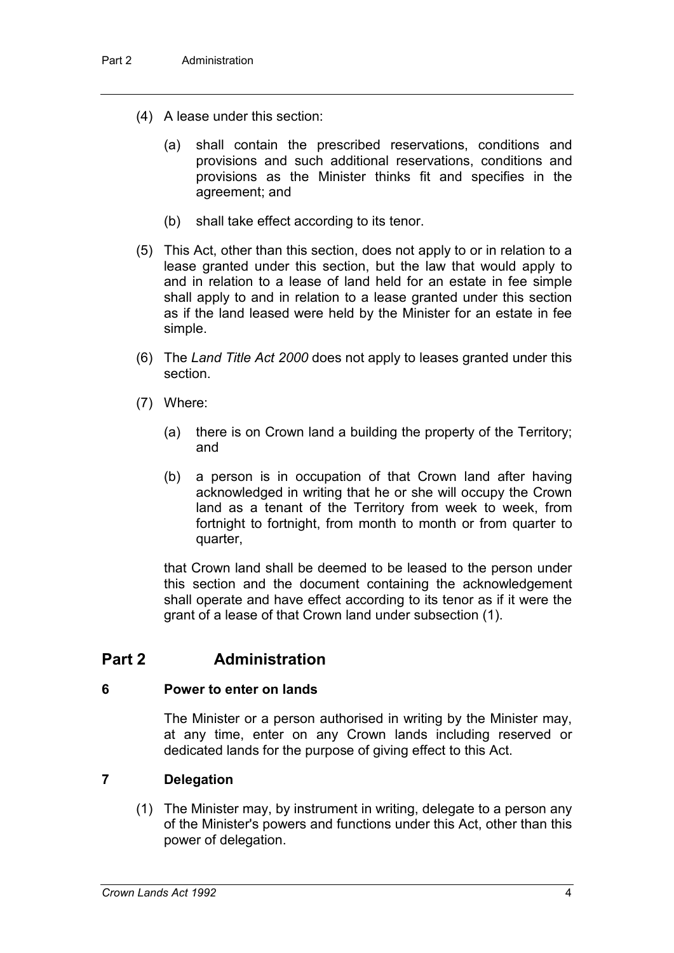- (4) A lease under this section:
	- (a) shall contain the prescribed reservations, conditions and provisions and such additional reservations, conditions and provisions as the Minister thinks fit and specifies in the agreement; and
	- (b) shall take effect according to its tenor.
- (5) This Act, other than this section, does not apply to or in relation to a lease granted under this section, but the law that would apply to and in relation to a lease of land held for an estate in fee simple shall apply to and in relation to a lease granted under this section as if the land leased were held by the Minister for an estate in fee simple.
- (6) The *Land Title Act 2000* does not apply to leases granted under this section.
- (7) Where:
	- (a) there is on Crown land a building the property of the Territory; and
	- (b) a person is in occupation of that Crown land after having acknowledged in writing that he or she will occupy the Crown land as a tenant of the Territory from week to week, from fortnight to fortnight, from month to month or from quarter to quarter,

that Crown land shall be deemed to be leased to the person under this section and the document containing the acknowledgement shall operate and have effect according to its tenor as if it were the grant of a lease of that Crown land under subsection (1).

### **Part 2 Administration**

#### **6 Power to enter on lands**

The Minister or a person authorised in writing by the Minister may, at any time, enter on any Crown lands including reserved or dedicated lands for the purpose of giving effect to this Act.

#### **7 Delegation**

(1) The Minister may, by instrument in writing, delegate to a person any of the Minister's powers and functions under this Act, other than this power of delegation.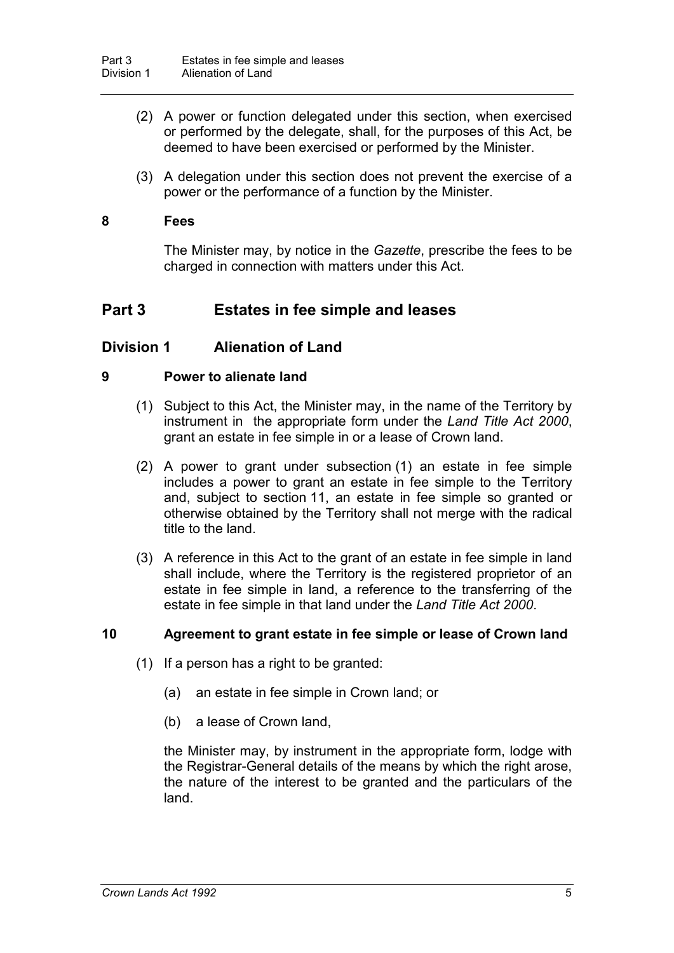- (2) A power or function delegated under this section, when exercised or performed by the delegate, shall, for the purposes of this Act, be deemed to have been exercised or performed by the Minister.
- (3) A delegation under this section does not prevent the exercise of a power or the performance of a function by the Minister.

#### **8 Fees**

The Minister may, by notice in the *Gazette*, prescribe the fees to be charged in connection with matters under this Act.

### **Part 3 Estates in fee simple and leases**

#### **Division 1 Alienation of Land**

#### **9 Power to alienate land**

- (1) Subject to this Act, the Minister may, in the name of the Territory by instrument in the appropriate form under the *Land Title Act 2000*, grant an estate in fee simple in or a lease of Crown land.
- (2) A power to grant under subsection (1) an estate in fee simple includes a power to grant an estate in fee simple to the Territory and, subject to section 11, an estate in fee simple so granted or otherwise obtained by the Territory shall not merge with the radical title to the land.
- (3) A reference in this Act to the grant of an estate in fee simple in land shall include, where the Territory is the registered proprietor of an estate in fee simple in land, a reference to the transferring of the estate in fee simple in that land under the *Land Title Act 2000*.

#### **10 Agreement to grant estate in fee simple or lease of Crown land**

- (1) If a person has a right to be granted:
	- (a) an estate in fee simple in Crown land; or
	- (b) a lease of Crown land,

the Minister may, by instrument in the appropriate form, lodge with the Registrar-General details of the means by which the right arose, the nature of the interest to be granted and the particulars of the land.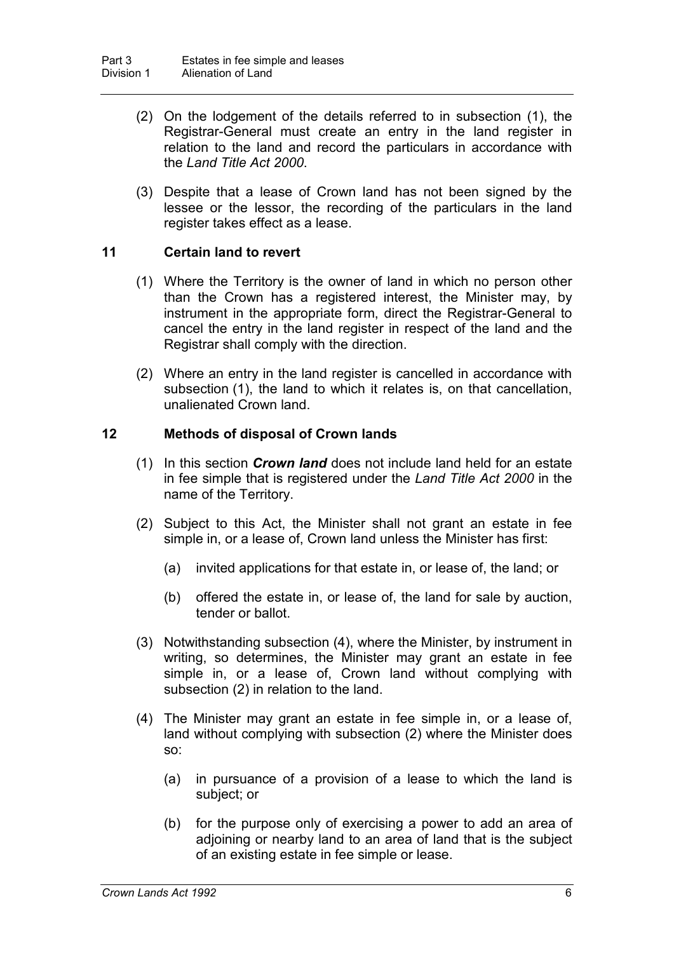- (2) On the lodgement of the details referred to in subsection (1), the Registrar-General must create an entry in the land register in relation to the land and record the particulars in accordance with the *Land Title Act 2000*.
- (3) Despite that a lease of Crown land has not been signed by the lessee or the lessor, the recording of the particulars in the land register takes effect as a lease.

#### **11 Certain land to revert**

- (1) Where the Territory is the owner of land in which no person other than the Crown has a registered interest, the Minister may, by instrument in the appropriate form, direct the Registrar-General to cancel the entry in the land register in respect of the land and the Registrar shall comply with the direction.
- (2) Where an entry in the land register is cancelled in accordance with subsection (1), the land to which it relates is, on that cancellation, unalienated Crown land.

#### **12 Methods of disposal of Crown lands**

- (1) In this section *Crown land* does not include land held for an estate in fee simple that is registered under the *Land Title Act 2000* in the name of the Territory.
- (2) Subject to this Act, the Minister shall not grant an estate in fee simple in, or a lease of, Crown land unless the Minister has first:
	- (a) invited applications for that estate in, or lease of, the land; or
	- (b) offered the estate in, or lease of, the land for sale by auction, tender or ballot.
- (3) Notwithstanding subsection (4), where the Minister, by instrument in writing, so determines, the Minister may grant an estate in fee simple in, or a lease of, Crown land without complying with subsection (2) in relation to the land.
- (4) The Minister may grant an estate in fee simple in, or a lease of, land without complying with subsection (2) where the Minister does so:
	- (a) in pursuance of a provision of a lease to which the land is subject; or
	- (b) for the purpose only of exercising a power to add an area of adjoining or nearby land to an area of land that is the subject of an existing estate in fee simple or lease.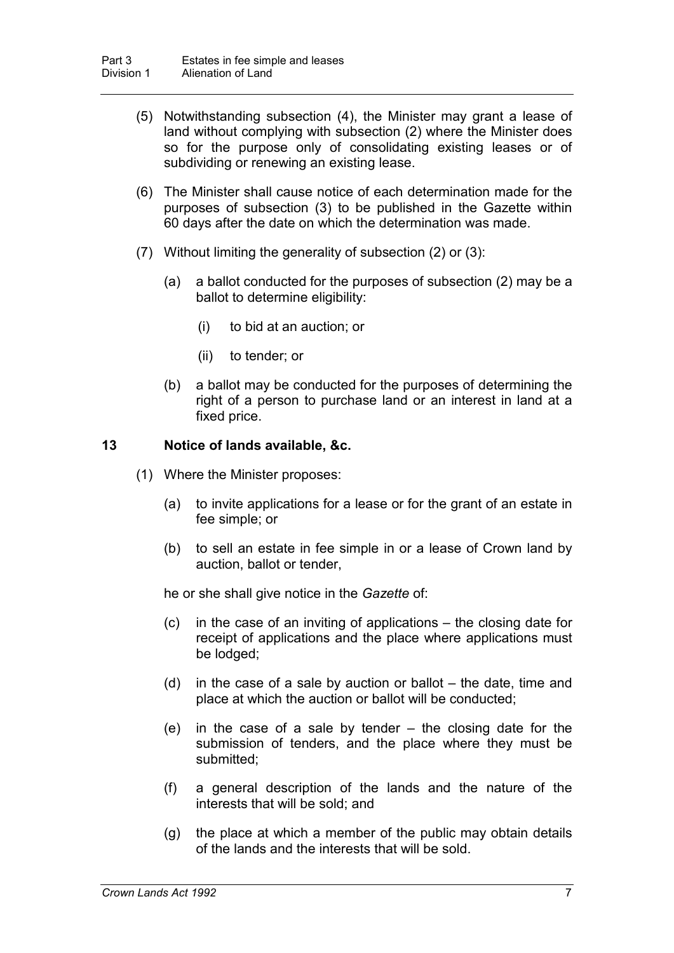- (5) Notwithstanding subsection (4), the Minister may grant a lease of land without complying with subsection (2) where the Minister does so for the purpose only of consolidating existing leases or of subdividing or renewing an existing lease.
- (6) The Minister shall cause notice of each determination made for the purposes of subsection (3) to be published in the Gazette within 60 days after the date on which the determination was made.
- (7) Without limiting the generality of subsection (2) or (3):
	- (a) a ballot conducted for the purposes of subsection (2) may be a ballot to determine eligibility:
		- (i) to bid at an auction; or
		- (ii) to tender; or
	- (b) a ballot may be conducted for the purposes of determining the right of a person to purchase land or an interest in land at a fixed price.

#### **13 Notice of lands available, &c.**

- (1) Where the Minister proposes:
	- (a) to invite applications for a lease or for the grant of an estate in fee simple; or
	- (b) to sell an estate in fee simple in or a lease of Crown land by auction, ballot or tender,

he or she shall give notice in the *Gazette* of:

- (c) in the case of an inviting of applications the closing date for receipt of applications and the place where applications must be lodged;
- (d) in the case of a sale by auction or ballot the date, time and place at which the auction or ballot will be conducted;
- (e) in the case of a sale by tender the closing date for the submission of tenders, and the place where they must be submitted;
- (f) a general description of the lands and the nature of the interests that will be sold; and
- (g) the place at which a member of the public may obtain details of the lands and the interests that will be sold.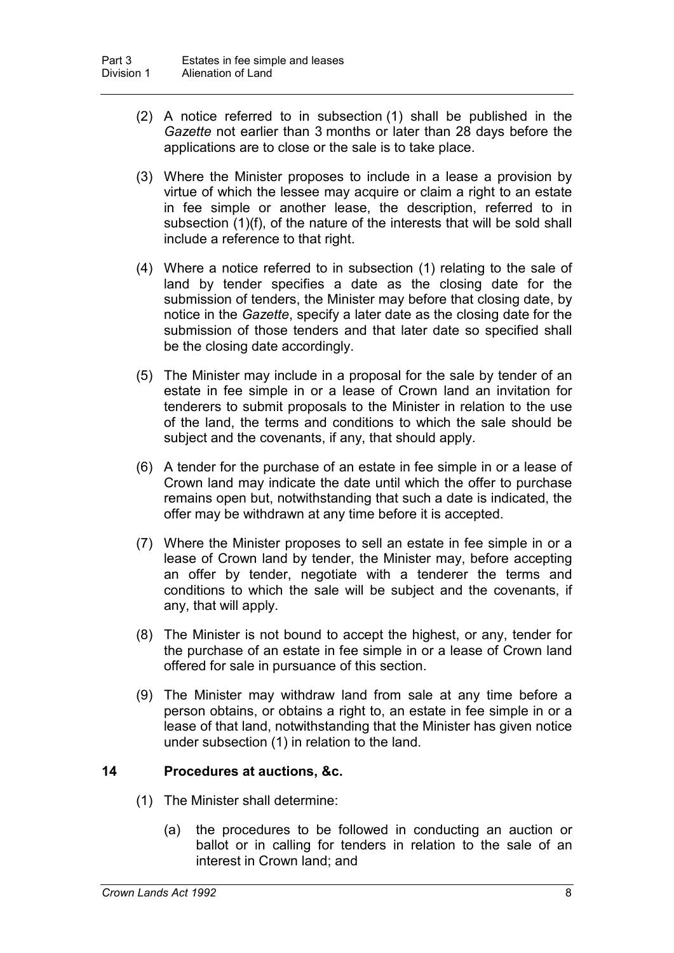- (2) A notice referred to in subsection (1) shall be published in the *Gazette* not earlier than 3 months or later than 28 days before the applications are to close or the sale is to take place.
- (3) Where the Minister proposes to include in a lease a provision by virtue of which the lessee may acquire or claim a right to an estate in fee simple or another lease, the description, referred to in subsection (1)(f), of the nature of the interests that will be sold shall include a reference to that right.
- (4) Where a notice referred to in subsection (1) relating to the sale of land by tender specifies a date as the closing date for the submission of tenders, the Minister may before that closing date, by notice in the *Gazette*, specify a later date as the closing date for the submission of those tenders and that later date so specified shall be the closing date accordingly.
- (5) The Minister may include in a proposal for the sale by tender of an estate in fee simple in or a lease of Crown land an invitation for tenderers to submit proposals to the Minister in relation to the use of the land, the terms and conditions to which the sale should be subject and the covenants, if any, that should apply.
- (6) A tender for the purchase of an estate in fee simple in or a lease of Crown land may indicate the date until which the offer to purchase remains open but, notwithstanding that such a date is indicated, the offer may be withdrawn at any time before it is accepted.
- (7) Where the Minister proposes to sell an estate in fee simple in or a lease of Crown land by tender, the Minister may, before accepting an offer by tender, negotiate with a tenderer the terms and conditions to which the sale will be subject and the covenants, if any, that will apply.
- (8) The Minister is not bound to accept the highest, or any, tender for the purchase of an estate in fee simple in or a lease of Crown land offered for sale in pursuance of this section.
- (9) The Minister may withdraw land from sale at any time before a person obtains, or obtains a right to, an estate in fee simple in or a lease of that land, notwithstanding that the Minister has given notice under subsection (1) in relation to the land.

#### **14 Procedures at auctions, &c.**

- (1) The Minister shall determine:
	- (a) the procedures to be followed in conducting an auction or ballot or in calling for tenders in relation to the sale of an interest in Crown land; and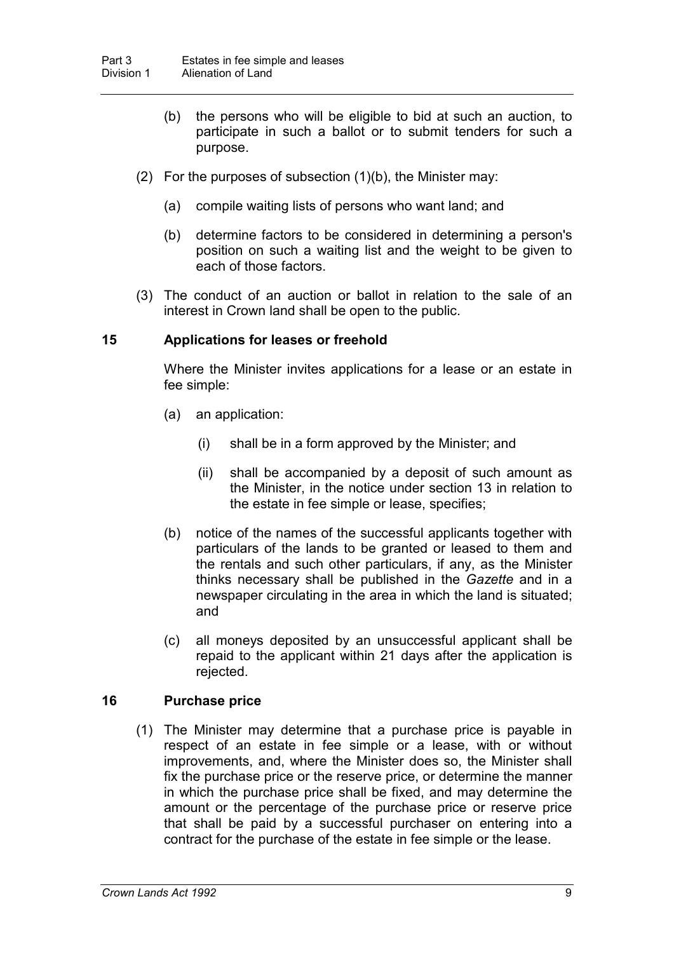- (b) the persons who will be eligible to bid at such an auction, to participate in such a ballot or to submit tenders for such a purpose.
- (2) For the purposes of subsection (1)(b), the Minister may:
	- (a) compile waiting lists of persons who want land; and
	- (b) determine factors to be considered in determining a person's position on such a waiting list and the weight to be given to each of those factors.
- (3) The conduct of an auction or ballot in relation to the sale of an interest in Crown land shall be open to the public.

#### **15 Applications for leases or freehold**

Where the Minister invites applications for a lease or an estate in fee simple:

- (a) an application:
	- (i) shall be in a form approved by the Minister; and
	- (ii) shall be accompanied by a deposit of such amount as the Minister, in the notice under section 13 in relation to the estate in fee simple or lease, specifies;
- (b) notice of the names of the successful applicants together with particulars of the lands to be granted or leased to them and the rentals and such other particulars, if any, as the Minister thinks necessary shall be published in the *Gazette* and in a newspaper circulating in the area in which the land is situated; and
- (c) all moneys deposited by an unsuccessful applicant shall be repaid to the applicant within 21 days after the application is rejected.

#### **16 Purchase price**

(1) The Minister may determine that a purchase price is payable in respect of an estate in fee simple or a lease, with or without improvements, and, where the Minister does so, the Minister shall fix the purchase price or the reserve price, or determine the manner in which the purchase price shall be fixed, and may determine the amount or the percentage of the purchase price or reserve price that shall be paid by a successful purchaser on entering into a contract for the purchase of the estate in fee simple or the lease.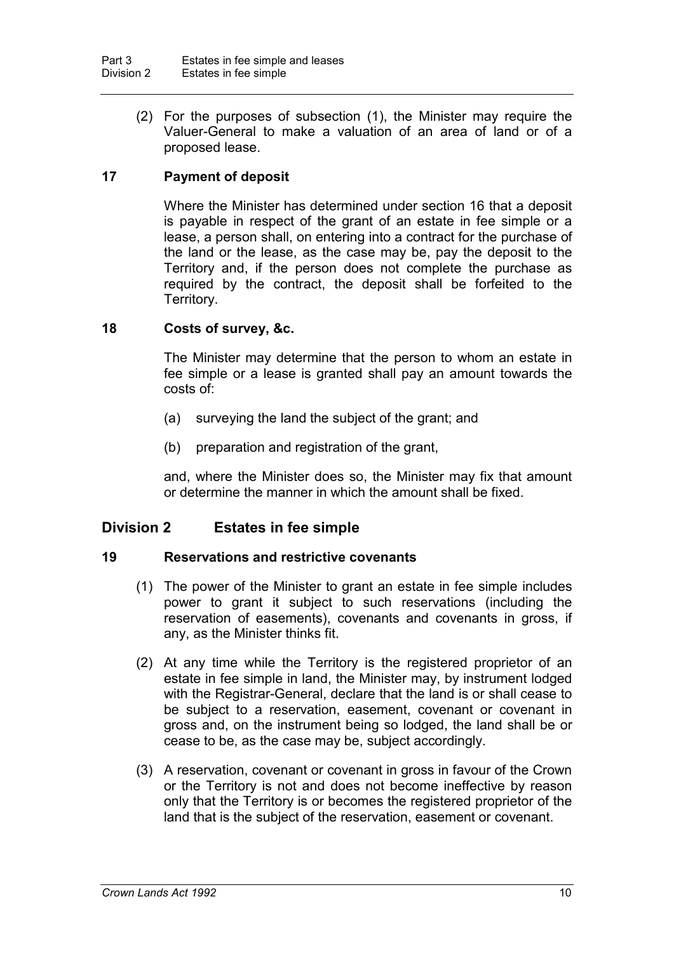(2) For the purposes of subsection (1), the Minister may require the Valuer-General to make a valuation of an area of land or of a proposed lease.

### **17 Payment of deposit**

Where the Minister has determined under section 16 that a deposit is payable in respect of the grant of an estate in fee simple or a lease, a person shall, on entering into a contract for the purchase of the land or the lease, as the case may be, pay the deposit to the Territory and, if the person does not complete the purchase as required by the contract, the deposit shall be forfeited to the Territory.

#### **18 Costs of survey, &c.**

The Minister may determine that the person to whom an estate in fee simple or a lease is granted shall pay an amount towards the costs of:

- (a) surveying the land the subject of the grant; and
- (b) preparation and registration of the grant,

and, where the Minister does so, the Minister may fix that amount or determine the manner in which the amount shall be fixed.

#### **Division 2 Estates in fee simple**

#### **19 Reservations and restrictive covenants**

- (1) The power of the Minister to grant an estate in fee simple includes power to grant it subject to such reservations (including the reservation of easements), covenants and covenants in gross, if any, as the Minister thinks fit.
- (2) At any time while the Territory is the registered proprietor of an estate in fee simple in land, the Minister may, by instrument lodged with the Registrar-General, declare that the land is or shall cease to be subject to a reservation, easement, covenant or covenant in gross and, on the instrument being so lodged, the land shall be or cease to be, as the case may be, subject accordingly.
- (3) A reservation, covenant or covenant in gross in favour of the Crown or the Territory is not and does not become ineffective by reason only that the Territory is or becomes the registered proprietor of the land that is the subject of the reservation, easement or covenant.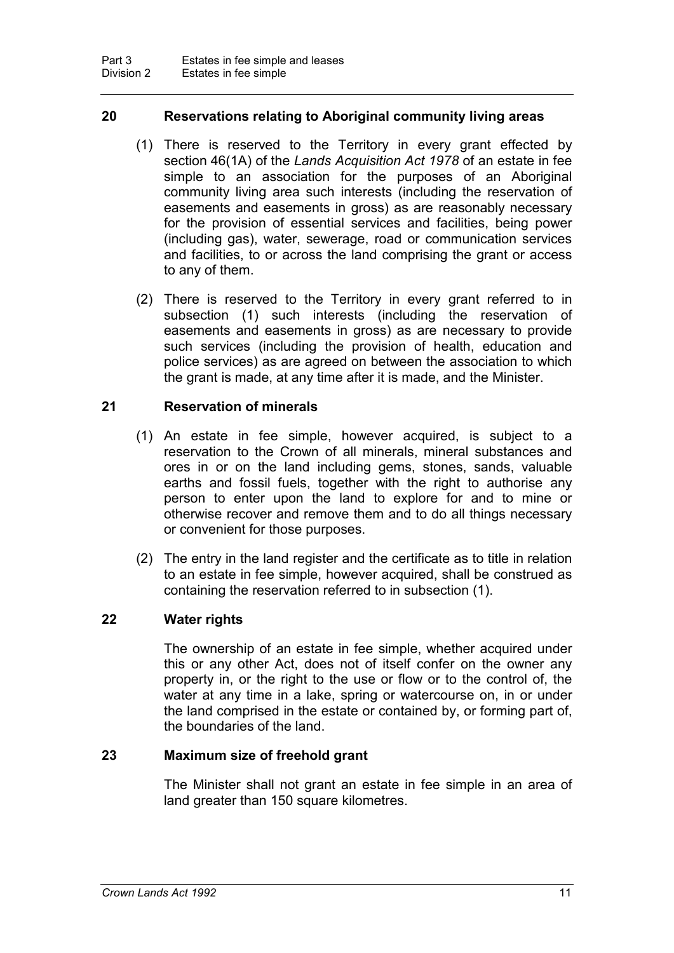#### **20 Reservations relating to Aboriginal community living areas**

- (1) There is reserved to the Territory in every grant effected by section 46(1A) of the *Lands Acquisition Act 1978* of an estate in fee simple to an association for the purposes of an Aboriginal community living area such interests (including the reservation of easements and easements in gross) as are reasonably necessary for the provision of essential services and facilities, being power (including gas), water, sewerage, road or communication services and facilities, to or across the land comprising the grant or access to any of them.
- (2) There is reserved to the Territory in every grant referred to in subsection (1) such interests (including the reservation of easements and easements in gross) as are necessary to provide such services (including the provision of health, education and police services) as are agreed on between the association to which the grant is made, at any time after it is made, and the Minister.

#### **21 Reservation of minerals**

- (1) An estate in fee simple, however acquired, is subject to a reservation to the Crown of all minerals, mineral substances and ores in or on the land including gems, stones, sands, valuable earths and fossil fuels, together with the right to authorise any person to enter upon the land to explore for and to mine or otherwise recover and remove them and to do all things necessary or convenient for those purposes.
- (2) The entry in the land register and the certificate as to title in relation to an estate in fee simple, however acquired, shall be construed as containing the reservation referred to in subsection (1).

#### **22 Water rights**

The ownership of an estate in fee simple, whether acquired under this or any other Act, does not of itself confer on the owner any property in, or the right to the use or flow or to the control of, the water at any time in a lake, spring or watercourse on, in or under the land comprised in the estate or contained by, or forming part of, the boundaries of the land.

#### **23 Maximum size of freehold grant**

The Minister shall not grant an estate in fee simple in an area of land greater than 150 square kilometres.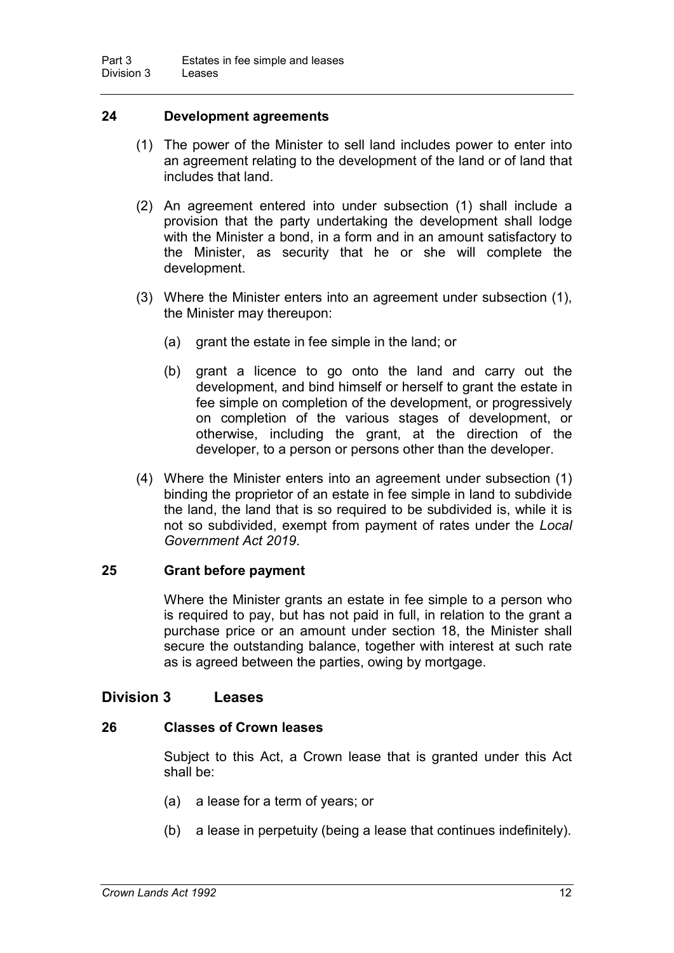#### **24 Development agreements**

- (1) The power of the Minister to sell land includes power to enter into an agreement relating to the development of the land or of land that includes that land.
- (2) An agreement entered into under subsection (1) shall include a provision that the party undertaking the development shall lodge with the Minister a bond, in a form and in an amount satisfactory to the Minister, as security that he or she will complete the development.
- (3) Where the Minister enters into an agreement under subsection (1), the Minister may thereupon:
	- (a) grant the estate in fee simple in the land; or
	- (b) grant a licence to go onto the land and carry out the development, and bind himself or herself to grant the estate in fee simple on completion of the development, or progressively on completion of the various stages of development, or otherwise, including the grant, at the direction of the developer, to a person or persons other than the developer.
- (4) Where the Minister enters into an agreement under subsection (1) binding the proprietor of an estate in fee simple in land to subdivide the land, the land that is so required to be subdivided is, while it is not so subdivided, exempt from payment of rates under the *Local Government Act 2019*.

#### **25 Grant before payment**

Where the Minister grants an estate in fee simple to a person who is required to pay, but has not paid in full, in relation to the grant a purchase price or an amount under section 18, the Minister shall secure the outstanding balance, together with interest at such rate as is agreed between the parties, owing by mortgage.

#### **Division 3 Leases**

#### **26 Classes of Crown leases**

Subject to this Act, a Crown lease that is granted under this Act shall be:

- (a) a lease for a term of years; or
- (b) a lease in perpetuity (being a lease that continues indefinitely).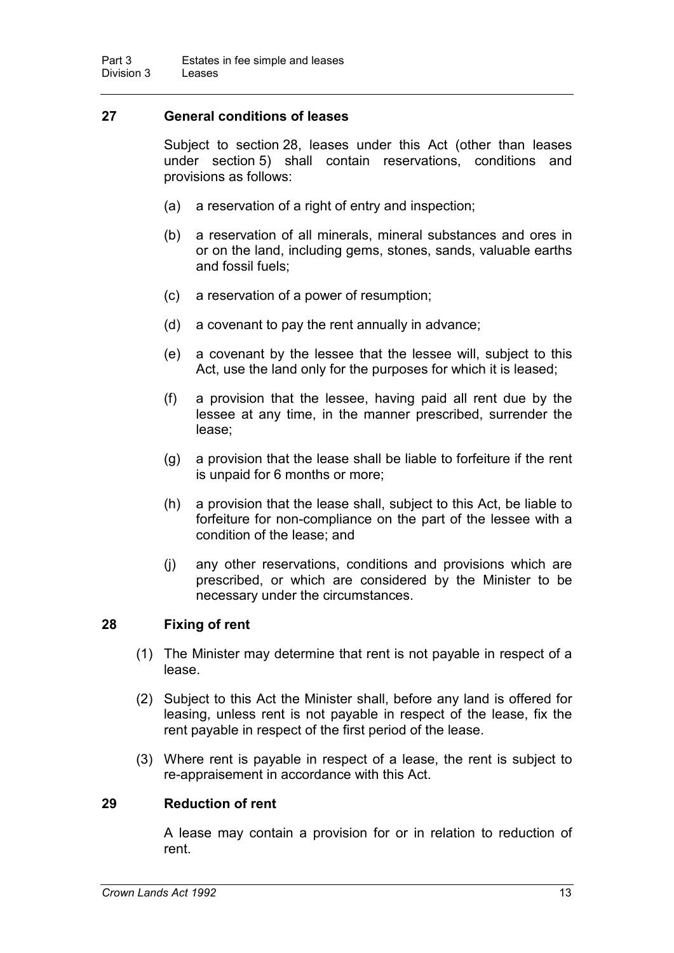#### **27 General conditions of leases**

Subject to section 28, leases under this Act (other than leases under section 5) shall contain reservations, conditions and provisions as follows:

- (a) a reservation of a right of entry and inspection;
- (b) a reservation of all minerals, mineral substances and ores in or on the land, including gems, stones, sands, valuable earths and fossil fuels;
- (c) a reservation of a power of resumption;
- (d) a covenant to pay the rent annually in advance;
- (e) a covenant by the lessee that the lessee will, subject to this Act, use the land only for the purposes for which it is leased;
- (f) a provision that the lessee, having paid all rent due by the lessee at any time, in the manner prescribed, surrender the lease;
- (g) a provision that the lease shall be liable to forfeiture if the rent is unpaid for 6 months or more;
- (h) a provision that the lease shall, subject to this Act, be liable to forfeiture for non-compliance on the part of the lessee with a condition of the lease; and
- (j) any other reservations, conditions and provisions which are prescribed, or which are considered by the Minister to be necessary under the circumstances.

#### **28 Fixing of rent**

- (1) The Minister may determine that rent is not payable in respect of a lease.
- (2) Subject to this Act the Minister shall, before any land is offered for leasing, unless rent is not payable in respect of the lease, fix the rent payable in respect of the first period of the lease.
- (3) Where rent is payable in respect of a lease, the rent is subject to re-appraisement in accordance with this Act.

#### **29 Reduction of rent**

A lease may contain a provision for or in relation to reduction of rent.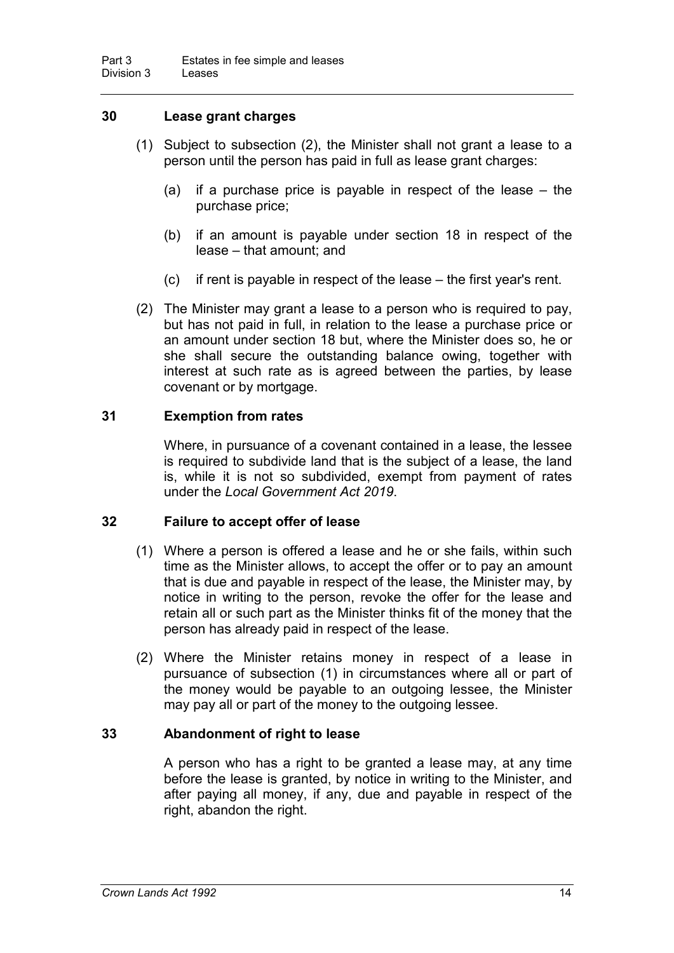#### **30 Lease grant charges**

- (1) Subject to subsection (2), the Minister shall not grant a lease to a person until the person has paid in full as lease grant charges:
	- (a) if a purchase price is payable in respect of the lease the purchase price;
	- (b) if an amount is payable under section 18 in respect of the lease – that amount; and
	- (c) if rent is payable in respect of the lease the first year's rent.
- (2) The Minister may grant a lease to a person who is required to pay, but has not paid in full, in relation to the lease a purchase price or an amount under section 18 but, where the Minister does so, he or she shall secure the outstanding balance owing, together with interest at such rate as is agreed between the parties, by lease covenant or by mortgage.

#### **31 Exemption from rates**

Where, in pursuance of a covenant contained in a lease, the lessee is required to subdivide land that is the subject of a lease, the land is, while it is not so subdivided, exempt from payment of rates under the *Local Government Act 2019*.

#### **32 Failure to accept offer of lease**

- (1) Where a person is offered a lease and he or she fails, within such time as the Minister allows, to accept the offer or to pay an amount that is due and payable in respect of the lease, the Minister may, by notice in writing to the person, revoke the offer for the lease and retain all or such part as the Minister thinks fit of the money that the person has already paid in respect of the lease.
- (2) Where the Minister retains money in respect of a lease in pursuance of subsection (1) in circumstances where all or part of the money would be payable to an outgoing lessee, the Minister may pay all or part of the money to the outgoing lessee.

#### **33 Abandonment of right to lease**

A person who has a right to be granted a lease may, at any time before the lease is granted, by notice in writing to the Minister, and after paying all money, if any, due and payable in respect of the right, abandon the right.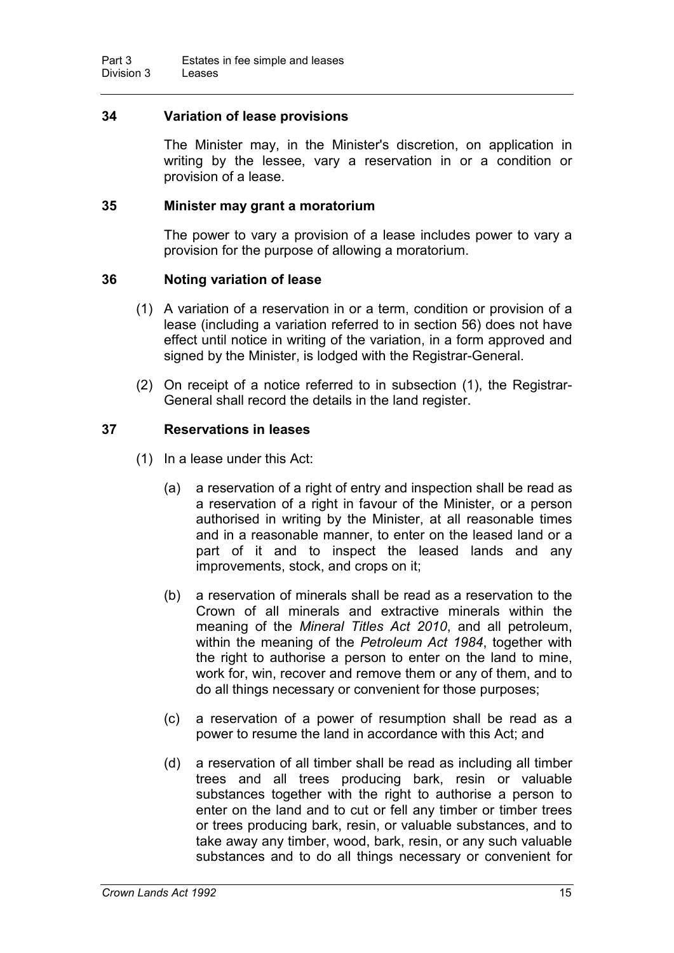#### **34 Variation of lease provisions**

The Minister may, in the Minister's discretion, on application in writing by the lessee, vary a reservation in or a condition or provision of a lease.

#### **35 Minister may grant a moratorium**

The power to vary a provision of a lease includes power to vary a provision for the purpose of allowing a moratorium.

#### **36 Noting variation of lease**

- (1) A variation of a reservation in or a term, condition or provision of a lease (including a variation referred to in section 56) does not have effect until notice in writing of the variation, in a form approved and signed by the Minister, is lodged with the Registrar-General.
- (2) On receipt of a notice referred to in subsection (1), the Registrar-General shall record the details in the land register.

#### **37 Reservations in leases**

- (1) In a lease under this Act:
	- (a) a reservation of a right of entry and inspection shall be read as a reservation of a right in favour of the Minister, or a person authorised in writing by the Minister, at all reasonable times and in a reasonable manner, to enter on the leased land or a part of it and to inspect the leased lands and any improvements, stock, and crops on it;
	- (b) a reservation of minerals shall be read as a reservation to the Crown of all minerals and extractive minerals within the meaning of the *Mineral Titles Act 2010*, and all petroleum, within the meaning of the *Petroleum Act 1984*, together with the right to authorise a person to enter on the land to mine, work for, win, recover and remove them or any of them, and to do all things necessary or convenient for those purposes;
	- (c) a reservation of a power of resumption shall be read as a power to resume the land in accordance with this Act; and
	- (d) a reservation of all timber shall be read as including all timber trees and all trees producing bark, resin or valuable substances together with the right to authorise a person to enter on the land and to cut or fell any timber or timber trees or trees producing bark, resin, or valuable substances, and to take away any timber, wood, bark, resin, or any such valuable substances and to do all things necessary or convenient for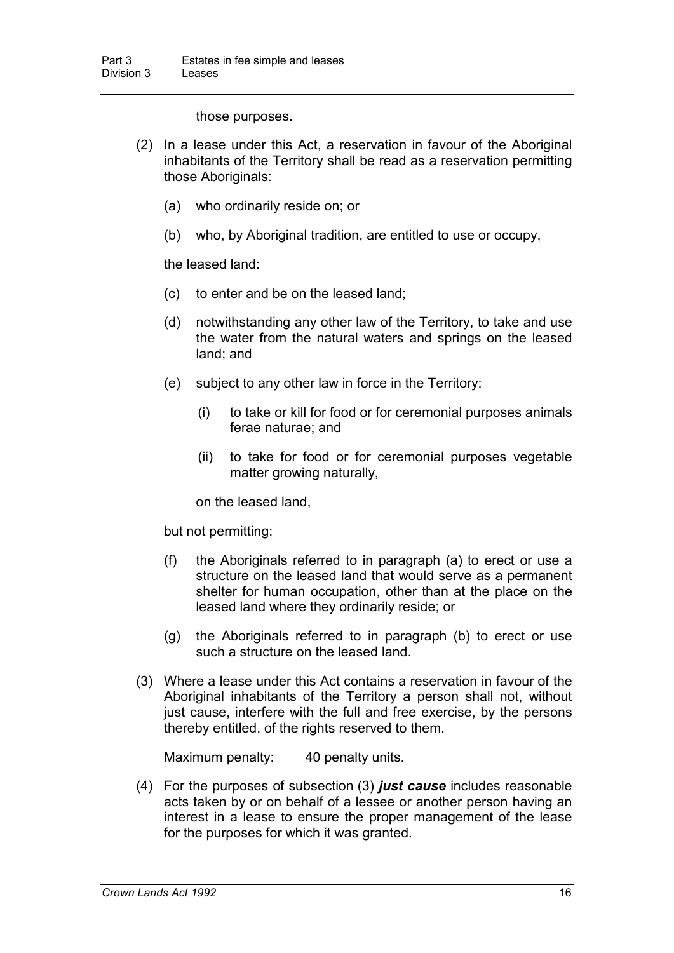those purposes.

- (2) In a lease under this Act, a reservation in favour of the Aboriginal inhabitants of the Territory shall be read as a reservation permitting those Aboriginals:
	- (a) who ordinarily reside on; or
	- (b) who, by Aboriginal tradition, are entitled to use or occupy,

the leased land:

- (c) to enter and be on the leased land;
- (d) notwithstanding any other law of the Territory, to take and use the water from the natural waters and springs on the leased land; and
- (e) subject to any other law in force in the Territory:
	- (i) to take or kill for food or for ceremonial purposes animals ferae naturae; and
	- (ii) to take for food or for ceremonial purposes vegetable matter growing naturally,

on the leased land,

but not permitting:

- (f) the Aboriginals referred to in paragraph (a) to erect or use a structure on the leased land that would serve as a permanent shelter for human occupation, other than at the place on the leased land where they ordinarily reside; or
- (g) the Aboriginals referred to in paragraph (b) to erect or use such a structure on the leased land.
- (3) Where a lease under this Act contains a reservation in favour of the Aboriginal inhabitants of the Territory a person shall not, without just cause, interfere with the full and free exercise, by the persons thereby entitled, of the rights reserved to them.

Maximum penalty: 40 penalty units.

(4) For the purposes of subsection (3) *just cause* includes reasonable acts taken by or on behalf of a lessee or another person having an interest in a lease to ensure the proper management of the lease for the purposes for which it was granted.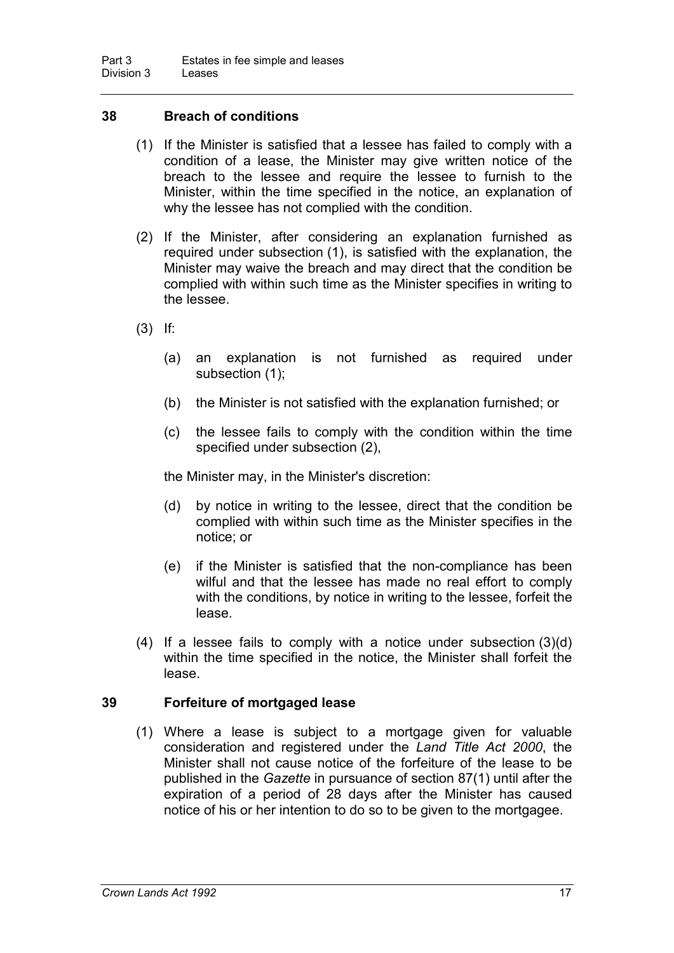#### **38 Breach of conditions**

- (1) If the Minister is satisfied that a lessee has failed to comply with a condition of a lease, the Minister may give written notice of the breach to the lessee and require the lessee to furnish to the Minister, within the time specified in the notice, an explanation of why the lessee has not complied with the condition.
- (2) If the Minister, after considering an explanation furnished as required under subsection (1), is satisfied with the explanation, the Minister may waive the breach and may direct that the condition be complied with within such time as the Minister specifies in writing to the lessee.
- (3) If:
	- (a) an explanation is not furnished as required under subsection (1);
	- (b) the Minister is not satisfied with the explanation furnished; or
	- (c) the lessee fails to comply with the condition within the time specified under subsection (2),

the Minister may, in the Minister's discretion:

- (d) by notice in writing to the lessee, direct that the condition be complied with within such time as the Minister specifies in the notice; or
- (e) if the Minister is satisfied that the non-compliance has been wilful and that the lessee has made no real effort to comply with the conditions, by notice in writing to the lessee, forfeit the lease.
- (4) If a lessee fails to comply with a notice under subsection (3)(d) within the time specified in the notice, the Minister shall forfeit the lease.

#### **39 Forfeiture of mortgaged lease**

(1) Where a lease is subject to a mortgage given for valuable consideration and registered under the *Land Title Act 2000*, the Minister shall not cause notice of the forfeiture of the lease to be published in the *Gazette* in pursuance of section 87(1) until after the expiration of a period of 28 days after the Minister has caused notice of his or her intention to do so to be given to the mortgagee.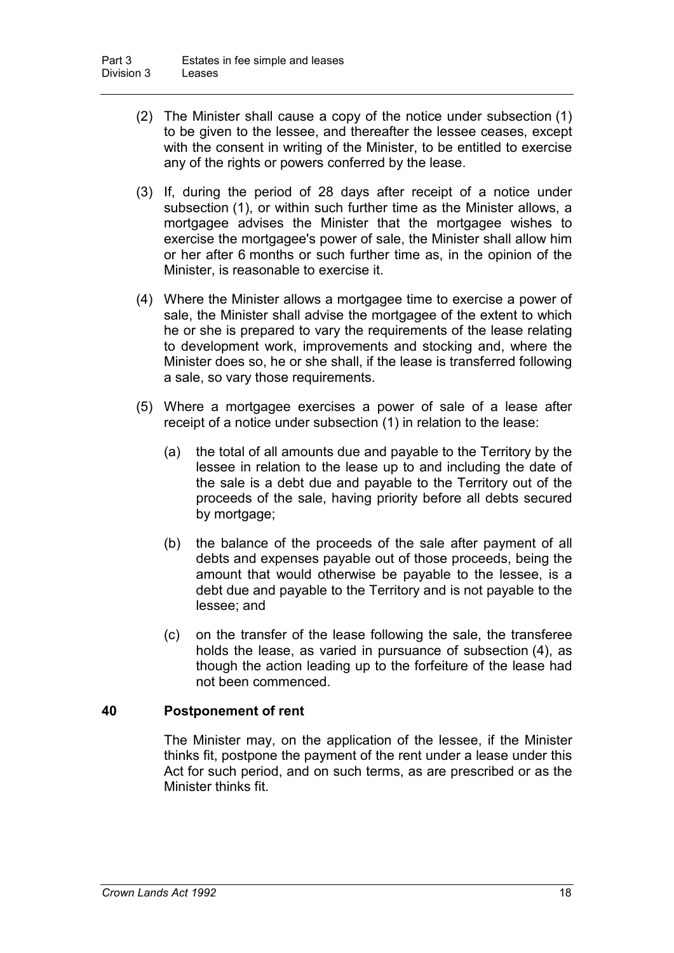- (2) The Minister shall cause a copy of the notice under subsection (1) to be given to the lessee, and thereafter the lessee ceases, except with the consent in writing of the Minister, to be entitled to exercise any of the rights or powers conferred by the lease.
- (3) If, during the period of 28 days after receipt of a notice under subsection (1), or within such further time as the Minister allows, a mortgagee advises the Minister that the mortgagee wishes to exercise the mortgagee's power of sale, the Minister shall allow him or her after 6 months or such further time as, in the opinion of the Minister, is reasonable to exercise it.
- (4) Where the Minister allows a mortgagee time to exercise a power of sale, the Minister shall advise the mortgagee of the extent to which he or she is prepared to vary the requirements of the lease relating to development work, improvements and stocking and, where the Minister does so, he or she shall, if the lease is transferred following a sale, so vary those requirements.
- (5) Where a mortgagee exercises a power of sale of a lease after receipt of a notice under subsection (1) in relation to the lease:
	- (a) the total of all amounts due and payable to the Territory by the lessee in relation to the lease up to and including the date of the sale is a debt due and payable to the Territory out of the proceeds of the sale, having priority before all debts secured by mortgage;
	- (b) the balance of the proceeds of the sale after payment of all debts and expenses payable out of those proceeds, being the amount that would otherwise be payable to the lessee, is a debt due and payable to the Territory and is not payable to the lessee; and
	- (c) on the transfer of the lease following the sale, the transferee holds the lease, as varied in pursuance of subsection (4), as though the action leading up to the forfeiture of the lease had not been commenced.

#### **40 Postponement of rent**

The Minister may, on the application of the lessee, if the Minister thinks fit, postpone the payment of the rent under a lease under this Act for such period, and on such terms, as are prescribed or as the Minister thinks fit.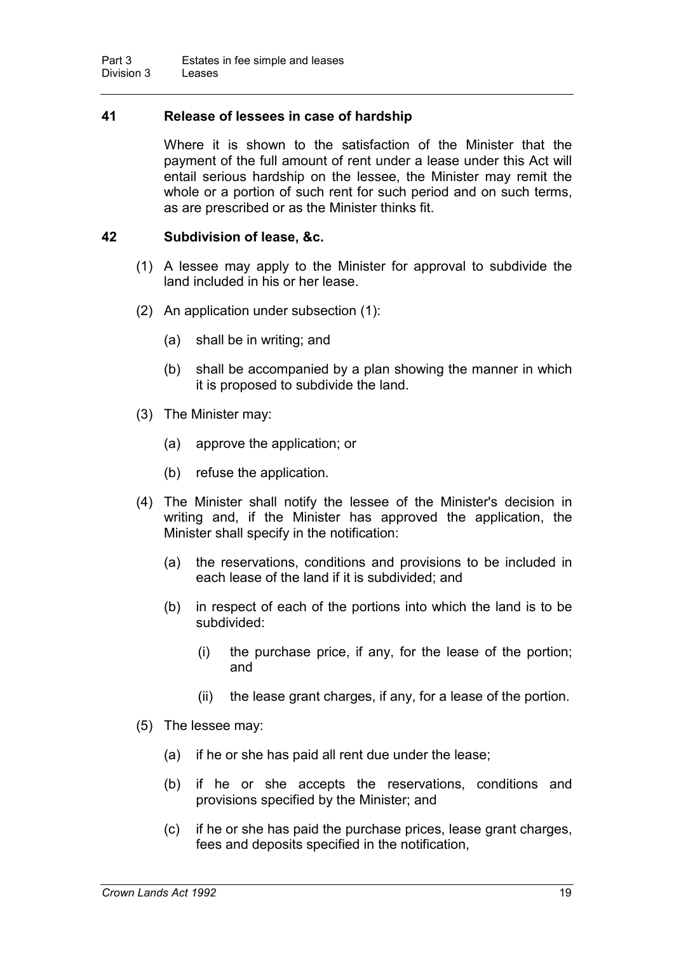#### **41 Release of lessees in case of hardship**

Where it is shown to the satisfaction of the Minister that the payment of the full amount of rent under a lease under this Act will entail serious hardship on the lessee, the Minister may remit the whole or a portion of such rent for such period and on such terms, as are prescribed or as the Minister thinks fit.

#### **42 Subdivision of lease, &c.**

- (1) A lessee may apply to the Minister for approval to subdivide the land included in his or her lease.
- (2) An application under subsection (1):
	- (a) shall be in writing; and
	- (b) shall be accompanied by a plan showing the manner in which it is proposed to subdivide the land.
- (3) The Minister may:
	- (a) approve the application; or
	- (b) refuse the application.
- (4) The Minister shall notify the lessee of the Minister's decision in writing and, if the Minister has approved the application, the Minister shall specify in the notification:
	- (a) the reservations, conditions and provisions to be included in each lease of the land if it is subdivided; and
	- (b) in respect of each of the portions into which the land is to be subdivided:
		- (i) the purchase price, if any, for the lease of the portion; and
		- (ii) the lease grant charges, if any, for a lease of the portion.
- (5) The lessee may:
	- (a) if he or she has paid all rent due under the lease;
	- (b) if he or she accepts the reservations, conditions and provisions specified by the Minister; and
	- (c) if he or she has paid the purchase prices, lease grant charges, fees and deposits specified in the notification,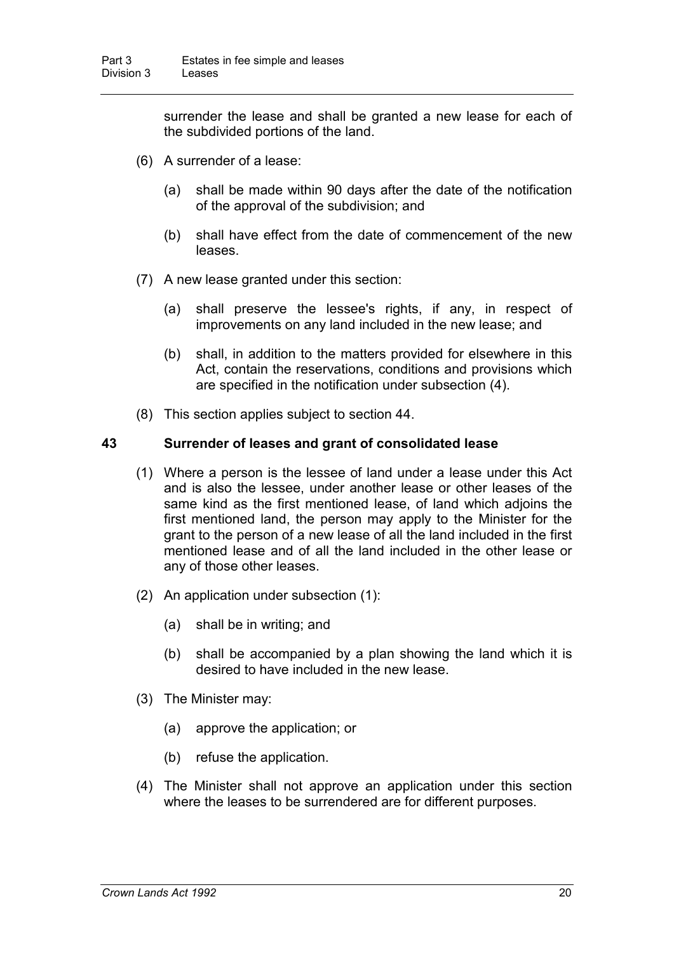surrender the lease and shall be granted a new lease for each of the subdivided portions of the land.

- (6) A surrender of a lease:
	- (a) shall be made within 90 days after the date of the notification of the approval of the subdivision; and
	- (b) shall have effect from the date of commencement of the new leases.
- (7) A new lease granted under this section:
	- (a) shall preserve the lessee's rights, if any, in respect of improvements on any land included in the new lease; and
	- (b) shall, in addition to the matters provided for elsewhere in this Act, contain the reservations, conditions and provisions which are specified in the notification under subsection (4).
- (8) This section applies subject to section 44.

#### **43 Surrender of leases and grant of consolidated lease**

- (1) Where a person is the lessee of land under a lease under this Act and is also the lessee, under another lease or other leases of the same kind as the first mentioned lease, of land which adjoins the first mentioned land, the person may apply to the Minister for the grant to the person of a new lease of all the land included in the first mentioned lease and of all the land included in the other lease or any of those other leases.
- (2) An application under subsection (1):
	- (a) shall be in writing; and
	- (b) shall be accompanied by a plan showing the land which it is desired to have included in the new lease.
- (3) The Minister may:
	- (a) approve the application; or
	- (b) refuse the application.
- (4) The Minister shall not approve an application under this section where the leases to be surrendered are for different purposes.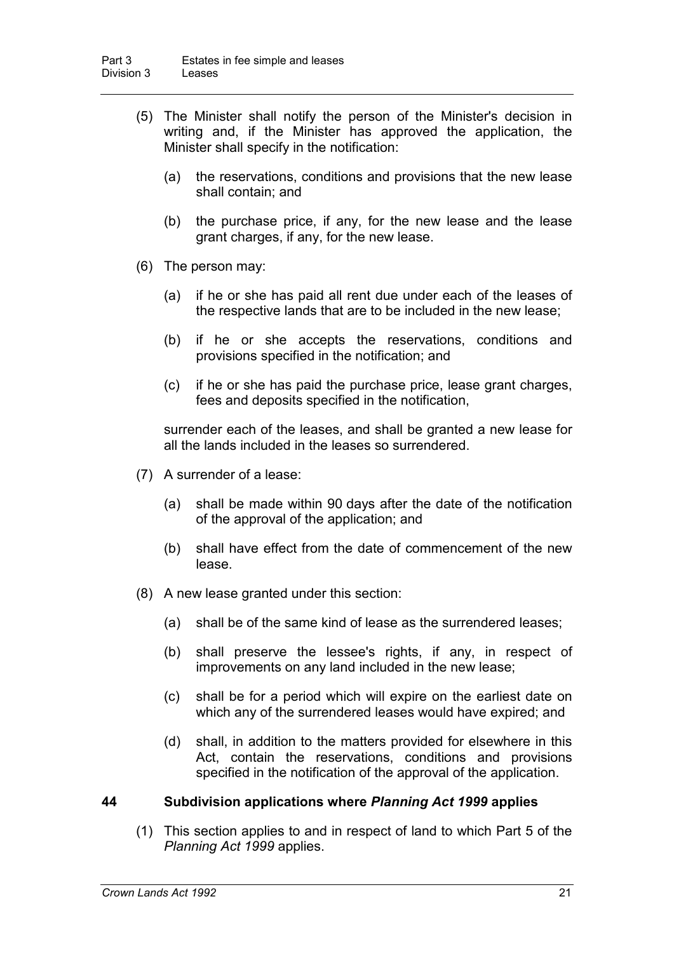- (5) The Minister shall notify the person of the Minister's decision in writing and, if the Minister has approved the application, the Minister shall specify in the notification:
	- (a) the reservations, conditions and provisions that the new lease shall contain; and
	- (b) the purchase price, if any, for the new lease and the lease grant charges, if any, for the new lease.
- (6) The person may:
	- (a) if he or she has paid all rent due under each of the leases of the respective lands that are to be included in the new lease;
	- (b) if he or she accepts the reservations, conditions and provisions specified in the notification; and
	- (c) if he or she has paid the purchase price, lease grant charges, fees and deposits specified in the notification,

surrender each of the leases, and shall be granted a new lease for all the lands included in the leases so surrendered.

- (7) A surrender of a lease:
	- (a) shall be made within 90 days after the date of the notification of the approval of the application; and
	- (b) shall have effect from the date of commencement of the new lease.
- (8) A new lease granted under this section:
	- (a) shall be of the same kind of lease as the surrendered leases;
	- (b) shall preserve the lessee's rights, if any, in respect of improvements on any land included in the new lease;
	- (c) shall be for a period which will expire on the earliest date on which any of the surrendered leases would have expired; and
	- (d) shall, in addition to the matters provided for elsewhere in this Act, contain the reservations, conditions and provisions specified in the notification of the approval of the application.

#### **44 Subdivision applications where** *Planning Act 1999* **applies**

(1) This section applies to and in respect of land to which Part 5 of the *Planning Act 1999* applies.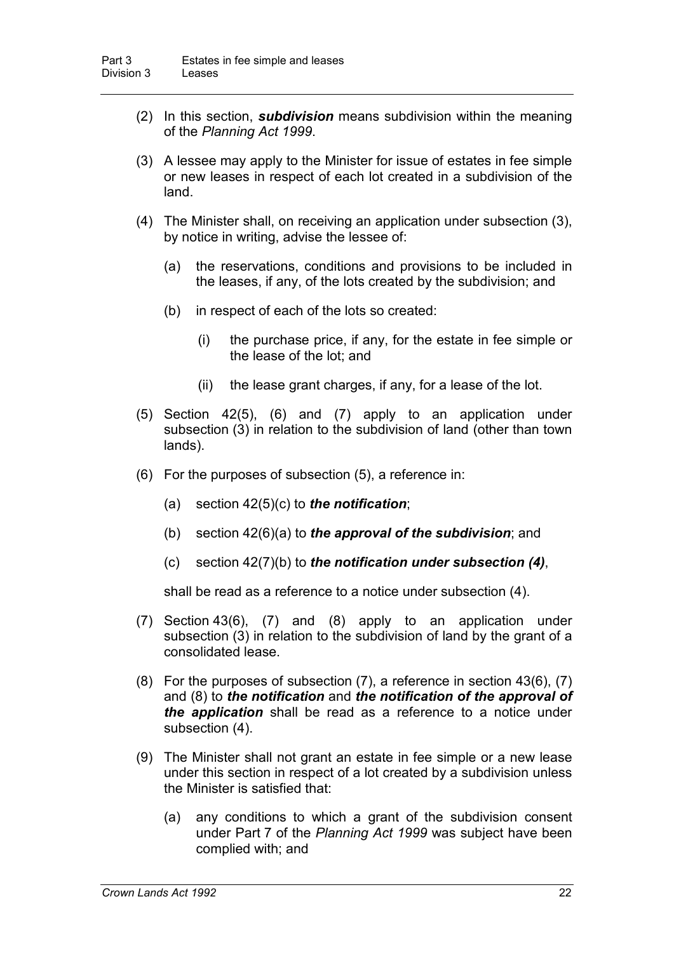- (2) In this section, *subdivision* means subdivision within the meaning of the *Planning Act 1999*.
- (3) A lessee may apply to the Minister for issue of estates in fee simple or new leases in respect of each lot created in a subdivision of the land.
- (4) The Minister shall, on receiving an application under subsection (3), by notice in writing, advise the lessee of:
	- (a) the reservations, conditions and provisions to be included in the leases, if any, of the lots created by the subdivision; and
	- (b) in respect of each of the lots so created:
		- (i) the purchase price, if any, for the estate in fee simple or the lease of the lot; and
		- (ii) the lease grant charges, if any, for a lease of the lot.
- (5) Section 42(5), (6) and (7) apply to an application under subsection (3) in relation to the subdivision of land (other than town lands).
- (6) For the purposes of subsection (5), a reference in:
	- (a) section 42(5)(c) to *the notification*;
	- (b) section 42(6)(a) to *the approval of the subdivision*; and
	- (c) section 42(7)(b) to *the notification under subsection (4)*,

shall be read as a reference to a notice under subsection (4).

- (7) Section 43(6), (7) and (8) apply to an application under subsection (3) in relation to the subdivision of land by the grant of a consolidated lease.
- (8) For the purposes of subsection (7), a reference in section 43(6), (7) and (8) to *the notification* and *the notification of the approval of the application* shall be read as a reference to a notice under subsection (4).
- (9) The Minister shall not grant an estate in fee simple or a new lease under this section in respect of a lot created by a subdivision unless the Minister is satisfied that:
	- (a) any conditions to which a grant of the subdivision consent under Part 7 of the *Planning Act 1999* was subject have been complied with; and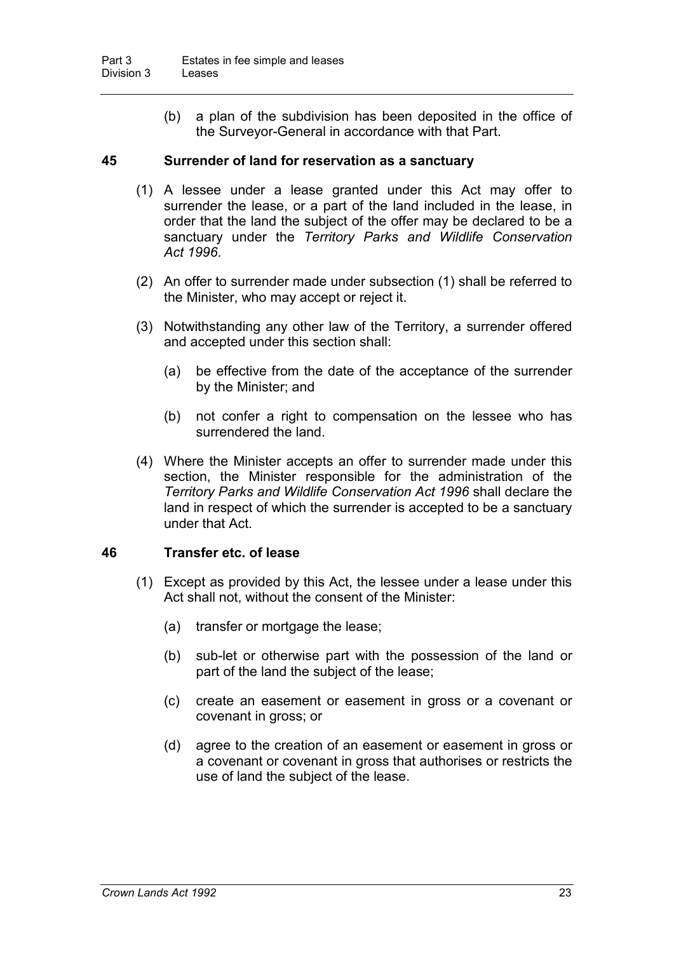(b) a plan of the subdivision has been deposited in the office of the Surveyor-General in accordance with that Part.

#### **45 Surrender of land for reservation as a sanctuary**

- (1) A lessee under a lease granted under this Act may offer to surrender the lease, or a part of the land included in the lease, in order that the land the subject of the offer may be declared to be a sanctuary under the *Territory Parks and Wildlife Conservation Act 1996*.
- (2) An offer to surrender made under subsection (1) shall be referred to the Minister, who may accept or reject it.
- (3) Notwithstanding any other law of the Territory, a surrender offered and accepted under this section shall:
	- (a) be effective from the date of the acceptance of the surrender by the Minister; and
	- (b) not confer a right to compensation on the lessee who has surrendered the land.
- (4) Where the Minister accepts an offer to surrender made under this section, the Minister responsible for the administration of the *Territory Parks and Wildlife Conservation Act 1996* shall declare the land in respect of which the surrender is accepted to be a sanctuary under that Act.

#### **46 Transfer etc. of lease**

- (1) Except as provided by this Act, the lessee under a lease under this Act shall not, without the consent of the Minister:
	- (a) transfer or mortgage the lease;
	- (b) sub-let or otherwise part with the possession of the land or part of the land the subject of the lease;
	- (c) create an easement or easement in gross or a covenant or covenant in gross; or
	- (d) agree to the creation of an easement or easement in gross or a covenant or covenant in gross that authorises or restricts the use of land the subject of the lease.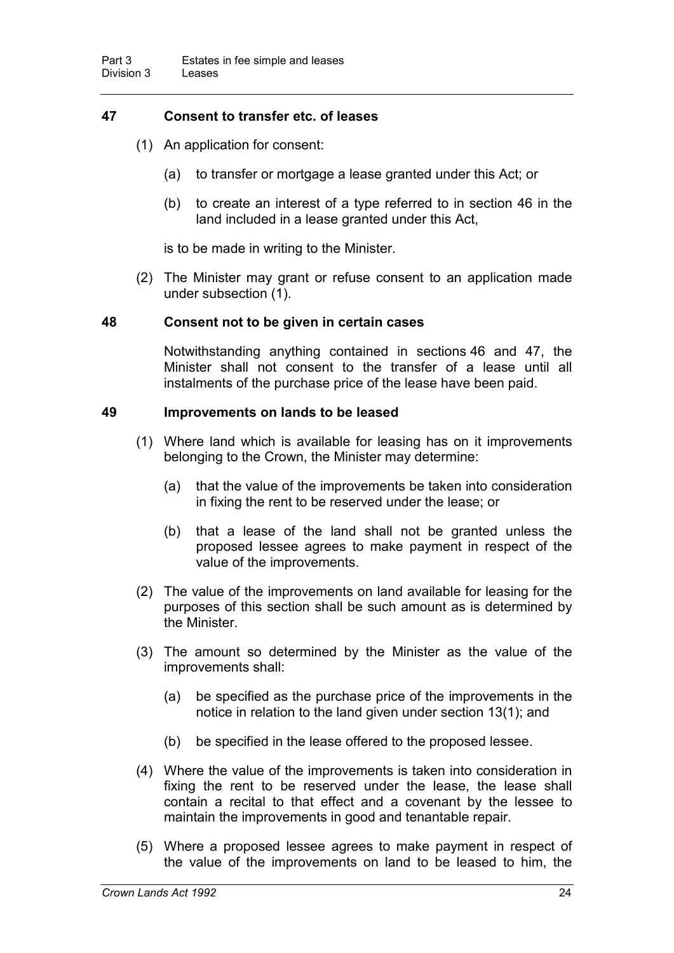#### **47 Consent to transfer etc. of leases**

- (1) An application for consent:
	- (a) to transfer or mortgage a lease granted under this Act; or
	- (b) to create an interest of a type referred to in section 46 in the land included in a lease granted under this Act,

is to be made in writing to the Minister.

(2) The Minister may grant or refuse consent to an application made under subsection (1).

#### **48 Consent not to be given in certain cases**

Notwithstanding anything contained in sections 46 and 47, the Minister shall not consent to the transfer of a lease until all instalments of the purchase price of the lease have been paid.

#### **49 Improvements on lands to be leased**

- (1) Where land which is available for leasing has on it improvements belonging to the Crown, the Minister may determine:
	- (a) that the value of the improvements be taken into consideration in fixing the rent to be reserved under the lease; or
	- (b) that a lease of the land shall not be granted unless the proposed lessee agrees to make payment in respect of the value of the improvements.
- (2) The value of the improvements on land available for leasing for the purposes of this section shall be such amount as is determined by the Minister.
- (3) The amount so determined by the Minister as the value of the improvements shall:
	- (a) be specified as the purchase price of the improvements in the notice in relation to the land given under section 13(1); and
	- (b) be specified in the lease offered to the proposed lessee.
- (4) Where the value of the improvements is taken into consideration in fixing the rent to be reserved under the lease, the lease shall contain a recital to that effect and a covenant by the lessee to maintain the improvements in good and tenantable repair.
- (5) Where a proposed lessee agrees to make payment in respect of the value of the improvements on land to be leased to him, the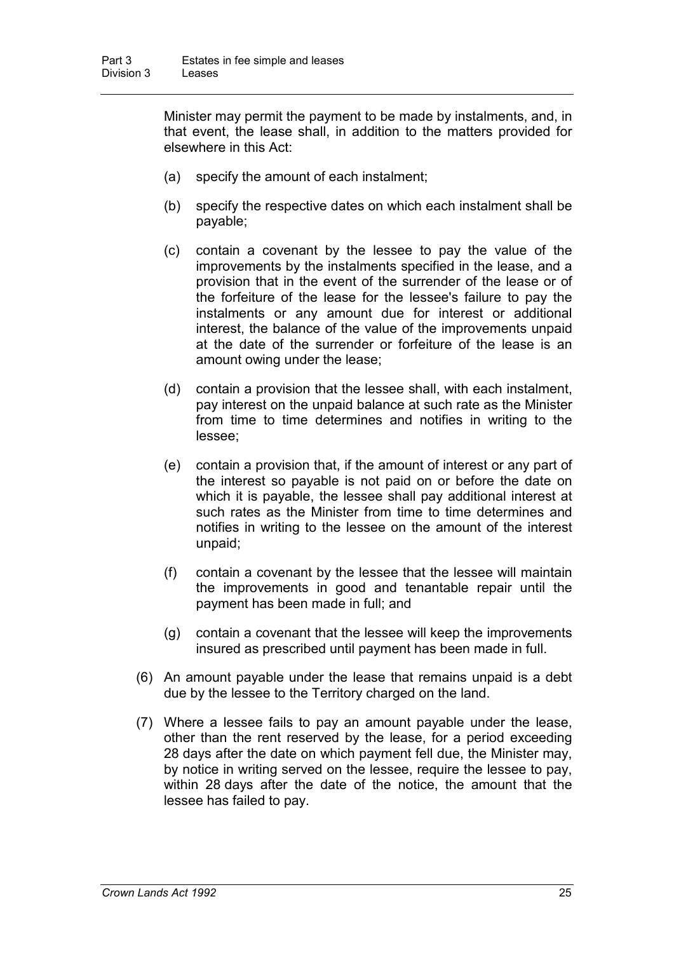Minister may permit the payment to be made by instalments, and, in that event, the lease shall, in addition to the matters provided for elsewhere in this Act:

- (a) specify the amount of each instalment;
- (b) specify the respective dates on which each instalment shall be payable;
- (c) contain a covenant by the lessee to pay the value of the improvements by the instalments specified in the lease, and a provision that in the event of the surrender of the lease or of the forfeiture of the lease for the lessee's failure to pay the instalments or any amount due for interest or additional interest, the balance of the value of the improvements unpaid at the date of the surrender or forfeiture of the lease is an amount owing under the lease;
- (d) contain a provision that the lessee shall, with each instalment, pay interest on the unpaid balance at such rate as the Minister from time to time determines and notifies in writing to the lessee;
- (e) contain a provision that, if the amount of interest or any part of the interest so payable is not paid on or before the date on which it is payable, the lessee shall pay additional interest at such rates as the Minister from time to time determines and notifies in writing to the lessee on the amount of the interest unpaid;
- (f) contain a covenant by the lessee that the lessee will maintain the improvements in good and tenantable repair until the payment has been made in full; and
- (g) contain a covenant that the lessee will keep the improvements insured as prescribed until payment has been made in full.
- (6) An amount payable under the lease that remains unpaid is a debt due by the lessee to the Territory charged on the land.
- (7) Where a lessee fails to pay an amount payable under the lease, other than the rent reserved by the lease, for a period exceeding 28 days after the date on which payment fell due, the Minister may, by notice in writing served on the lessee, require the lessee to pay, within 28 days after the date of the notice, the amount that the lessee has failed to pay.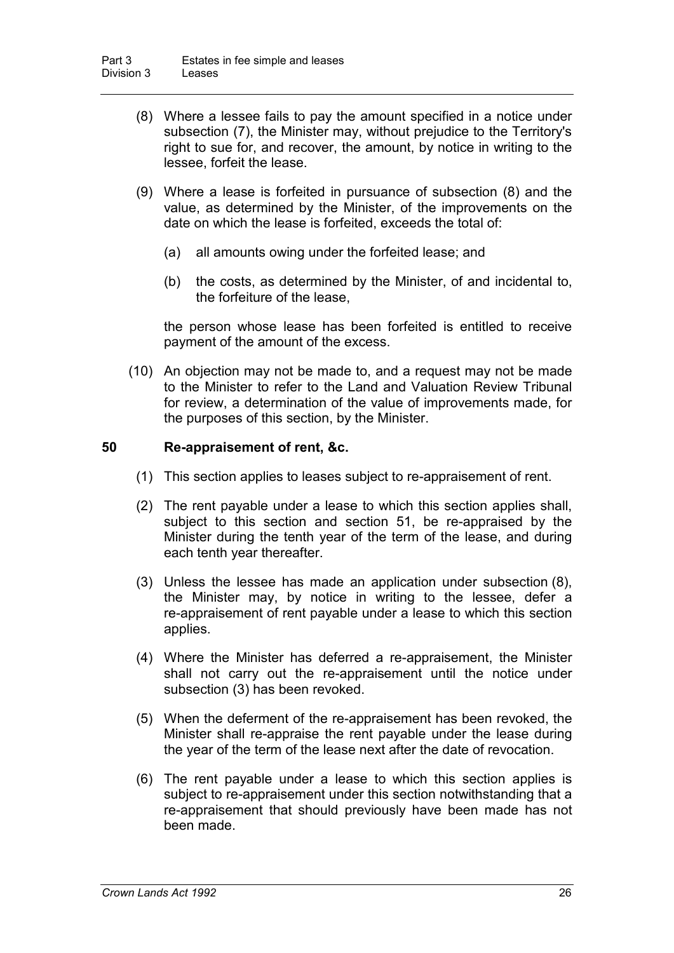- (8) Where a lessee fails to pay the amount specified in a notice under subsection (7), the Minister may, without prejudice to the Territory's right to sue for, and recover, the amount, by notice in writing to the lessee, forfeit the lease.
- (9) Where a lease is forfeited in pursuance of subsection (8) and the value, as determined by the Minister, of the improvements on the date on which the lease is forfeited, exceeds the total of:
	- (a) all amounts owing under the forfeited lease; and
	- (b) the costs, as determined by the Minister, of and incidental to, the forfeiture of the lease,

the person whose lease has been forfeited is entitled to receive payment of the amount of the excess.

(10) An objection may not be made to, and a request may not be made to the Minister to refer to the Land and Valuation Review Tribunal for review, a determination of the value of improvements made, for the purposes of this section, by the Minister.

#### **50 Re-appraisement of rent, &c.**

- (1) This section applies to leases subject to re-appraisement of rent.
- (2) The rent payable under a lease to which this section applies shall, subject to this section and section 51, be re-appraised by the Minister during the tenth year of the term of the lease, and during each tenth year thereafter.
- (3) Unless the lessee has made an application under subsection (8), the Minister may, by notice in writing to the lessee, defer a re-appraisement of rent payable under a lease to which this section applies.
- (4) Where the Minister has deferred a re-appraisement, the Minister shall not carry out the re-appraisement until the notice under subsection (3) has been revoked.
- (5) When the deferment of the re-appraisement has been revoked, the Minister shall re-appraise the rent payable under the lease during the year of the term of the lease next after the date of revocation.
- (6) The rent payable under a lease to which this section applies is subject to re-appraisement under this section notwithstanding that a re-appraisement that should previously have been made has not been made.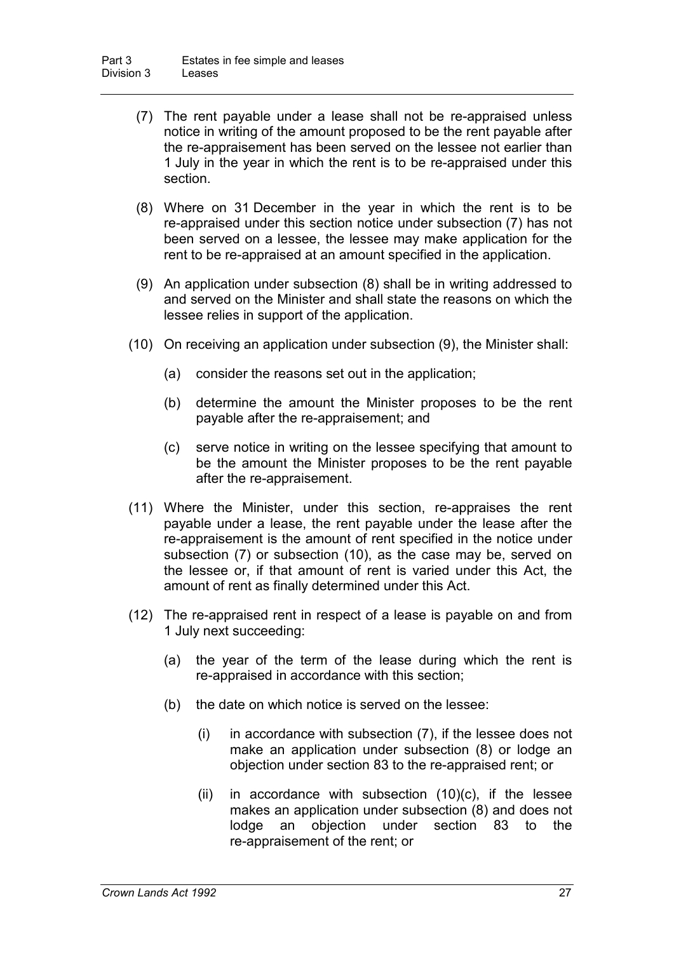- (7) The rent payable under a lease shall not be re-appraised unless notice in writing of the amount proposed to be the rent payable after the re-appraisement has been served on the lessee not earlier than 1 July in the year in which the rent is to be re-appraised under this section.
- (8) Where on 31 December in the year in which the rent is to be re-appraised under this section notice under subsection (7) has not been served on a lessee, the lessee may make application for the rent to be re-appraised at an amount specified in the application.
- (9) An application under subsection (8) shall be in writing addressed to and served on the Minister and shall state the reasons on which the lessee relies in support of the application.
- (10) On receiving an application under subsection (9), the Minister shall:
	- (a) consider the reasons set out in the application;
	- (b) determine the amount the Minister proposes to be the rent payable after the re-appraisement; and
	- (c) serve notice in writing on the lessee specifying that amount to be the amount the Minister proposes to be the rent payable after the re-appraisement.
- (11) Where the Minister, under this section, re-appraises the rent payable under a lease, the rent payable under the lease after the re-appraisement is the amount of rent specified in the notice under subsection (7) or subsection (10), as the case may be, served on the lessee or, if that amount of rent is varied under this Act, the amount of rent as finally determined under this Act.
- (12) The re-appraised rent in respect of a lease is payable on and from 1 July next succeeding:
	- (a) the year of the term of the lease during which the rent is re-appraised in accordance with this section;
	- (b) the date on which notice is served on the lessee:
		- (i) in accordance with subsection (7), if the lessee does not make an application under subsection (8) or lodge an objection under section 83 to the re-appraised rent; or
		- (ii) in accordance with subsection  $(10)(c)$ , if the lessee makes an application under subsection (8) and does not lodge an objection under section 83 to the re-appraisement of the rent; or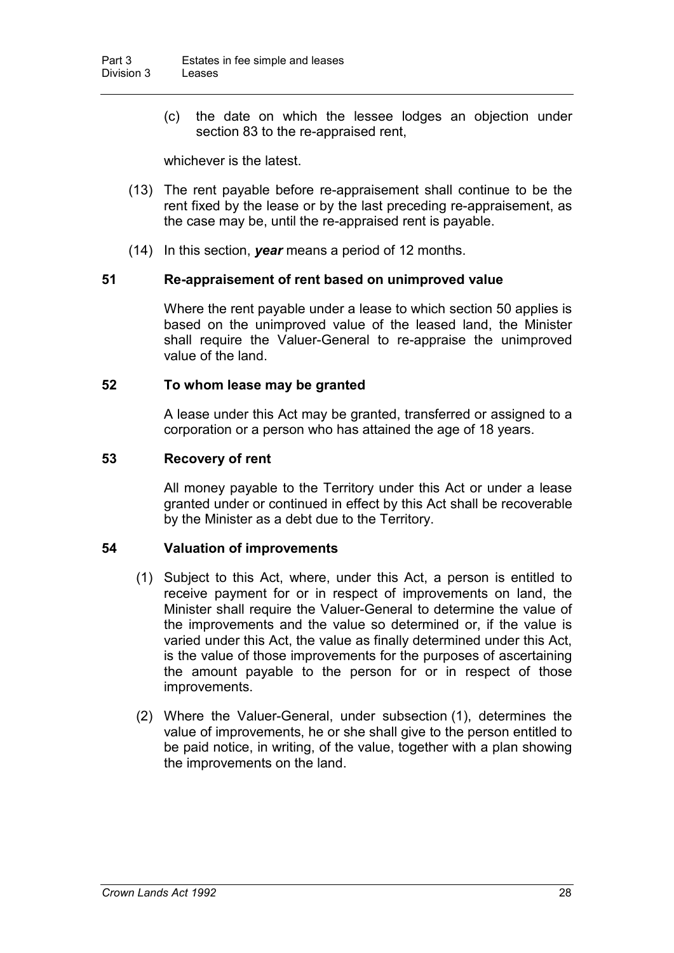(c) the date on which the lessee lodges an objection under section 83 to the re-appraised rent,

whichever is the latest.

- (13) The rent payable before re-appraisement shall continue to be the rent fixed by the lease or by the last preceding re-appraisement, as the case may be, until the re-appraised rent is payable.
- (14) In this section, *year* means a period of 12 months.

#### **51 Re-appraisement of rent based on unimproved value**

Where the rent payable under a lease to which section 50 applies is based on the unimproved value of the leased land, the Minister shall require the Valuer-General to re-appraise the unimproved value of the land.

#### **52 To whom lease may be granted**

A lease under this Act may be granted, transferred or assigned to a corporation or a person who has attained the age of 18 years.

#### **53 Recovery of rent**

All money payable to the Territory under this Act or under a lease granted under or continued in effect by this Act shall be recoverable by the Minister as a debt due to the Territory.

#### **54 Valuation of improvements**

- (1) Subject to this Act, where, under this Act, a person is entitled to receive payment for or in respect of improvements on land, the Minister shall require the Valuer-General to determine the value of the improvements and the value so determined or, if the value is varied under this Act, the value as finally determined under this Act, is the value of those improvements for the purposes of ascertaining the amount payable to the person for or in respect of those improvements.
- (2) Where the Valuer-General, under subsection (1), determines the value of improvements, he or she shall give to the person entitled to be paid notice, in writing, of the value, together with a plan showing the improvements on the land.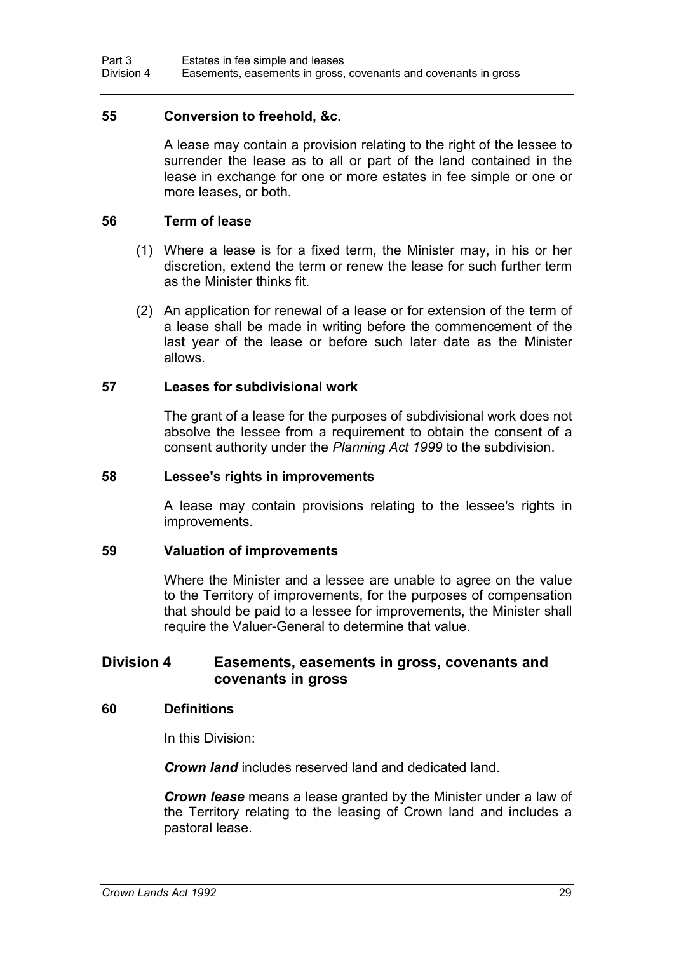#### **55 Conversion to freehold, &c.**

A lease may contain a provision relating to the right of the lessee to surrender the lease as to all or part of the land contained in the lease in exchange for one or more estates in fee simple or one or more leases, or both.

#### **56 Term of lease**

- (1) Where a lease is for a fixed term, the Minister may, in his or her discretion, extend the term or renew the lease for such further term as the Minister thinks fit.
- (2) An application for renewal of a lease or for extension of the term of a lease shall be made in writing before the commencement of the last year of the lease or before such later date as the Minister allows.

#### **57 Leases for subdivisional work**

The grant of a lease for the purposes of subdivisional work does not absolve the lessee from a requirement to obtain the consent of a consent authority under the *Planning Act 1999* to the subdivision.

#### **58 Lessee's rights in improvements**

A lease may contain provisions relating to the lessee's rights in improvements.

#### **59 Valuation of improvements**

Where the Minister and a lessee are unable to agree on the value to the Territory of improvements, for the purposes of compensation that should be paid to a lessee for improvements, the Minister shall require the Valuer-General to determine that value.

#### **Division 4 Easements, easements in gross, covenants and covenants in gross**

#### **60 Definitions**

In this Division:

*Crown land* includes reserved land and dedicated land.

*Crown lease* means a lease granted by the Minister under a law of the Territory relating to the leasing of Crown land and includes a pastoral lease.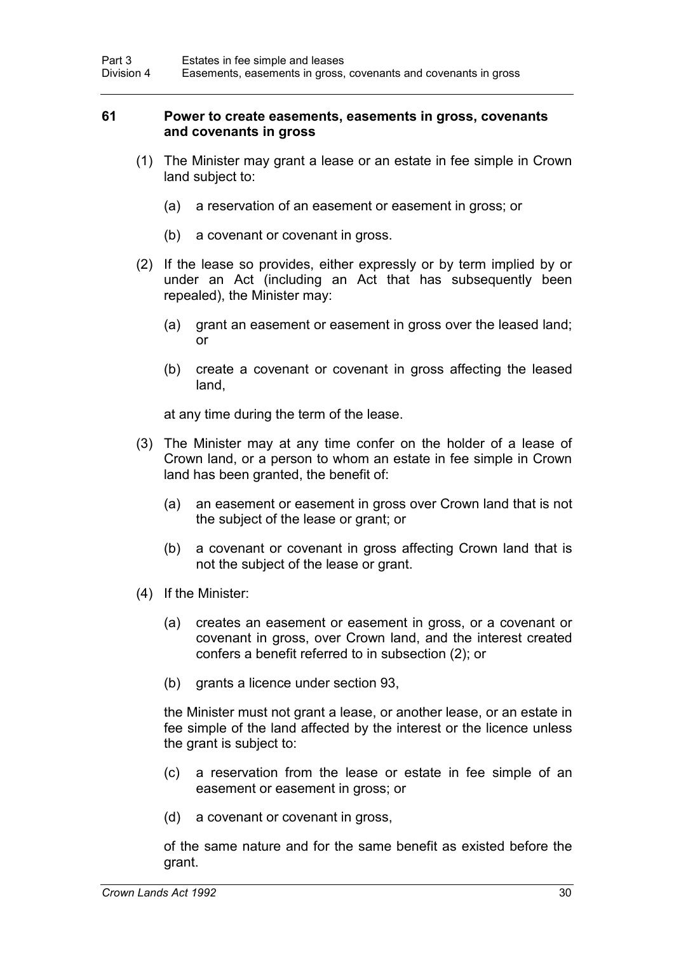#### **61 Power to create easements, easements in gross, covenants and covenants in gross**

- (1) The Minister may grant a lease or an estate in fee simple in Crown land subject to:
	- (a) a reservation of an easement or easement in gross; or
	- (b) a covenant or covenant in gross.
- (2) If the lease so provides, either expressly or by term implied by or under an Act (including an Act that has subsequently been repealed), the Minister may:
	- (a) grant an easement or easement in gross over the leased land; or
	- (b) create a covenant or covenant in gross affecting the leased land,

at any time during the term of the lease.

- (3) The Minister may at any time confer on the holder of a lease of Crown land, or a person to whom an estate in fee simple in Crown land has been granted, the benefit of:
	- (a) an easement or easement in gross over Crown land that is not the subject of the lease or grant; or
	- (b) a covenant or covenant in gross affecting Crown land that is not the subject of the lease or grant.
- (4) If the Minister:
	- (a) creates an easement or easement in gross, or a covenant or covenant in gross, over Crown land, and the interest created confers a benefit referred to in subsection (2); or
	- (b) grants a licence under section 93,

the Minister must not grant a lease, or another lease, or an estate in fee simple of the land affected by the interest or the licence unless the grant is subject to:

- (c) a reservation from the lease or estate in fee simple of an easement or easement in gross; or
- (d) a covenant or covenant in gross,

of the same nature and for the same benefit as existed before the grant.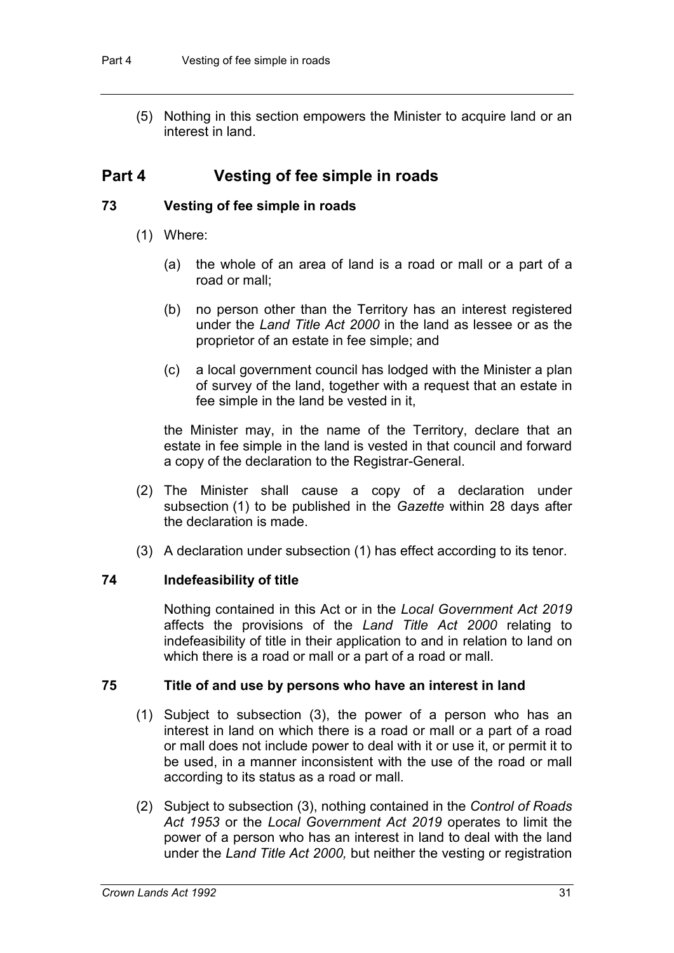(5) Nothing in this section empowers the Minister to acquire land or an interest in land.

### **Part 4 Vesting of fee simple in roads**

#### **73 Vesting of fee simple in roads**

- (1) Where:
	- (a) the whole of an area of land is a road or mall or a part of a road or mall;
	- (b) no person other than the Territory has an interest registered under the *Land Title Act 2000* in the land as lessee or as the proprietor of an estate in fee simple; and
	- (c) a local government council has lodged with the Minister a plan of survey of the land, together with a request that an estate in fee simple in the land be vested in it,

the Minister may, in the name of the Territory, declare that an estate in fee simple in the land is vested in that council and forward a copy of the declaration to the Registrar-General.

- (2) The Minister shall cause a copy of a declaration under subsection (1) to be published in the *Gazette* within 28 days after the declaration is made.
- (3) A declaration under subsection (1) has effect according to its tenor.

#### **74 Indefeasibility of title**

Nothing contained in this Act or in the *Local Government Act 2019* affects the provisions of the *Land Title Act 2000* relating to indefeasibility of title in their application to and in relation to land on which there is a road or mall or a part of a road or mall.

#### **75 Title of and use by persons who have an interest in land**

- (1) Subject to subsection (3), the power of a person who has an interest in land on which there is a road or mall or a part of a road or mall does not include power to deal with it or use it, or permit it to be used, in a manner inconsistent with the use of the road or mall according to its status as a road or mall.
- (2) Subject to subsection (3), nothing contained in the *Control of Roads Act 1953* or the *Local Government Act 2019* operates to limit the power of a person who has an interest in land to deal with the land under the *Land Title Act 2000,* but neither the vesting or registration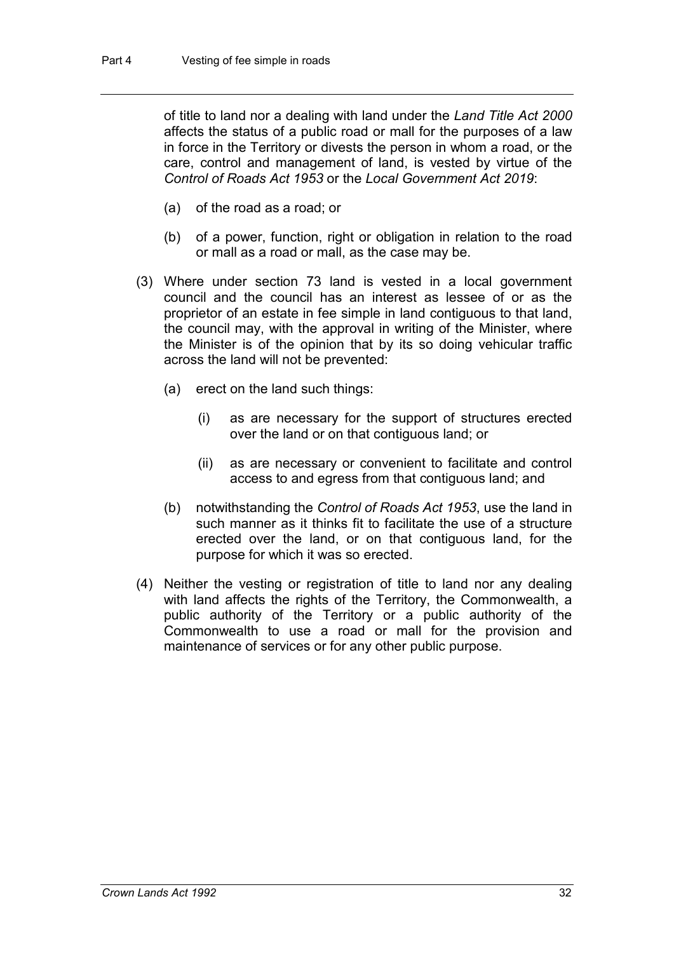of title to land nor a dealing with land under the *Land Title Act 2000* affects the status of a public road or mall for the purposes of a law in force in the Territory or divests the person in whom a road, or the care, control and management of land, is vested by virtue of the *Control of Roads Act 1953* or the *Local Government Act 2019*:

- (a) of the road as a road; or
- (b) of a power, function, right or obligation in relation to the road or mall as a road or mall, as the case may be.
- (3) Where under section 73 land is vested in a local government council and the council has an interest as lessee of or as the proprietor of an estate in fee simple in land contiguous to that land, the council may, with the approval in writing of the Minister, where the Minister is of the opinion that by its so doing vehicular traffic across the land will not be prevented:
	- (a) erect on the land such things:
		- (i) as are necessary for the support of structures erected over the land or on that contiguous land; or
		- (ii) as are necessary or convenient to facilitate and control access to and egress from that contiguous land; and
	- (b) notwithstanding the *Control of Roads Act 1953*, use the land in such manner as it thinks fit to facilitate the use of a structure erected over the land, or on that contiguous land, for the purpose for which it was so erected.
- (4) Neither the vesting or registration of title to land nor any dealing with land affects the rights of the Territory, the Commonwealth, a public authority of the Territory or a public authority of the Commonwealth to use a road or mall for the provision and maintenance of services or for any other public purpose.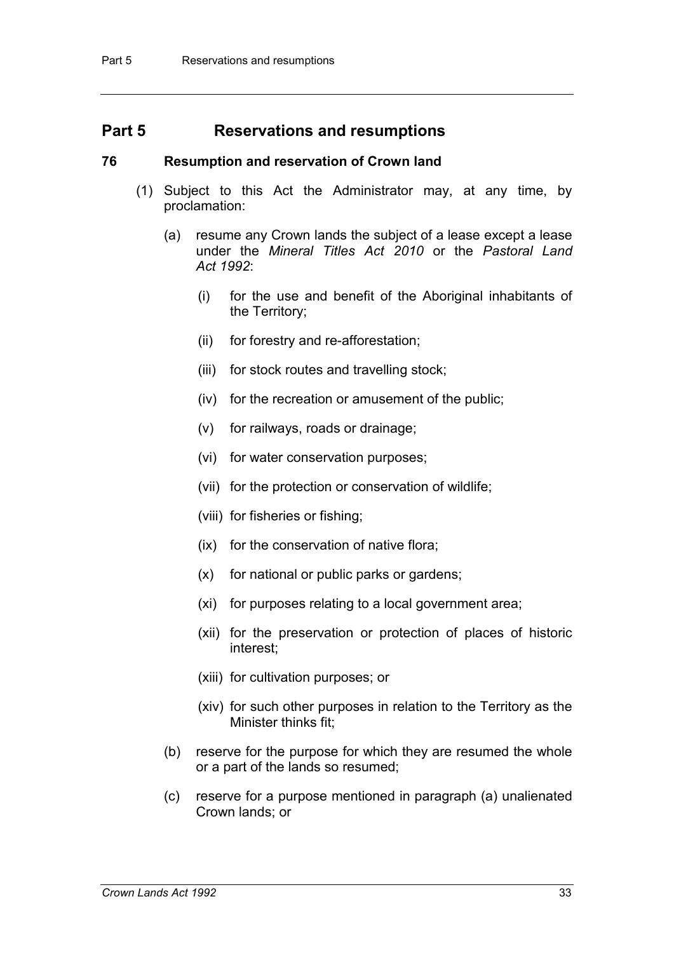### **Part 5 Reservations and resumptions**

#### **76 Resumption and reservation of Crown land**

- (1) Subject to this Act the Administrator may, at any time, by proclamation:
	- (a) resume any Crown lands the subject of a lease except a lease under the *Mineral Titles Act 2010* or the *Pastoral Land Act 1992*:
		- (i) for the use and benefit of the Aboriginal inhabitants of the Territory;
		- (ii) for forestry and re-afforestation;
		- (iii) for stock routes and travelling stock;
		- (iv) for the recreation or amusement of the public;
		- (v) for railways, roads or drainage;
		- (vi) for water conservation purposes;
		- (vii) for the protection or conservation of wildlife;
		- (viii) for fisheries or fishing;
		- (ix) for the conservation of native flora;
		- (x) for national or public parks or gardens;
		- (xi) for purposes relating to a local government area;
		- (xii) for the preservation or protection of places of historic interest;
		- (xiii) for cultivation purposes; or
		- (xiv) for such other purposes in relation to the Territory as the Minister thinks fit;
	- (b) reserve for the purpose for which they are resumed the whole or a part of the lands so resumed;
	- (c) reserve for a purpose mentioned in paragraph (a) unalienated Crown lands; or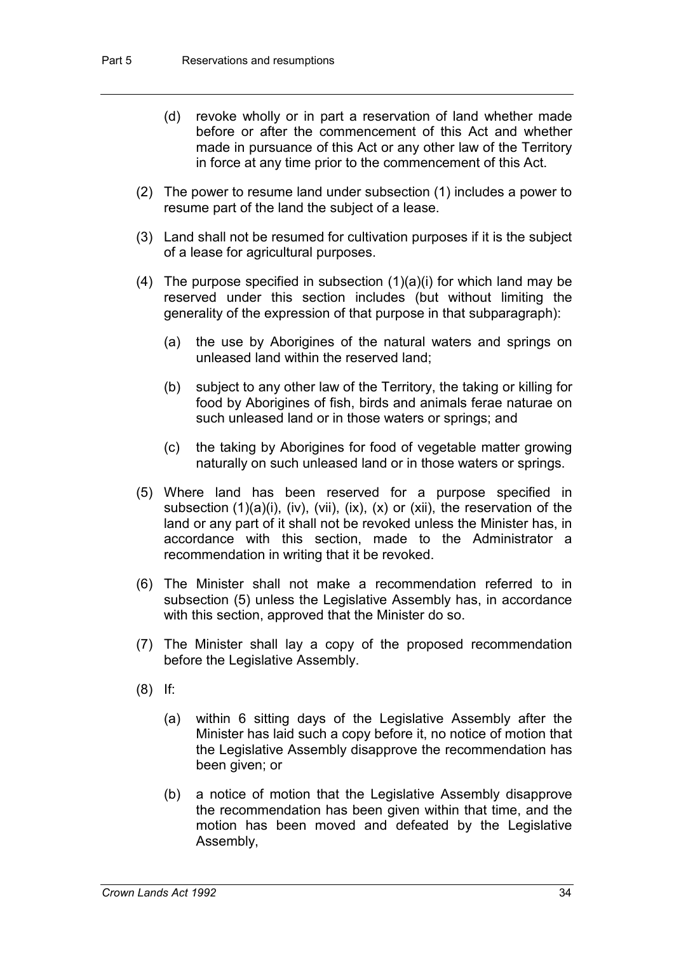- (d) revoke wholly or in part a reservation of land whether made before or after the commencement of this Act and whether made in pursuance of this Act or any other law of the Territory in force at any time prior to the commencement of this Act.
- (2) The power to resume land under subsection (1) includes a power to resume part of the land the subject of a lease.
- (3) Land shall not be resumed for cultivation purposes if it is the subject of a lease for agricultural purposes.
- (4) The purpose specified in subsection  $(1)(a)(i)$  for which land may be reserved under this section includes (but without limiting the generality of the expression of that purpose in that subparagraph):
	- (a) the use by Aborigines of the natural waters and springs on unleased land within the reserved land;
	- (b) subject to any other law of the Territory, the taking or killing for food by Aborigines of fish, birds and animals ferae naturae on such unleased land or in those waters or springs; and
	- (c) the taking by Aborigines for food of vegetable matter growing naturally on such unleased land or in those waters or springs.
- (5) Where land has been reserved for a purpose specified in subsection (1)(a)(i), (iv), (vii), (ix), (x) or (xii), the reservation of the land or any part of it shall not be revoked unless the Minister has, in accordance with this section, made to the Administrator a recommendation in writing that it be revoked.
- (6) The Minister shall not make a recommendation referred to in subsection (5) unless the Legislative Assembly has, in accordance with this section, approved that the Minister do so.
- (7) The Minister shall lay a copy of the proposed recommendation before the Legislative Assembly.
- (8) If:
	- (a) within 6 sitting days of the Legislative Assembly after the Minister has laid such a copy before it, no notice of motion that the Legislative Assembly disapprove the recommendation has been given; or
	- (b) a notice of motion that the Legislative Assembly disapprove the recommendation has been given within that time, and the motion has been moved and defeated by the Legislative Assembly,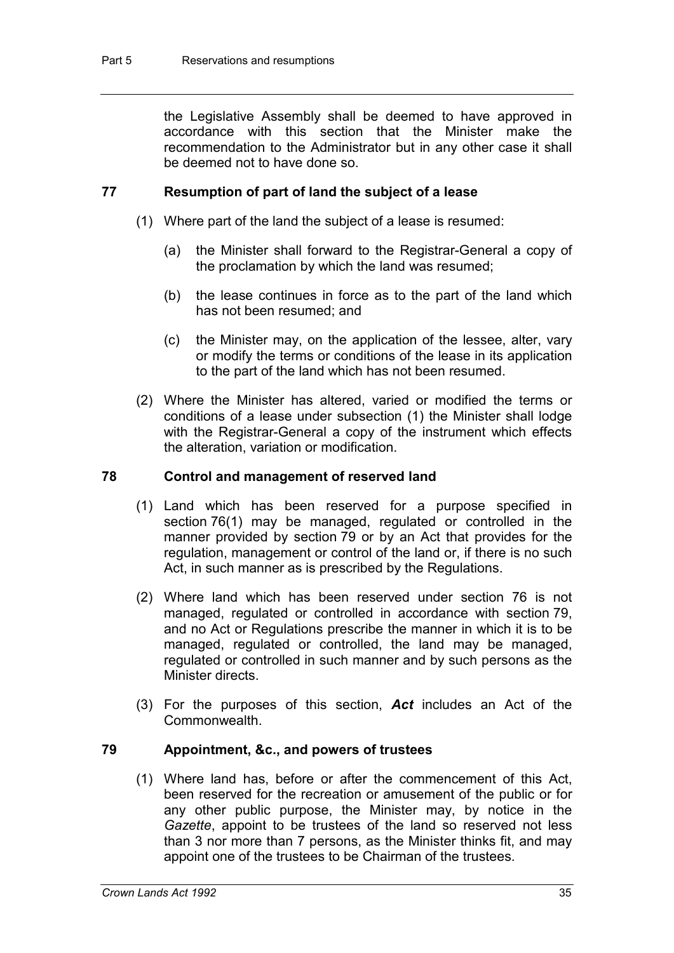the Legislative Assembly shall be deemed to have approved in accordance with this section that the Minister make the recommendation to the Administrator but in any other case it shall be deemed not to have done so.

#### **77 Resumption of part of land the subject of a lease**

- (1) Where part of the land the subject of a lease is resumed:
	- (a) the Minister shall forward to the Registrar-General a copy of the proclamation by which the land was resumed;
	- (b) the lease continues in force as to the part of the land which has not been resumed; and
	- (c) the Minister may, on the application of the lessee, alter, vary or modify the terms or conditions of the lease in its application to the part of the land which has not been resumed.
- (2) Where the Minister has altered, varied or modified the terms or conditions of a lease under subsection (1) the Minister shall lodge with the Registrar-General a copy of the instrument which effects the alteration, variation or modification.

#### **78 Control and management of reserved land**

- (1) Land which has been reserved for a purpose specified in section 76(1) may be managed, regulated or controlled in the manner provided by section 79 or by an Act that provides for the regulation, management or control of the land or, if there is no such Act, in such manner as is prescribed by the Regulations.
- (2) Where land which has been reserved under section 76 is not managed, regulated or controlled in accordance with section 79, and no Act or Regulations prescribe the manner in which it is to be managed, regulated or controlled, the land may be managed, regulated or controlled in such manner and by such persons as the Minister directs.
- (3) For the purposes of this section, *Act* includes an Act of the Commonwealth.

#### **79 Appointment, &c., and powers of trustees**

(1) Where land has, before or after the commencement of this Act, been reserved for the recreation or amusement of the public or for any other public purpose, the Minister may, by notice in the *Gazette*, appoint to be trustees of the land so reserved not less than 3 nor more than 7 persons, as the Minister thinks fit, and may appoint one of the trustees to be Chairman of the trustees.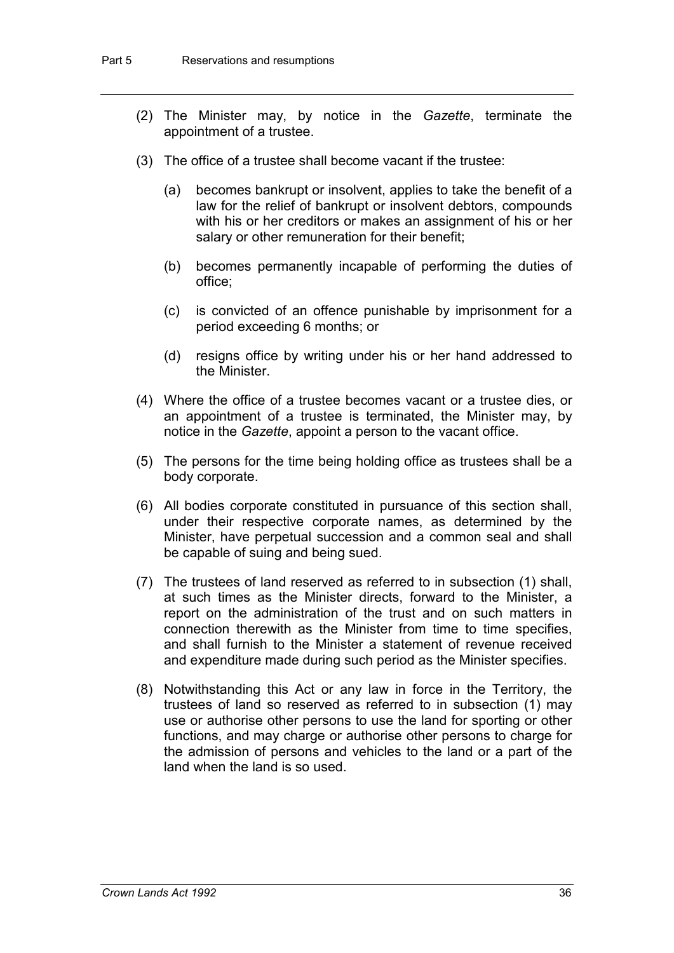- (2) The Minister may, by notice in the *Gazette*, terminate the appointment of a trustee.
- (3) The office of a trustee shall become vacant if the trustee:
	- (a) becomes bankrupt or insolvent, applies to take the benefit of a law for the relief of bankrupt or insolvent debtors, compounds with his or her creditors or makes an assignment of his or her salary or other remuneration for their benefit;
	- (b) becomes permanently incapable of performing the duties of office;
	- (c) is convicted of an offence punishable by imprisonment for a period exceeding 6 months; or
	- (d) resigns office by writing under his or her hand addressed to the Minister.
- (4) Where the office of a trustee becomes vacant or a trustee dies, or an appointment of a trustee is terminated, the Minister may, by notice in the *Gazette*, appoint a person to the vacant office.
- (5) The persons for the time being holding office as trustees shall be a body corporate.
- (6) All bodies corporate constituted in pursuance of this section shall, under their respective corporate names, as determined by the Minister, have perpetual succession and a common seal and shall be capable of suing and being sued.
- (7) The trustees of land reserved as referred to in subsection (1) shall, at such times as the Minister directs, forward to the Minister, a report on the administration of the trust and on such matters in connection therewith as the Minister from time to time specifies, and shall furnish to the Minister a statement of revenue received and expenditure made during such period as the Minister specifies.
- (8) Notwithstanding this Act or any law in force in the Territory, the trustees of land so reserved as referred to in subsection (1) may use or authorise other persons to use the land for sporting or other functions, and may charge or authorise other persons to charge for the admission of persons and vehicles to the land or a part of the land when the land is so used.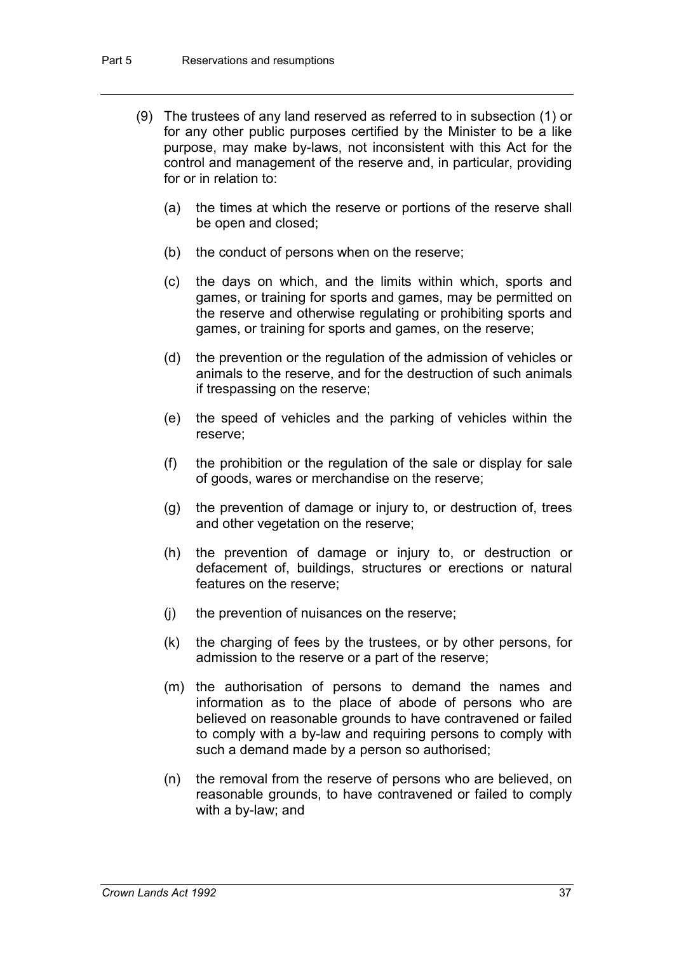- (9) The trustees of any land reserved as referred to in subsection (1) or for any other public purposes certified by the Minister to be a like purpose, may make by-laws, not inconsistent with this Act for the control and management of the reserve and, in particular, providing for or in relation to:
	- (a) the times at which the reserve or portions of the reserve shall be open and closed;
	- (b) the conduct of persons when on the reserve;
	- (c) the days on which, and the limits within which, sports and games, or training for sports and games, may be permitted on the reserve and otherwise regulating or prohibiting sports and games, or training for sports and games, on the reserve;
	- (d) the prevention or the regulation of the admission of vehicles or animals to the reserve, and for the destruction of such animals if trespassing on the reserve;
	- (e) the speed of vehicles and the parking of vehicles within the reserve;
	- (f) the prohibition or the regulation of the sale or display for sale of goods, wares or merchandise on the reserve;
	- (g) the prevention of damage or injury to, or destruction of, trees and other vegetation on the reserve;
	- (h) the prevention of damage or injury to, or destruction or defacement of, buildings, structures or erections or natural features on the reserve;
	- (j) the prevention of nuisances on the reserve;
	- (k) the charging of fees by the trustees, or by other persons, for admission to the reserve or a part of the reserve;
	- (m) the authorisation of persons to demand the names and information as to the place of abode of persons who are believed on reasonable grounds to have contravened or failed to comply with a by-law and requiring persons to comply with such a demand made by a person so authorised;
	- (n) the removal from the reserve of persons who are believed, on reasonable grounds, to have contravened or failed to comply with a by-law; and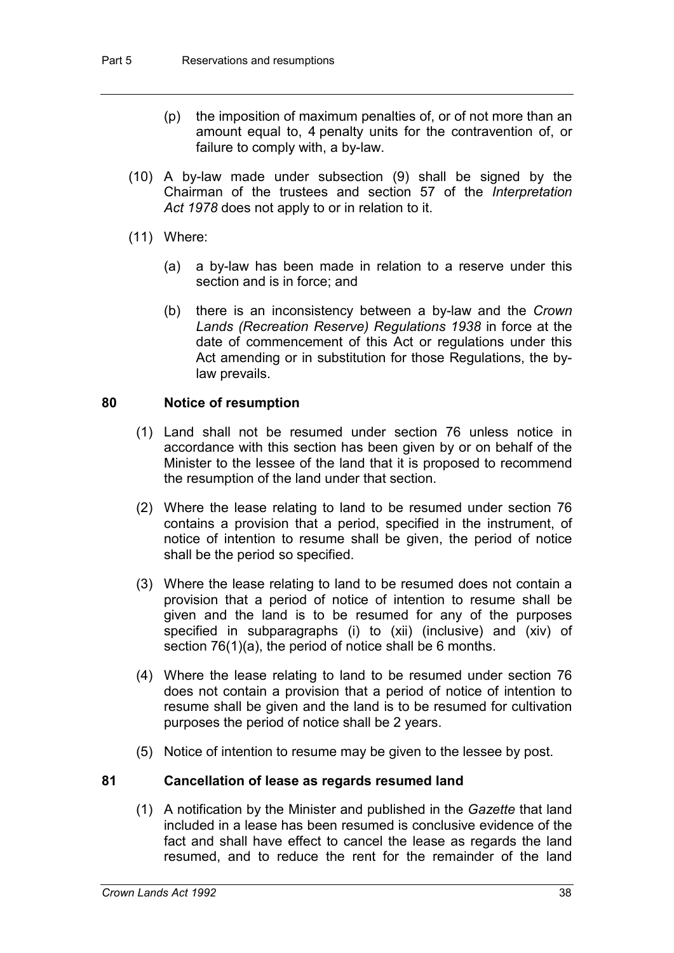- (p) the imposition of maximum penalties of, or of not more than an amount equal to, 4 penalty units for the contravention of, or failure to comply with, a by-law.
- (10) A by-law made under subsection (9) shall be signed by the Chairman of the trustees and section 57 of the *Interpretation Act 1978* does not apply to or in relation to it.
- (11) Where:
	- (a) a by-law has been made in relation to a reserve under this section and is in force; and
	- (b) there is an inconsistency between a by-law and the *Crown Lands (Recreation Reserve) Regulations 1938* in force at the date of commencement of this Act or regulations under this Act amending or in substitution for those Regulations, the bylaw prevails.

#### **80 Notice of resumption**

- (1) Land shall not be resumed under section 76 unless notice in accordance with this section has been given by or on behalf of the Minister to the lessee of the land that it is proposed to recommend the resumption of the land under that section.
- (2) Where the lease relating to land to be resumed under section 76 contains a provision that a period, specified in the instrument, of notice of intention to resume shall be given, the period of notice shall be the period so specified.
- (3) Where the lease relating to land to be resumed does not contain a provision that a period of notice of intention to resume shall be given and the land is to be resumed for any of the purposes specified in subparagraphs (i) to (xii) (inclusive) and (xiv) of section 76(1)(a), the period of notice shall be 6 months.
- (4) Where the lease relating to land to be resumed under section 76 does not contain a provision that a period of notice of intention to resume shall be given and the land is to be resumed for cultivation purposes the period of notice shall be 2 years.
- (5) Notice of intention to resume may be given to the lessee by post.

#### **81 Cancellation of lease as regards resumed land**

(1) A notification by the Minister and published in the *Gazette* that land included in a lease has been resumed is conclusive evidence of the fact and shall have effect to cancel the lease as regards the land resumed, and to reduce the rent for the remainder of the land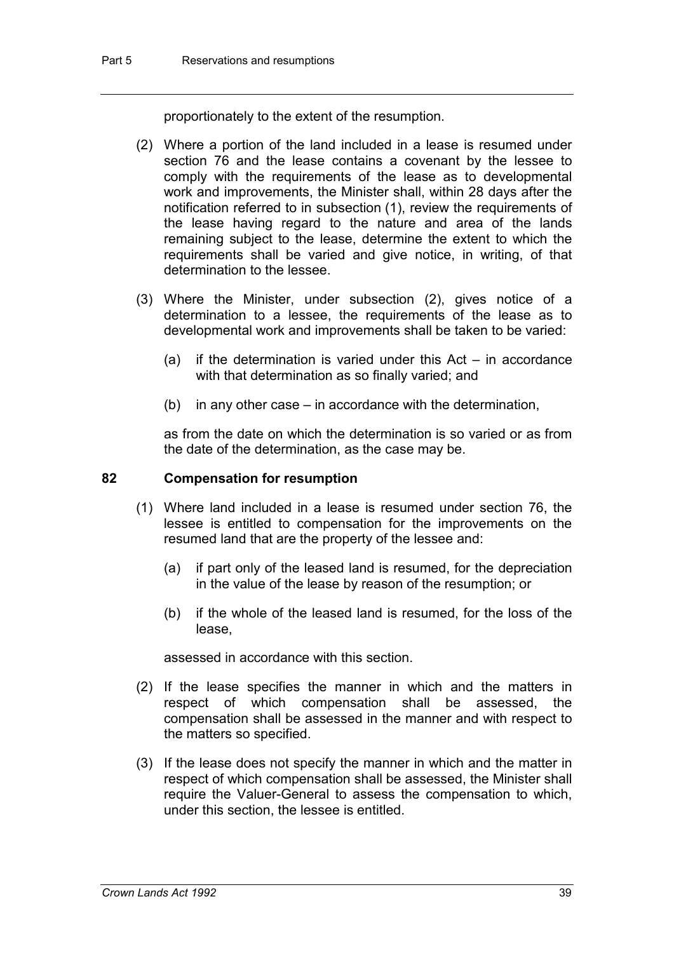proportionately to the extent of the resumption.

- (2) Where a portion of the land included in a lease is resumed under section 76 and the lease contains a covenant by the lessee to comply with the requirements of the lease as to developmental work and improvements, the Minister shall, within 28 days after the notification referred to in subsection (1), review the requirements of the lease having regard to the nature and area of the lands remaining subject to the lease, determine the extent to which the requirements shall be varied and give notice, in writing, of that determination to the lessee.
- (3) Where the Minister, under subsection (2), gives notice of a determination to a lessee, the requirements of the lease as to developmental work and improvements shall be taken to be varied:
	- (a) if the determination is varied under this  $Act in accordance$ with that determination as so finally varied; and
	- (b) in any other case in accordance with the determination,

as from the date on which the determination is so varied or as from the date of the determination, as the case may be.

#### **82 Compensation for resumption**

- (1) Where land included in a lease is resumed under section 76, the lessee is entitled to compensation for the improvements on the resumed land that are the property of the lessee and:
	- (a) if part only of the leased land is resumed, for the depreciation in the value of the lease by reason of the resumption; or
	- (b) if the whole of the leased land is resumed, for the loss of the lease,

assessed in accordance with this section.

- (2) If the lease specifies the manner in which and the matters in respect of which compensation shall be assessed, the compensation shall be assessed in the manner and with respect to the matters so specified.
- (3) If the lease does not specify the manner in which and the matter in respect of which compensation shall be assessed, the Minister shall require the Valuer-General to assess the compensation to which, under this section, the lessee is entitled.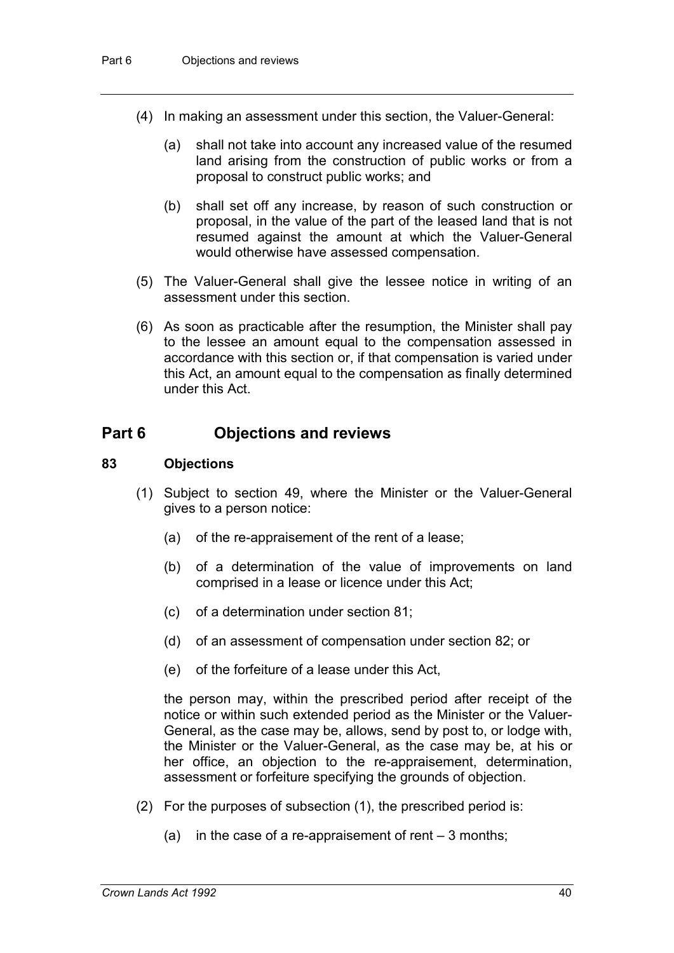- (4) In making an assessment under this section, the Valuer-General:
	- (a) shall not take into account any increased value of the resumed land arising from the construction of public works or from a proposal to construct public works; and
	- (b) shall set off any increase, by reason of such construction or proposal, in the value of the part of the leased land that is not resumed against the amount at which the Valuer-General would otherwise have assessed compensation.
- (5) The Valuer-General shall give the lessee notice in writing of an assessment under this section.
- (6) As soon as practicable after the resumption, the Minister shall pay to the lessee an amount equal to the compensation assessed in accordance with this section or, if that compensation is varied under this Act, an amount equal to the compensation as finally determined under this Act.

### **Part 6 Objections and reviews**

#### **83 Objections**

- (1) Subject to section 49, where the Minister or the Valuer-General gives to a person notice:
	- (a) of the re-appraisement of the rent of a lease;
	- (b) of a determination of the value of improvements on land comprised in a lease or licence under this Act;
	- (c) of a determination under section 81;
	- (d) of an assessment of compensation under section 82; or
	- (e) of the forfeiture of a lease under this Act,

the person may, within the prescribed period after receipt of the notice or within such extended period as the Minister or the Valuer-General, as the case may be, allows, send by post to, or lodge with, the Minister or the Valuer-General, as the case may be, at his or her office, an objection to the re-appraisement, determination, assessment or forfeiture specifying the grounds of objection.

- (2) For the purposes of subsection (1), the prescribed period is:
	- (a) in the case of a re-appraisement of rent  $-3$  months;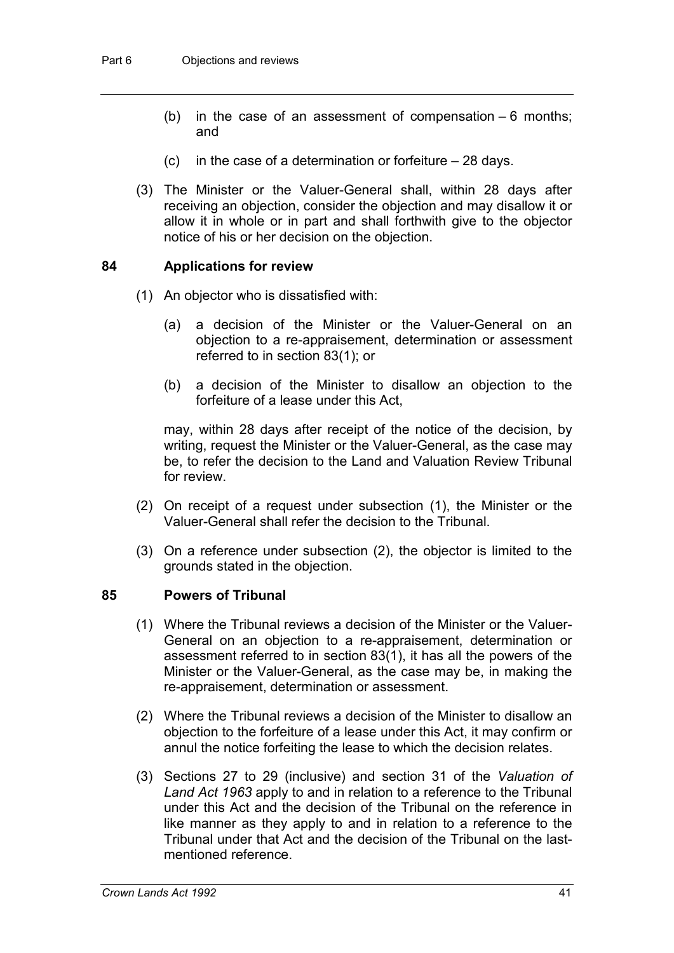- (b) in the case of an assessment of compensation  $-6$  months; and
- (c) in the case of a determination or forfeiture  $-28$  days.
- (3) The Minister or the Valuer-General shall, within 28 days after receiving an objection, consider the objection and may disallow it or allow it in whole or in part and shall forthwith give to the objector notice of his or her decision on the objection.

#### **84 Applications for review**

- (1) An objector who is dissatisfied with:
	- (a) a decision of the Minister or the Valuer-General on an objection to a re-appraisement, determination or assessment referred to in section 83(1); or
	- (b) a decision of the Minister to disallow an objection to the forfeiture of a lease under this Act,

may, within 28 days after receipt of the notice of the decision, by writing, request the Minister or the Valuer-General, as the case may be, to refer the decision to the Land and Valuation Review Tribunal for review.

- (2) On receipt of a request under subsection (1), the Minister or the Valuer-General shall refer the decision to the Tribunal.
- (3) On a reference under subsection (2), the objector is limited to the grounds stated in the objection.

#### **85 Powers of Tribunal**

- (1) Where the Tribunal reviews a decision of the Minister or the Valuer-General on an objection to a re-appraisement, determination or assessment referred to in section 83(1), it has all the powers of the Minister or the Valuer-General, as the case may be, in making the re-appraisement, determination or assessment.
- (2) Where the Tribunal reviews a decision of the Minister to disallow an objection to the forfeiture of a lease under this Act, it may confirm or annul the notice forfeiting the lease to which the decision relates.
- (3) Sections 27 to 29 (inclusive) and section 31 of the *Valuation of Land Act 1963* apply to and in relation to a reference to the Tribunal under this Act and the decision of the Tribunal on the reference in like manner as they apply to and in relation to a reference to the Tribunal under that Act and the decision of the Tribunal on the lastmentioned reference.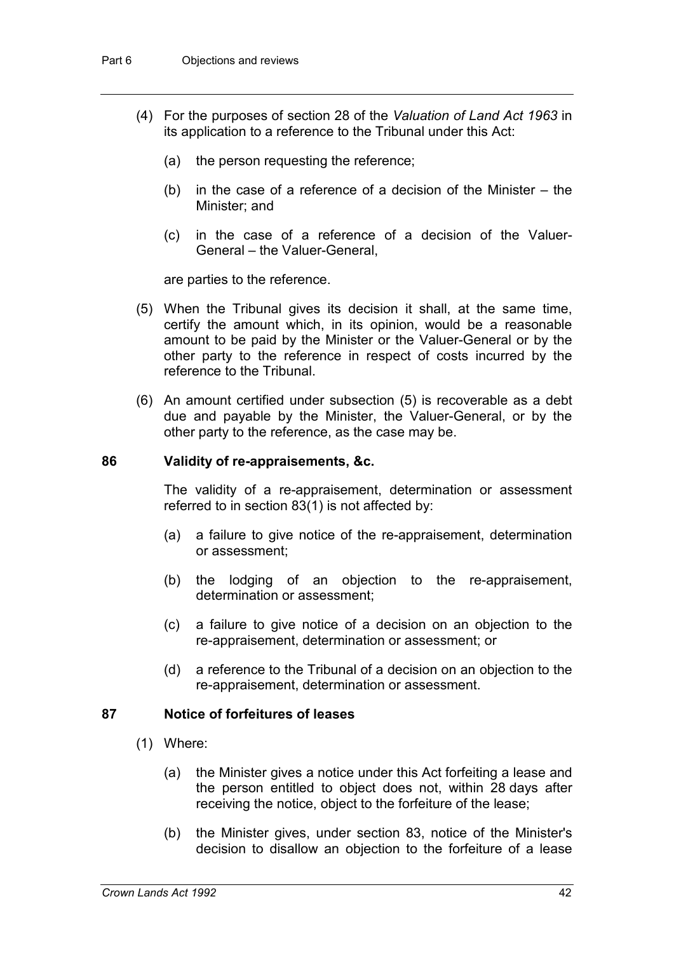- (4) For the purposes of section 28 of the *Valuation of Land Act 1963* in its application to a reference to the Tribunal under this Act:
	- (a) the person requesting the reference;
	- (b) in the case of a reference of a decision of the Minister the Minister; and
	- (c) in the case of a reference of a decision of the Valuer-General – the Valuer-General,

are parties to the reference.

- (5) When the Tribunal gives its decision it shall, at the same time, certify the amount which, in its opinion, would be a reasonable amount to be paid by the Minister or the Valuer-General or by the other party to the reference in respect of costs incurred by the reference to the Tribunal.
- (6) An amount certified under subsection (5) is recoverable as a debt due and payable by the Minister, the Valuer-General, or by the other party to the reference, as the case may be.

#### **86 Validity of re-appraisements, &c.**

The validity of a re-appraisement, determination or assessment referred to in section 83(1) is not affected by:

- (a) a failure to give notice of the re-appraisement, determination or assessment;
- (b) the lodging of an objection to the re-appraisement, determination or assessment;
- (c) a failure to give notice of a decision on an objection to the re-appraisement, determination or assessment; or
- (d) a reference to the Tribunal of a decision on an objection to the re-appraisement, determination or assessment.

#### **87 Notice of forfeitures of leases**

- (1) Where:
	- (a) the Minister gives a notice under this Act forfeiting a lease and the person entitled to object does not, within 28 days after receiving the notice, object to the forfeiture of the lease;
	- (b) the Minister gives, under section 83, notice of the Minister's decision to disallow an objection to the forfeiture of a lease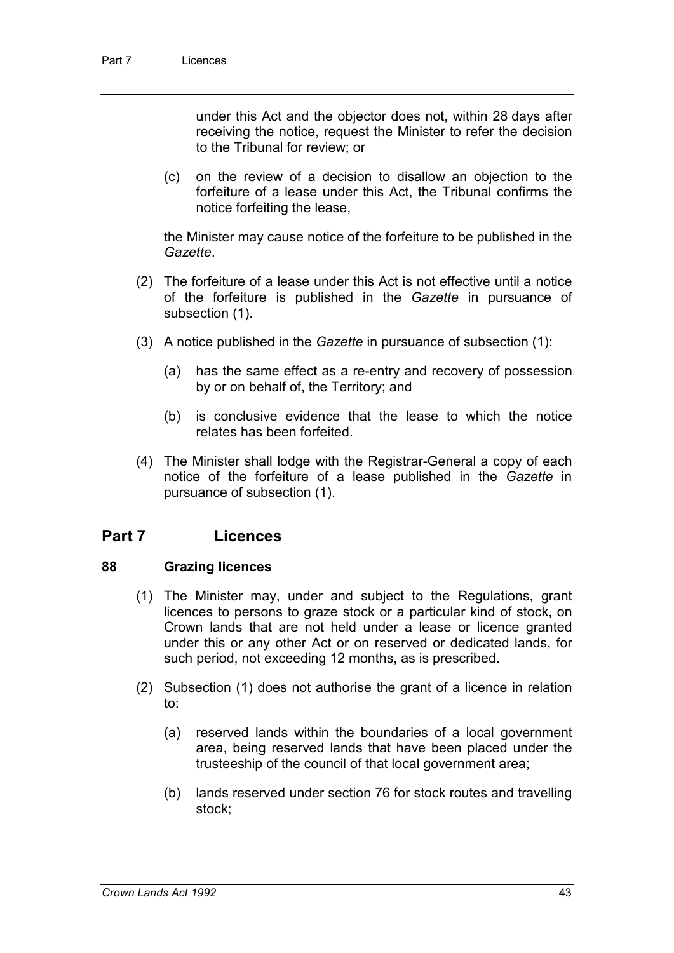under this Act and the objector does not, within 28 days after receiving the notice, request the Minister to refer the decision to the Tribunal for review; or

(c) on the review of a decision to disallow an objection to the forfeiture of a lease under this Act, the Tribunal confirms the notice forfeiting the lease,

the Minister may cause notice of the forfeiture to be published in the *Gazette*.

- (2) The forfeiture of a lease under this Act is not effective until a notice of the forfeiture is published in the *Gazette* in pursuance of subsection (1).
- (3) A notice published in the *Gazette* in pursuance of subsection (1):
	- (a) has the same effect as a re-entry and recovery of possession by or on behalf of, the Territory; and
	- (b) is conclusive evidence that the lease to which the notice relates has been forfeited.
- (4) The Minister shall lodge with the Registrar-General a copy of each notice of the forfeiture of a lease published in the *Gazette* in pursuance of subsection (1).

### **Part 7 Licences**

#### **88 Grazing licences**

- (1) The Minister may, under and subject to the Regulations, grant licences to persons to graze stock or a particular kind of stock, on Crown lands that are not held under a lease or licence granted under this or any other Act or on reserved or dedicated lands, for such period, not exceeding 12 months, as is prescribed.
- (2) Subsection (1) does not authorise the grant of a licence in relation to:
	- (a) reserved lands within the boundaries of a local government area, being reserved lands that have been placed under the trusteeship of the council of that local government area;
	- (b) lands reserved under section 76 for stock routes and travelling stock;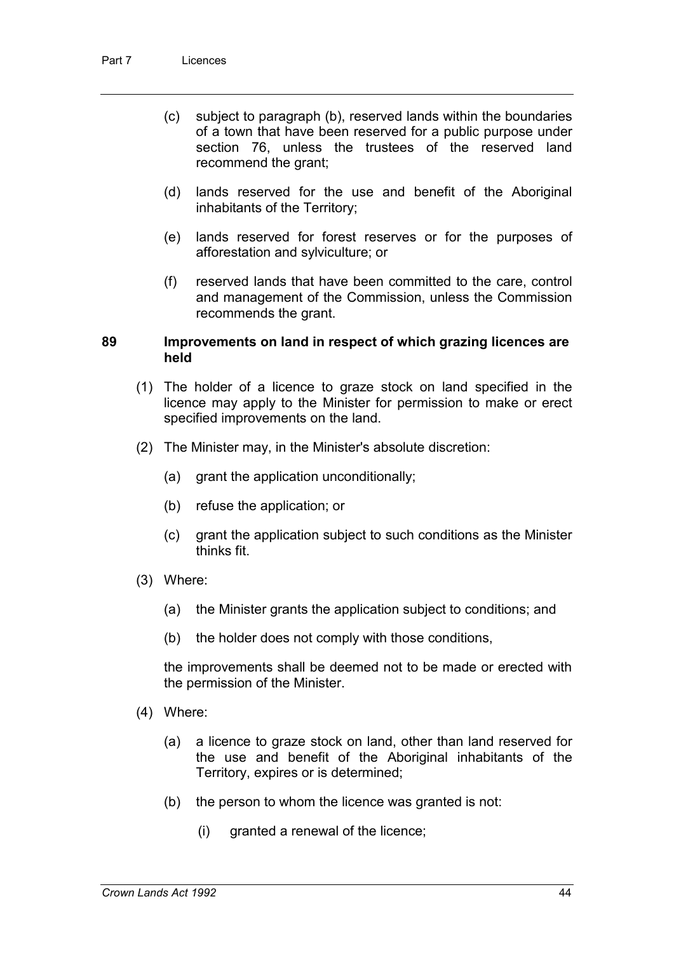- (c) subject to paragraph (b), reserved lands within the boundaries of a town that have been reserved for a public purpose under section 76, unless the trustees of the reserved land recommend the grant;
- (d) lands reserved for the use and benefit of the Aboriginal inhabitants of the Territory;
- (e) lands reserved for forest reserves or for the purposes of afforestation and sylviculture; or
- (f) reserved lands that have been committed to the care, control and management of the Commission, unless the Commission recommends the grant.

#### **89 Improvements on land in respect of which grazing licences are held**

- (1) The holder of a licence to graze stock on land specified in the licence may apply to the Minister for permission to make or erect specified improvements on the land.
- (2) The Minister may, in the Minister's absolute discretion:
	- (a) grant the application unconditionally;
	- (b) refuse the application; or
	- (c) grant the application subject to such conditions as the Minister thinks fit.
- (3) Where:
	- (a) the Minister grants the application subject to conditions; and
	- (b) the holder does not comply with those conditions,

the improvements shall be deemed not to be made or erected with the permission of the Minister.

- (4) Where:
	- (a) a licence to graze stock on land, other than land reserved for the use and benefit of the Aboriginal inhabitants of the Territory, expires or is determined;
	- (b) the person to whom the licence was granted is not:
		- (i) granted a renewal of the licence;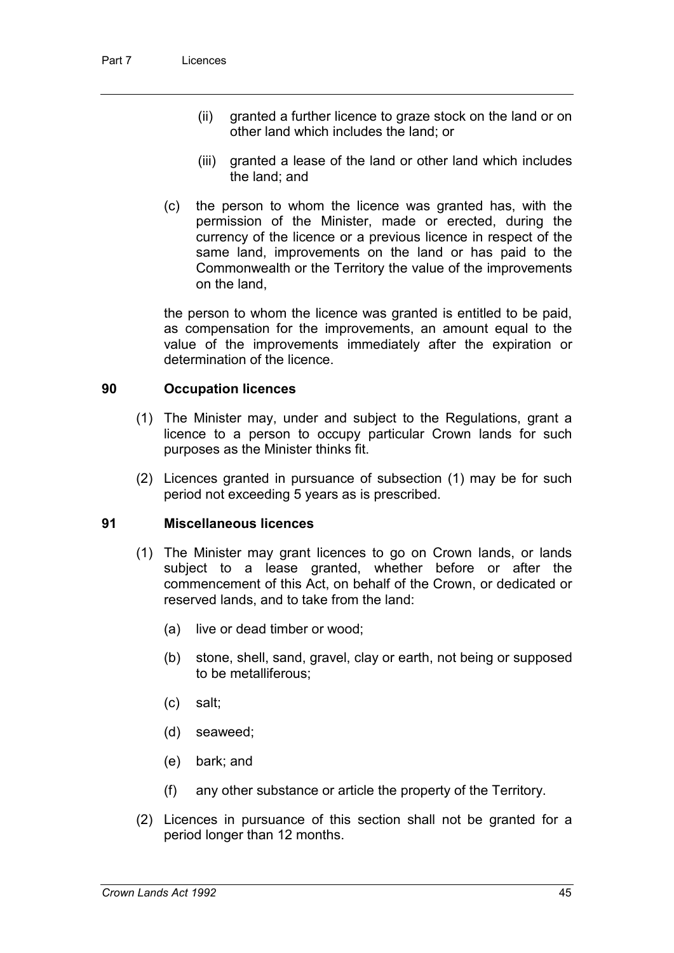- (ii) granted a further licence to graze stock on the land or on other land which includes the land; or
- (iii) granted a lease of the land or other land which includes the land; and
- (c) the person to whom the licence was granted has, with the permission of the Minister, made or erected, during the currency of the licence or a previous licence in respect of the same land, improvements on the land or has paid to the Commonwealth or the Territory the value of the improvements on the land,

the person to whom the licence was granted is entitled to be paid, as compensation for the improvements, an amount equal to the value of the improvements immediately after the expiration or determination of the licence.

#### **90 Occupation licences**

- (1) The Minister may, under and subject to the Regulations, grant a licence to a person to occupy particular Crown lands for such purposes as the Minister thinks fit.
- (2) Licences granted in pursuance of subsection (1) may be for such period not exceeding 5 years as is prescribed.

#### **91 Miscellaneous licences**

- (1) The Minister may grant licences to go on Crown lands, or lands subject to a lease granted, whether before or after the commencement of this Act, on behalf of the Crown, or dedicated or reserved lands, and to take from the land:
	- (a) live or dead timber or wood;
	- (b) stone, shell, sand, gravel, clay or earth, not being or supposed to be metalliferous;
	- (c) salt;
	- (d) seaweed;
	- (e) bark; and
	- (f) any other substance or article the property of the Territory.
- (2) Licences in pursuance of this section shall not be granted for a period longer than 12 months.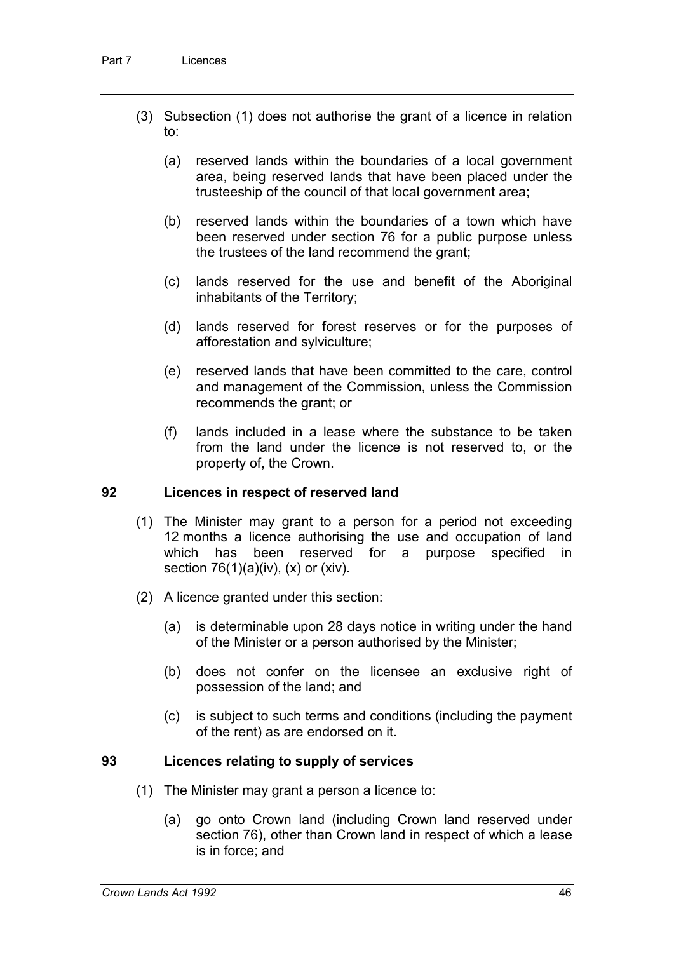- (3) Subsection (1) does not authorise the grant of a licence in relation to:
	- (a) reserved lands within the boundaries of a local government area, being reserved lands that have been placed under the trusteeship of the council of that local government area;
	- (b) reserved lands within the boundaries of a town which have been reserved under section 76 for a public purpose unless the trustees of the land recommend the grant;
	- (c) lands reserved for the use and benefit of the Aboriginal inhabitants of the Territory;
	- (d) lands reserved for forest reserves or for the purposes of afforestation and sylviculture;
	- (e) reserved lands that have been committed to the care, control and management of the Commission, unless the Commission recommends the grant; or
	- (f) lands included in a lease where the substance to be taken from the land under the licence is not reserved to, or the property of, the Crown.

#### **92 Licences in respect of reserved land**

- (1) The Minister may grant to a person for a period not exceeding 12 months a licence authorising the use and occupation of land which has been reserved for a purpose specified in section  $76(1)(a)(iv)$ ,  $(x)$  or  $(xiv)$ .
- (2) A licence granted under this section:
	- (a) is determinable upon 28 days notice in writing under the hand of the Minister or a person authorised by the Minister;
	- (b) does not confer on the licensee an exclusive right of possession of the land; and
	- (c) is subject to such terms and conditions (including the payment of the rent) as are endorsed on it.

#### **93 Licences relating to supply of services**

- (1) The Minister may grant a person a licence to:
	- (a) go onto Crown land (including Crown land reserved under section 76), other than Crown land in respect of which a lease is in force; and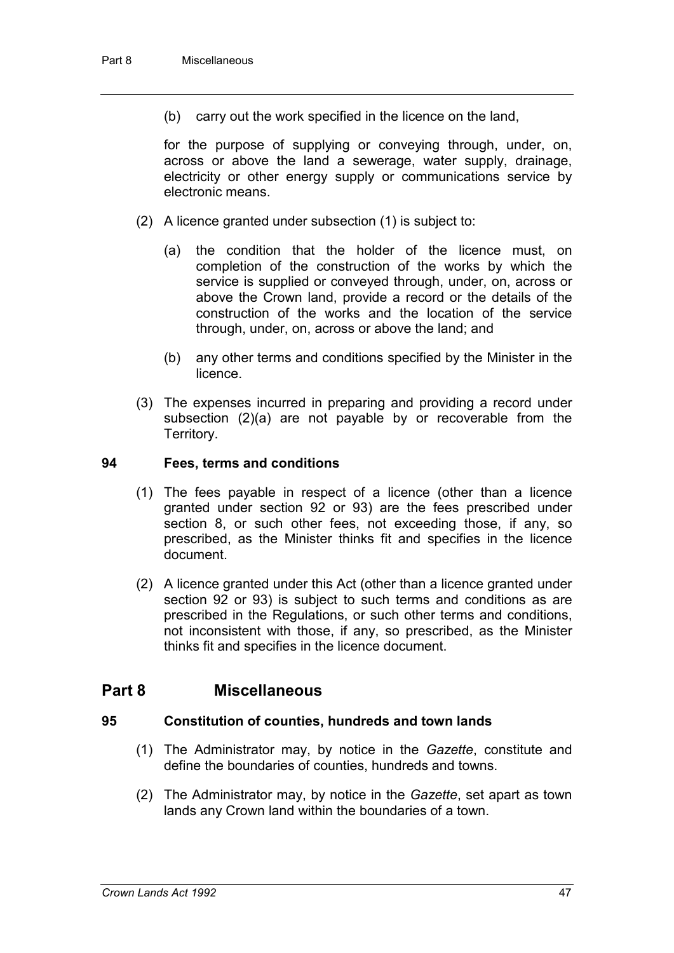(b) carry out the work specified in the licence on the land,

for the purpose of supplying or conveying through, under, on, across or above the land a sewerage, water supply, drainage, electricity or other energy supply or communications service by electronic means.

- (2) A licence granted under subsection (1) is subject to:
	- (a) the condition that the holder of the licence must, on completion of the construction of the works by which the service is supplied or conveyed through, under, on, across or above the Crown land, provide a record or the details of the construction of the works and the location of the service through, under, on, across or above the land; and
	- (b) any other terms and conditions specified by the Minister in the licence.
- (3) The expenses incurred in preparing and providing a record under subsection (2)(a) are not payable by or recoverable from the Territory.

#### **94 Fees, terms and conditions**

- (1) The fees payable in respect of a licence (other than a licence granted under section 92 or 93) are the fees prescribed under section 8, or such other fees, not exceeding those, if any, so prescribed, as the Minister thinks fit and specifies in the licence document.
- (2) A licence granted under this Act (other than a licence granted under section 92 or 93) is subject to such terms and conditions as are prescribed in the Regulations, or such other terms and conditions, not inconsistent with those, if any, so prescribed, as the Minister thinks fit and specifies in the licence document.

#### **Part 8 Miscellaneous**

#### **95 Constitution of counties, hundreds and town lands**

- (1) The Administrator may, by notice in the *Gazette*, constitute and define the boundaries of counties, hundreds and towns.
- (2) The Administrator may, by notice in the *Gazette*, set apart as town lands any Crown land within the boundaries of a town.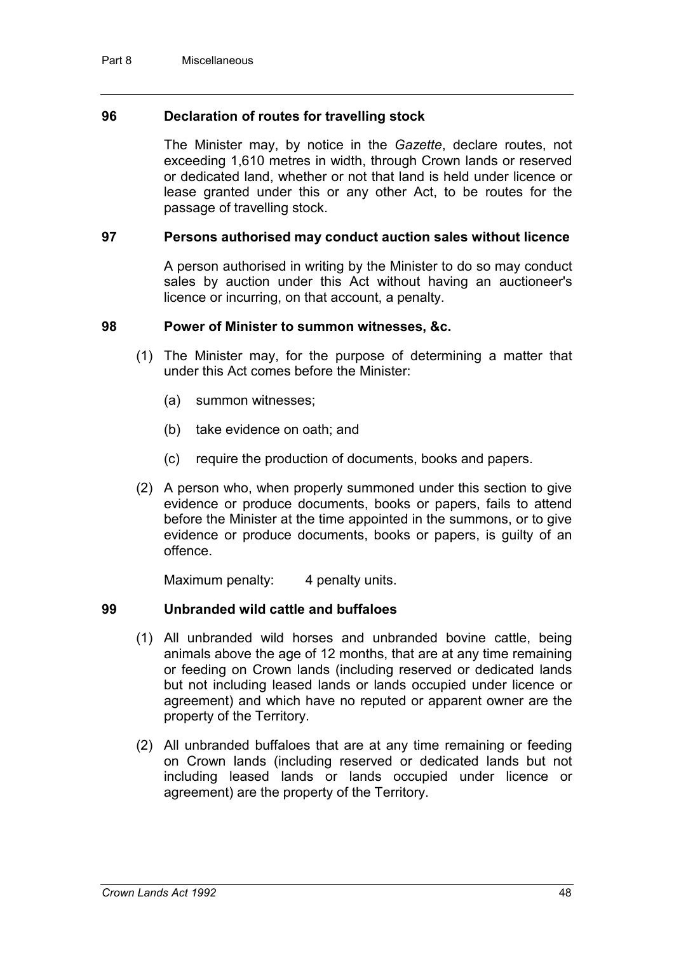#### **96 Declaration of routes for travelling stock**

The Minister may, by notice in the *Gazette*, declare routes, not exceeding 1,610 metres in width, through Crown lands or reserved or dedicated land, whether or not that land is held under licence or lease granted under this or any other Act, to be routes for the passage of travelling stock.

#### **97 Persons authorised may conduct auction sales without licence**

A person authorised in writing by the Minister to do so may conduct sales by auction under this Act without having an auctioneer's licence or incurring, on that account, a penalty.

#### **98 Power of Minister to summon witnesses, &c.**

- (1) The Minister may, for the purpose of determining a matter that under this Act comes before the Minister:
	- (a) summon witnesses;
	- (b) take evidence on oath; and
	- (c) require the production of documents, books and papers.
- (2) A person who, when properly summoned under this section to give evidence or produce documents, books or papers, fails to attend before the Minister at the time appointed in the summons, or to give evidence or produce documents, books or papers, is guilty of an offence.

Maximum penalty: 4 penalty units.

#### **99 Unbranded wild cattle and buffaloes**

- (1) All unbranded wild horses and unbranded bovine cattle, being animals above the age of 12 months, that are at any time remaining or feeding on Crown lands (including reserved or dedicated lands but not including leased lands or lands occupied under licence or agreement) and which have no reputed or apparent owner are the property of the Territory.
- (2) All unbranded buffaloes that are at any time remaining or feeding on Crown lands (including reserved or dedicated lands but not including leased lands or lands occupied under licence or agreement) are the property of the Territory.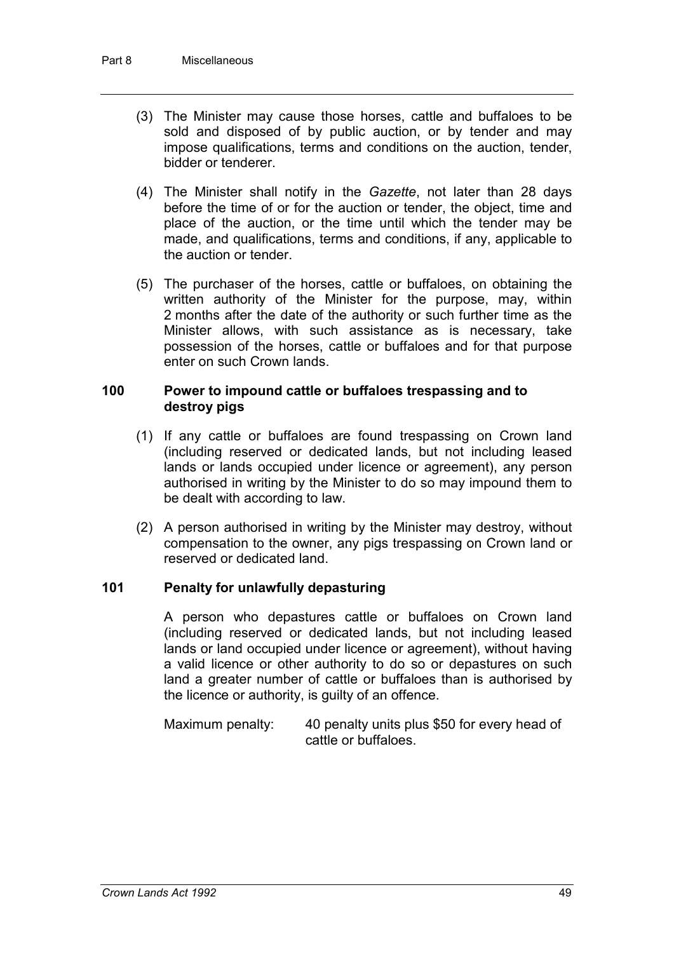- (3) The Minister may cause those horses, cattle and buffaloes to be sold and disposed of by public auction, or by tender and may impose qualifications, terms and conditions on the auction, tender, bidder or tenderer.
- (4) The Minister shall notify in the *Gazette*, not later than 28 days before the time of or for the auction or tender, the object, time and place of the auction, or the time until which the tender may be made, and qualifications, terms and conditions, if any, applicable to the auction or tender.
- (5) The purchaser of the horses, cattle or buffaloes, on obtaining the written authority of the Minister for the purpose, may, within 2 months after the date of the authority or such further time as the Minister allows, with such assistance as is necessary, take possession of the horses, cattle or buffaloes and for that purpose enter on such Crown lands.

#### **100 Power to impound cattle or buffaloes trespassing and to destroy pigs**

- (1) If any cattle or buffaloes are found trespassing on Crown land (including reserved or dedicated lands, but not including leased lands or lands occupied under licence or agreement), any person authorised in writing by the Minister to do so may impound them to be dealt with according to law.
- (2) A person authorised in writing by the Minister may destroy, without compensation to the owner, any pigs trespassing on Crown land or reserved or dedicated land.

#### **101 Penalty for unlawfully depasturing**

A person who depastures cattle or buffaloes on Crown land (including reserved or dedicated lands, but not including leased lands or land occupied under licence or agreement), without having a valid licence or other authority to do so or depastures on such land a greater number of cattle or buffaloes than is authorised by the licence or authority, is guilty of an offence.

Maximum penalty: 40 penalty units plus \$50 for every head of cattle or buffaloes.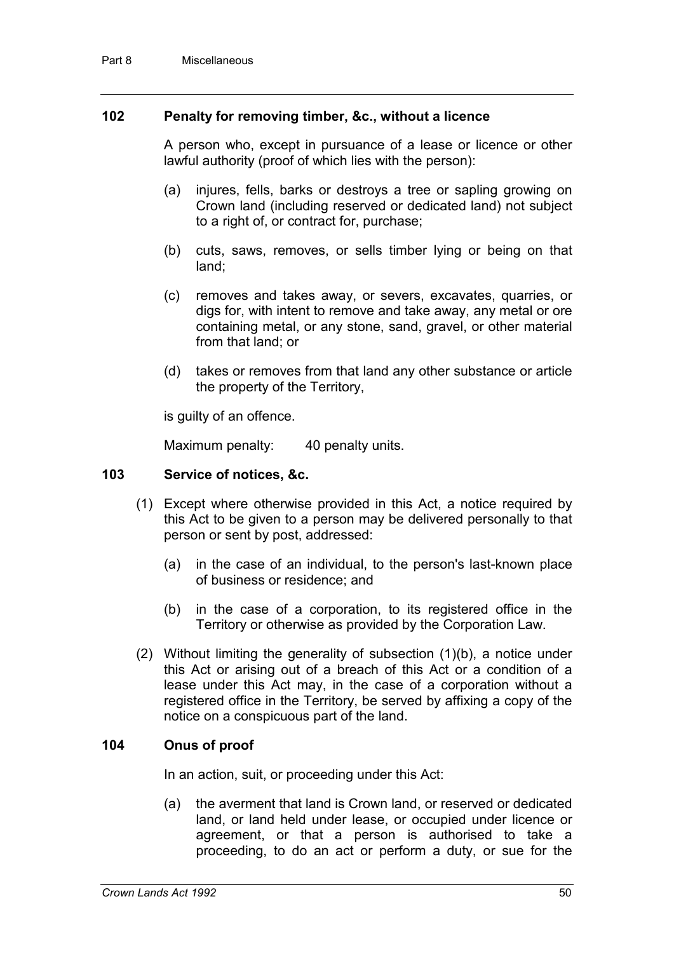#### **102 Penalty for removing timber, &c., without a licence**

A person who, except in pursuance of a lease or licence or other lawful authority (proof of which lies with the person):

- (a) injures, fells, barks or destroys a tree or sapling growing on Crown land (including reserved or dedicated land) not subject to a right of, or contract for, purchase;
- (b) cuts, saws, removes, or sells timber lying or being on that land;
- (c) removes and takes away, or severs, excavates, quarries, or digs for, with intent to remove and take away, any metal or ore containing metal, or any stone, sand, gravel, or other material from that land; or
- (d) takes or removes from that land any other substance or article the property of the Territory,

is guilty of an offence.

Maximum penalty: 40 penalty units.

#### **103 Service of notices, &c.**

- (1) Except where otherwise provided in this Act, a notice required by this Act to be given to a person may be delivered personally to that person or sent by post, addressed:
	- (a) in the case of an individual, to the person's last-known place of business or residence; and
	- (b) in the case of a corporation, to its registered office in the Territory or otherwise as provided by the Corporation Law.
- (2) Without limiting the generality of subsection (1)(b), a notice under this Act or arising out of a breach of this Act or a condition of a lease under this Act may, in the case of a corporation without a registered office in the Territory, be served by affixing a copy of the notice on a conspicuous part of the land.

#### **104 Onus of proof**

In an action, suit, or proceeding under this Act:

(a) the averment that land is Crown land, or reserved or dedicated land, or land held under lease, or occupied under licence or agreement, or that a person is authorised to take a proceeding, to do an act or perform a duty, or sue for the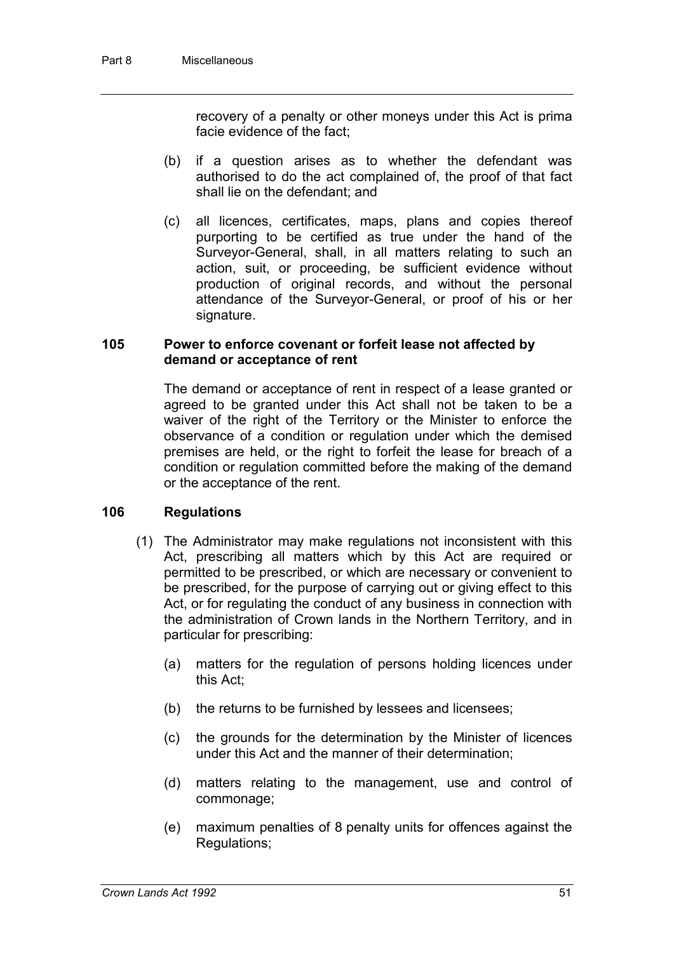recovery of a penalty or other moneys under this Act is prima facie evidence of the fact;

- (b) if a question arises as to whether the defendant was authorised to do the act complained of, the proof of that fact shall lie on the defendant; and
- (c) all licences, certificates, maps, plans and copies thereof purporting to be certified as true under the hand of the Surveyor-General, shall, in all matters relating to such an action, suit, or proceeding, be sufficient evidence without production of original records, and without the personal attendance of the Surveyor-General, or proof of his or her signature.

#### **105 Power to enforce covenant or forfeit lease not affected by demand or acceptance of rent**

The demand or acceptance of rent in respect of a lease granted or agreed to be granted under this Act shall not be taken to be a waiver of the right of the Territory or the Minister to enforce the observance of a condition or regulation under which the demised premises are held, or the right to forfeit the lease for breach of a condition or regulation committed before the making of the demand or the acceptance of the rent.

#### **106 Regulations**

- (1) The Administrator may make regulations not inconsistent with this Act, prescribing all matters which by this Act are required or permitted to be prescribed, or which are necessary or convenient to be prescribed, for the purpose of carrying out or giving effect to this Act, or for regulating the conduct of any business in connection with the administration of Crown lands in the Northern Territory, and in particular for prescribing:
	- (a) matters for the regulation of persons holding licences under this Act;
	- (b) the returns to be furnished by lessees and licensees;
	- (c) the grounds for the determination by the Minister of licences under this Act and the manner of their determination;
	- (d) matters relating to the management, use and control of commonage;
	- (e) maximum penalties of 8 penalty units for offences against the Regulations;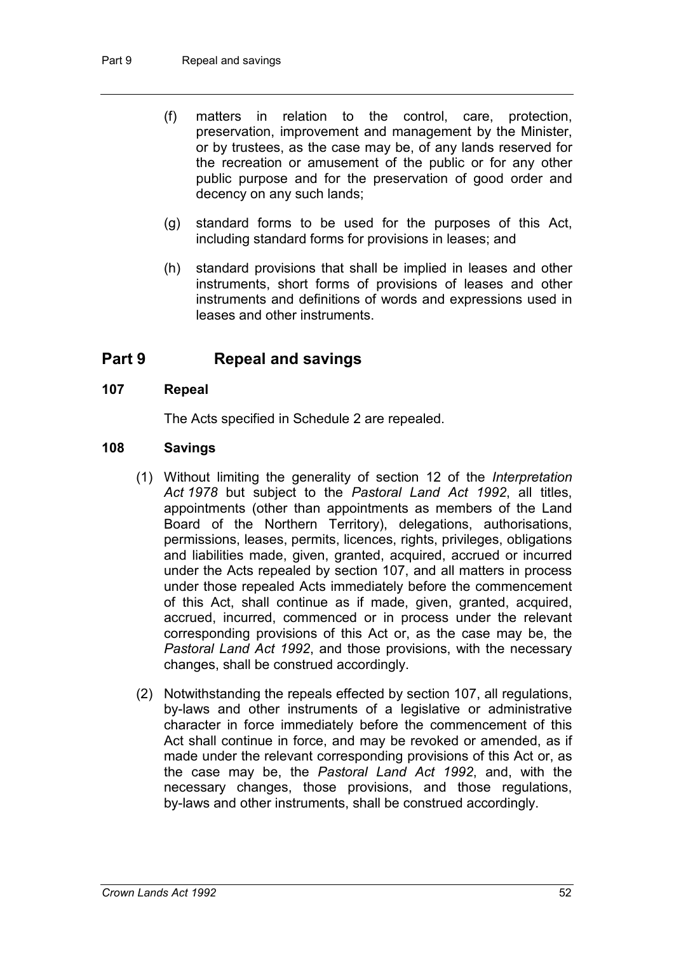- (f) matters in relation to the control, care, protection, preservation, improvement and management by the Minister, or by trustees, as the case may be, of any lands reserved for the recreation or amusement of the public or for any other public purpose and for the preservation of good order and decency on any such lands;
- (g) standard forms to be used for the purposes of this Act, including standard forms for provisions in leases; and
- (h) standard provisions that shall be implied in leases and other instruments, short forms of provisions of leases and other instruments and definitions of words and expressions used in leases and other instruments.

### **Part 9 Repeal and savings**

#### **107 Repeal**

The Acts specified in Schedule 2 are repealed.

#### **108 Savings**

- (1) Without limiting the generality of section 12 of the *Interpretation Act 1978* but subject to the *Pastoral Land Act 1992*, all titles, appointments (other than appointments as members of the Land Board of the Northern Territory), delegations, authorisations, permissions, leases, permits, licences, rights, privileges, obligations and liabilities made, given, granted, acquired, accrued or incurred under the Acts repealed by section 107, and all matters in process under those repealed Acts immediately before the commencement of this Act, shall continue as if made, given, granted, acquired, accrued, incurred, commenced or in process under the relevant corresponding provisions of this Act or, as the case may be, the *Pastoral Land Act 1992*, and those provisions, with the necessary changes, shall be construed accordingly.
- (2) Notwithstanding the repeals effected by section 107, all regulations, by-laws and other instruments of a legislative or administrative character in force immediately before the commencement of this Act shall continue in force, and may be revoked or amended, as if made under the relevant corresponding provisions of this Act or, as the case may be, the *Pastoral Land Act 1992*, and, with the necessary changes, those provisions, and those regulations, by-laws and other instruments, shall be construed accordingly.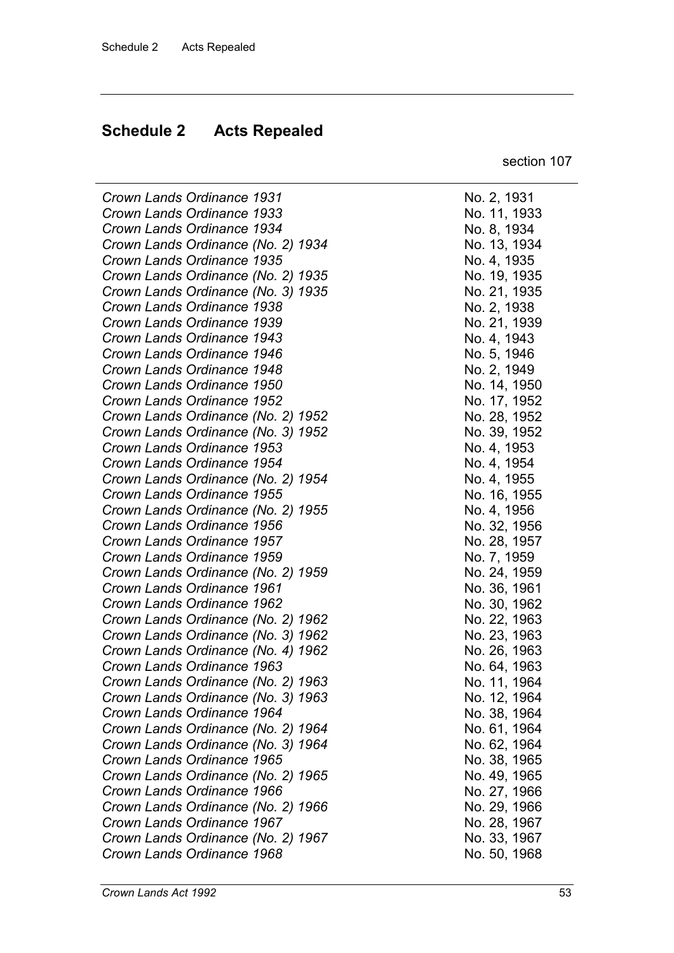### **Schedule 2 Acts Repealed**

section 107

*Crown Lands Ordinance 1931* No. 2, 1931 *Crown Lands Ordinance 1933* No. 11, 1933

| Crown Lands Ordinance 1931         |
|------------------------------------|
| Crown Lands Ordinance 1933         |
| Crown Lands Ordinance 1934         |
| Crown Lands Ordinance (No. 2) 1934 |
| Crown Lands Ordinance 1935         |
| Crown Lands Ordinance (No. 2) 1935 |
| Crown Lands Ordinance (No. 3) 1935 |
| Crown Lands Ordinance 1938         |
| Crown Lands Ordinance 1939         |
| Crown Lands Ordinance 1943         |
| Crown Lands Ordinance 1946         |
| Crown Lands Ordinance 1948         |
| Crown Lands Ordinance 1950         |
| Crown Lands Ordinance 1952         |
| Crown Lands Ordinance (No. 2) 1952 |
| Crown Lands Ordinance (No. 3) 1952 |
| Crown Lands Ordinance 1953         |
| Crown Lands Ordinance 1954         |
| Crown Lands Ordinance (No. 2) 1954 |
| Crown Lands Ordinance 1955         |
| Crown Lands Ordinance (No. 2) 1955 |
| Crown Lands Ordinance 1956         |
| Crown Lands Ordinance 1957         |
| Crown Lands Ordinance 1959         |
| Crown Lands Ordinance (No. 2) 1959 |
| Crown Lands Ordinance 1961         |
| Crown Lands Ordinance 1962         |
| Crown Lands Ordinance (No. 2) 1962 |
| Crown Lands Ordinance (No. 3) 1962 |
| Crown Lands Ordinance (No. 4) 1962 |
| Crown Lands Ordinance 1963         |
| Crown Lands Ordinance (No. 2) 1963 |
| Crown Lands Ordinance (No. 3) 1963 |
| Crown Lands Ordinance 1964         |
| Crown Lands Ordinance (No. 2) 1964 |
| Crown Lands Ordinance (No. 3) 1964 |
| Crown Lands Ordinance 1965         |
| Crown Lands Ordinance (No. 2) 1965 |
| Crown Lands Ordinance 1966         |
| Crown Lands Ordinance (No. 2) 1966 |
| Crown Lands Ordinance 1967         |
| Crown Lands Ordinance (No. 2) 1967 |
| Crown Lands Ordinance 1968         |
|                                    |

*Crown Lands Ordinance 1934* No. 8, 1934 *Crown Lands Ordinance (No. 2) 1934* No. 13, 1934 *Crown Lands Ordinance 1935* No. 4, 1935 *Crown Lands Ordinance (No. 2) 1935* No. 19, 1935 *Crown Lands Ordinance (No. 3) 1935* No. 21, 1935 *Crown Lands Ordinance 1938* No. 2, 1938 *Crown Lands Ordinance 1939* No. 21, 1939 *Crown Lands Ordinance 1943* No. 4, 1943 *Crown Lands Ordinance 1946* No. 5, 1946 *Crown Lands Ordinance 1948* No. 2, 1949 *Crown Lands Ordinance 1950* No. 14, 1950 *Crown Lands Ordinance 1952* No. 17, 1952 *Crown Lands Ordinance (No. 2) 1952* No. 28, 1952 *Crown Lands Ordinance (No. 3) 1952* No. 39, 1952 *Crown Lands Ordinance 1953* No. 4, 1953 *Crown Lands Ordinance 1954* No. 4, 1954 *Crown Lands Ordinance (No. 2) 1954* No. 4, 1955 *Crown Lands Ordinance 1955* No. 16, 1955 *Crown Lands Ordinance (No. 2) 1955* No. 4, 1956 *Crown Lands Ordinance 1956* No. 32, 1956 *Crown Lands Ordinance 1957* No. 28, 1957 *No. 7, 1959 Crown Lands Ordinance (No. 2) 1959* No. 24, 1959 *Crown Lands Ordinance 1961* No. 36, 1961 *Crown Lands Ordinance 1962* No. 30, 1962 *Crown Lands Ordinance (No. 2) 1962* No. 22, 1963 *Crown Lands Ordinance (No. 3) 1962* No. 23, 1963 *Crown Lands Ordinance (No. 4) 1962* No. 26, 1963 *Crown Lands Ordinance 1963* No. 64, 1963 *Crown Lands Ordinance (No. 2) 1963* No. 11, 1964 *Crown Lands Ordinance (No. 3) 1963* No. 12, 1964 *Crown Lands Ordinance 1964* No. 38, 1964 *Crown Lands Ordinance (No. 2) 1964* No. 61, 1964 *Crown Lands Ordinance (No. 3) 1964* No. 62, 1964 *Crown Lands Ordinance 1965* No. 38, 1965 *Crown Lands Ordinance (No. 2) 1965* No. 49, 1965 *Crown Lands Ordinance 1966* No. 27, 1966 *Crown Lands Ordinance (No. 2) 1966* No. 29, 1966 *Crown Lands Ordinance 1967* No. 28, 1967 *Crown Lands Ordinance (No. 2) 1967* No. 33, 1967 *Crown Lands Ordinance 1968* No. 50, 1968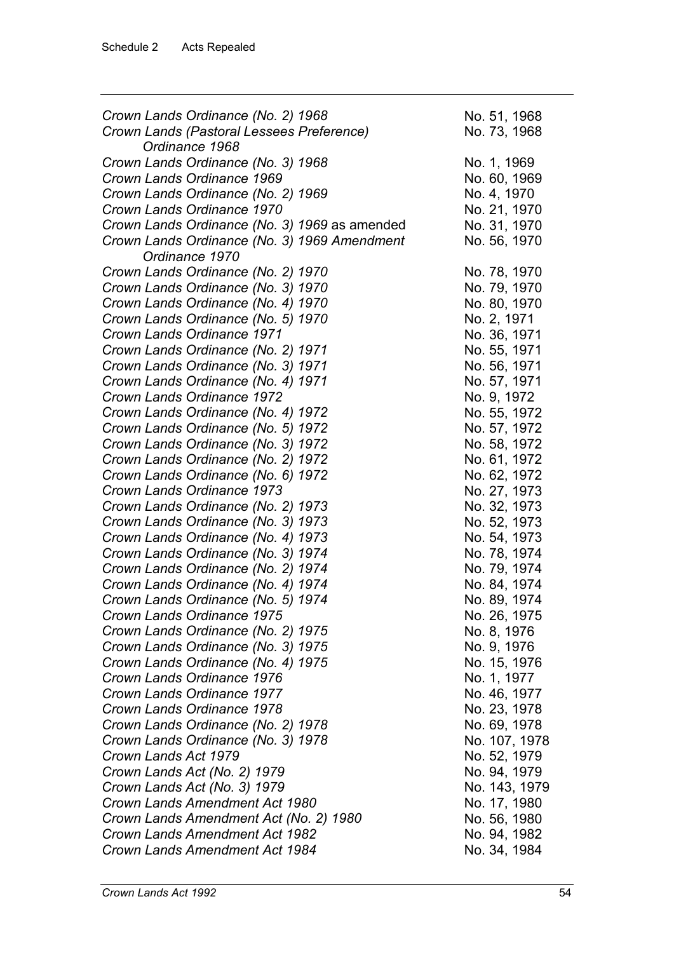| Crown Lands Ordinance (No. 2) 1968            | No. 51, 1968  |
|-----------------------------------------------|---------------|
| Crown Lands (Pastoral Lessees Preference)     | No. 73, 1968  |
| Ordinance 1968                                |               |
| Crown Lands Ordinance (No. 3) 1968            | No. 1, 1969   |
| Crown Lands Ordinance 1969                    | No. 60, 1969  |
| Crown Lands Ordinance (No. 2) 1969            | No. 4, 1970   |
| Crown Lands Ordinance 1970                    | No. 21, 1970  |
| Crown Lands Ordinance (No. 3) 1969 as amended | No. 31, 1970  |
| Crown Lands Ordinance (No. 3) 1969 Amendment  | No. 56, 1970  |
| Ordinance 1970                                |               |
| Crown Lands Ordinance (No. 2) 1970            | No. 78, 1970  |
| Crown Lands Ordinance (No. 3) 1970            | No. 79, 1970  |
| Crown Lands Ordinance (No. 4) 1970            | No. 80, 1970  |
| Crown Lands Ordinance (No. 5) 1970            | No. 2, 1971   |
| Crown Lands Ordinance 1971                    | No. 36, 1971  |
| Crown Lands Ordinance (No. 2) 1971            | No. 55, 1971  |
| Crown Lands Ordinance (No. 3) 1971            | No. 56, 1971  |
| Crown Lands Ordinance (No. 4) 1971            | No. 57, 1971  |
| Crown Lands Ordinance 1972                    | No. 9, 1972   |
|                                               | No. 55, 1972  |
| Crown Lands Ordinance (No. 4) 1972            |               |
| Crown Lands Ordinance (No. 5) 1972            | No. 57, 1972  |
| Crown Lands Ordinance (No. 3) 1972            | No. 58, 1972  |
| Crown Lands Ordinance (No. 2) 1972            | No. 61, 1972  |
| Crown Lands Ordinance (No. 6) 1972            | No. 62, 1972  |
| Crown Lands Ordinance 1973                    | No. 27, 1973  |
| Crown Lands Ordinance (No. 2) 1973            | No. 32, 1973  |
| Crown Lands Ordinance (No. 3) 1973            | No. 52, 1973  |
| Crown Lands Ordinance (No. 4) 1973            | No. 54, 1973  |
| Crown Lands Ordinance (No. 3) 1974            | No. 78, 1974  |
| Crown Lands Ordinance (No. 2) 1974            | No. 79, 1974  |
| Crown Lands Ordinance (No. 4) 1974            | No. 84, 1974  |
| Crown Lands Ordinance (No. 5) 1974            | No. 89, 1974  |
| Crown Lands Ordinance 1975                    | No. 26, 1975  |
| Crown Lands Ordinance (No. 2) 1975            | No. 8, 1976   |
| Crown Lands Ordinance (No. 3) 1975            | No. 9, 1976   |
| Crown Lands Ordinance (No. 4) 1975            | No. 15, 1976  |
| Crown Lands Ordinance 1976                    | No. 1, 1977   |
| Crown Lands Ordinance 1977                    | No. 46, 1977  |
| Crown Lands Ordinance 1978                    | No. 23, 1978  |
| Crown Lands Ordinance (No. 2) 1978            | No. 69, 1978  |
| Crown Lands Ordinance (No. 3) 1978            | No. 107, 1978 |
| Crown Lands Act 1979                          | No. 52, 1979  |
| Crown Lands Act (No. 2) 1979                  | No. 94, 1979  |
| Crown Lands Act (No. 3) 1979                  | No. 143, 1979 |
| Crown Lands Amendment Act 1980                | No. 17, 1980  |
| Crown Lands Amendment Act (No. 2) 1980        | No. 56, 1980  |
| Crown Lands Amendment Act 1982                | No. 94, 1982  |
| Crown Lands Amendment Act 1984                | No. 34, 1984  |
|                                               |               |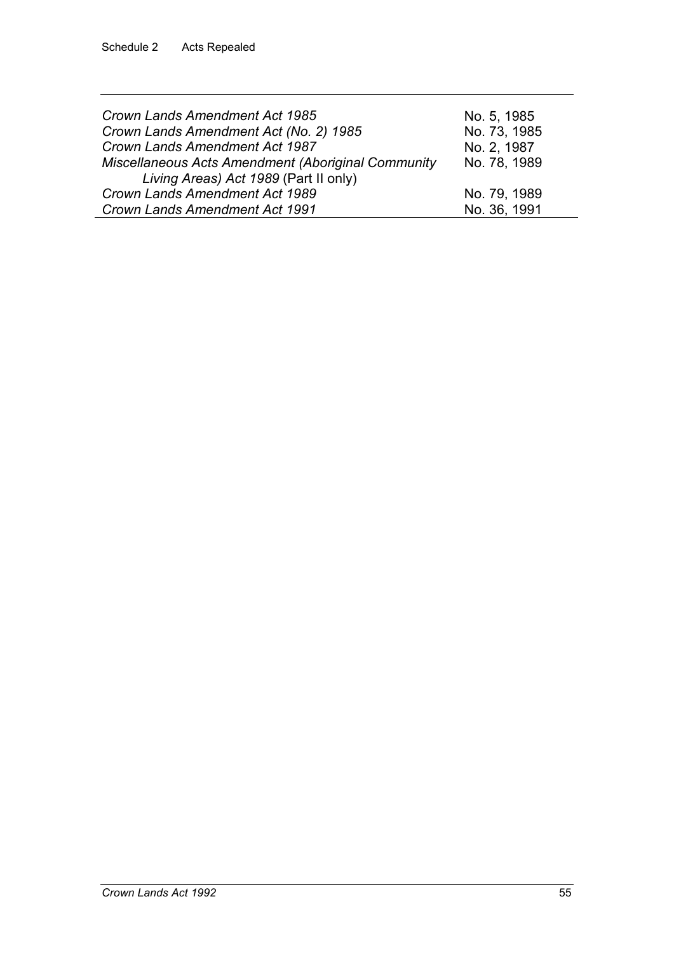| Crown Lands Amendment Act 1985<br>Crown Lands Amendment Act (No. 2) 1985                           | No. 5, 1985<br>No. 73, 1985 |
|----------------------------------------------------------------------------------------------------|-----------------------------|
| Crown Lands Amendment Act 1987                                                                     | No. 2, 1987                 |
| <b>Miscellaneous Acts Amendment (Aboriginal Community</b><br>Living Areas) Act 1989 (Part II only) | No. 78, 1989                |
| Crown Lands Amendment Act 1989                                                                     | No. 79, 1989                |
| Crown Lands Amendment Act 1991                                                                     | No. 36, 1991                |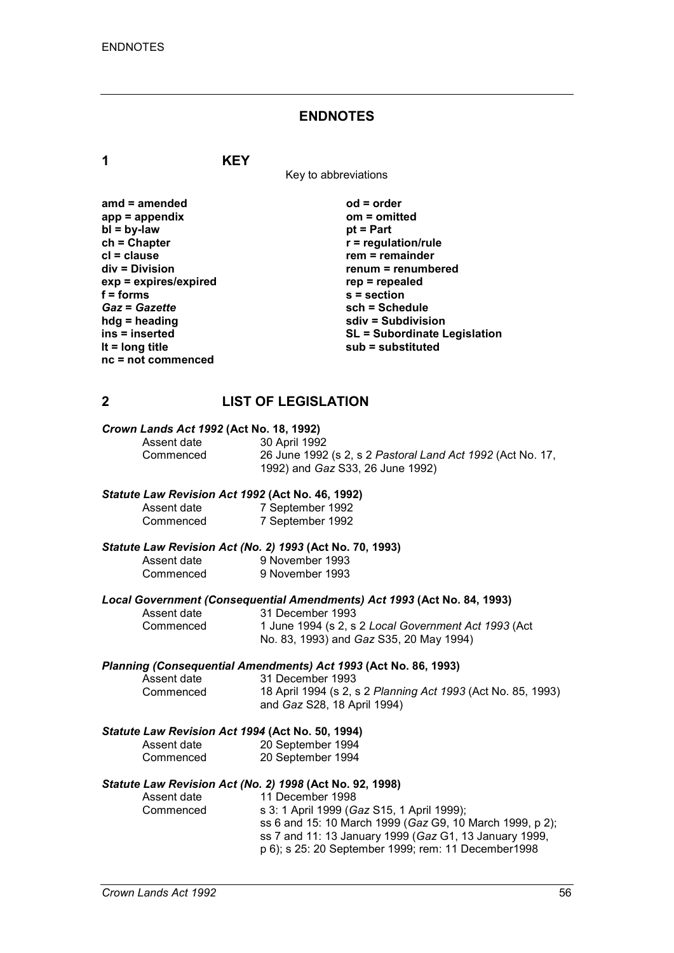#### **ENDNOTES**

**1 KEY**

Key to abbreviations

| amd = amended         |
|-----------------------|
| $app = appendix$      |
| $bl = by-law$         |
| $ch = Chapter$        |
| cl = clause           |
| div = Division        |
| exp = expires/expired |
| $f = forms$           |
| <b>Gaz = Gazette</b>  |
| hdg = heading         |
| ins = inserted        |
| It = $long$ title     |
| nc = not commenced    |
|                       |

**amd = amended od = order app = appendix om = omitted** *<u>pt</u>* **= Part**  $r$  = regulation/rule **crem** = remainder **div = Division renum = renumbered exp = expires/expired rep = repealed f = forms s = section** *Gaz* **=** *Gazette* **sch = Schedule hdg = heading sdiv = Subdivision ins = inserted SL = Subordinate Legislation lt = long title sub = substituted**

#### **2 LIST OF LEGISLATION**

# *Crown Lands Act 1992* **(Act No. 18, 1992)**

Assent date 30 April 1992<br>Commenced 26 June 1992 26 June 1992 (s 2, s 2 Pastoral Land Act 1992 (Act No. 17, 1992) and *Gaz* S33, 26 June 1992)

#### *Statute Law Revision Act 1992* **(Act No. 46, 1992)**

| Assent date | 7 September 1992 |
|-------------|------------------|
| Commenced   | 7 September 1992 |

# *Statute Law Revision Act (No. 2) 1993* **(Act No. 70, 1993)**

9 November 1993 Commenced 9 November 1993

# *Local Government (Consequential Amendments) Act 1993* **(Act No. 84, 1993)**

Assent date 31 December 1993<br>Commenced 1 June 1994 (s 2, s 1 June 1994 (s 2, s 2 *Local Government Act 1993* (Act No. 83, 1993) and *Gaz* S35, 20 May 1994)

# *Planning (Consequential Amendments) Act 1993* **(Act No. 86, 1993)**

Assent date 31 December 1993<br>Commenced 18 April 1994 (s 2, s Commenced 18 April 1994 (s 2, s 2 *Planning Act 1993* (Act No. 85, 1993) and *Gaz* S28, 18 April 1994)

#### *Statute Law Revision Act 1994* **(Act No. 50, 1994)**

| Assent date | 20 September 1994 |
|-------------|-------------------|
| Commenced   | 20 September 1994 |

#### *Statute Law Revision Act (No. 2) 1998* **(Act No. 92, 1998)**

| Assent date | 11 December 1998                                         |
|-------------|----------------------------------------------------------|
| Commenced   | s 3: 1 April 1999 (Gaz S15, 1 April 1999);               |
|             | ss 6 and 15: 10 March 1999 (Gaz G9, 10 March 1999, p 2); |
|             | ss 7 and 11: 13 January 1999 (Gaz G1, 13 January 1999,   |
|             | p 6); s 25: 20 September 1999; rem: 11 December 1998     |
|             |                                                          |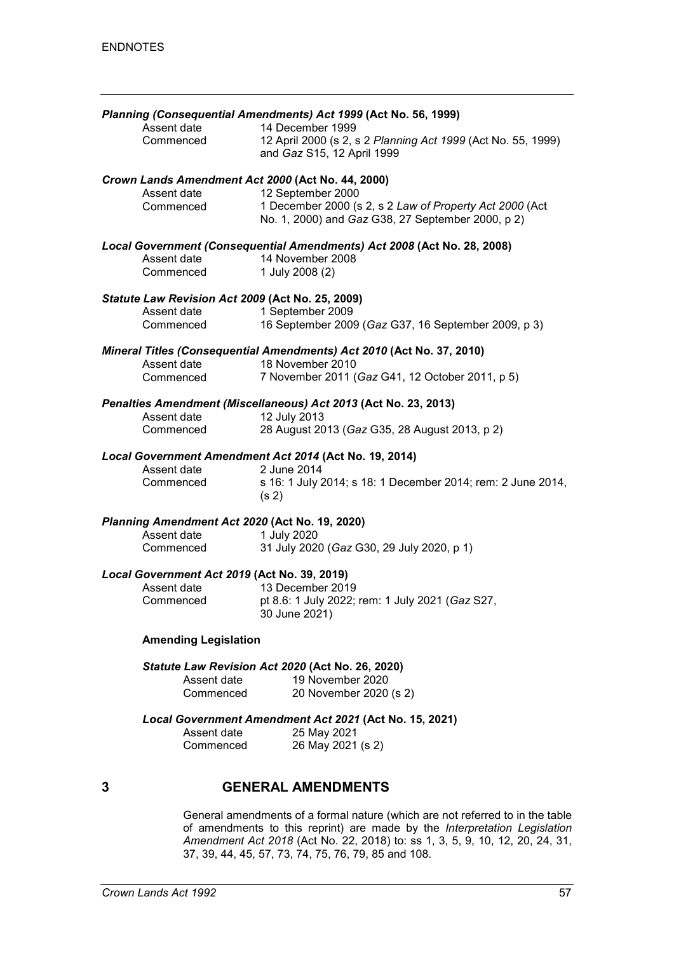|                                                  | Planning (Consequential Amendments) Act 1999 (Act No. 56, 1999)                  |
|--------------------------------------------------|----------------------------------------------------------------------------------|
| Assent date                                      | 14 December 1999                                                                 |
| Commenced                                        | 12 April 2000 (s 2, s 2 Planning Act 1999 (Act No. 55, 1999)                     |
|                                                  | and Gaz S15, 12 April 1999                                                       |
|                                                  | Crown Lands Amendment Act 2000 (Act No. 44, 2000)                                |
| Assent date                                      | 12 September 2000                                                                |
| Commenced                                        | 1 December 2000 (s 2, s 2 Law of Property Act 2000 (Act                          |
|                                                  | No. 1, 2000) and Gaz G38, 27 September 2000, p 2)                                |
|                                                  | Local Government (Consequential Amendments) Act 2008 (Act No. 28, 2008)          |
| Assent date                                      | 14 November 2008                                                                 |
| Commenced                                        | 1 July 2008 (2)                                                                  |
| Statute Law Revision Act 2009 (Act No. 25, 2009) |                                                                                  |
| Assent date                                      | 1 September 2009                                                                 |
| Commenced                                        | 16 September 2009 (Gaz G37, 16 September 2009, p 3)                              |
|                                                  | Mineral Titles (Consequential Amendments) Act 2010 (Act No. 37, 2010)            |
| Assent date                                      | 18 November 2010                                                                 |
| Commenced                                        | 7 November 2011 (Gaz G41, 12 October 2011, p 5)                                  |
|                                                  | Penalties Amendment (Miscellaneous) Act 2013 (Act No. 23, 2013)                  |
| Assent date                                      | 12 July 2013                                                                     |
| Commenced                                        | 28 August 2013 (Gaz G35, 28 August 2013, p 2)                                    |
|                                                  | Local Government Amendment Act 2014 (Act No. 19, 2014)                           |
| Assent date                                      | 2 June 2014                                                                      |
| Commenced                                        | s 16: 1 July 2014; s 18: 1 December 2014; rem: 2 June 2014,<br>(s <sub>2</sub> ) |
| Planning Amendment Act 2020 (Act No. 19, 2020)   |                                                                                  |
| Assent date                                      | 1 July 2020                                                                      |
| Commenced                                        | 31 July 2020 (Gaz G30, 29 July 2020, p 1)                                        |
| Local Government Act 2019 (Act No. 39, 2019)     |                                                                                  |
| Assent date                                      | 13 December 2019                                                                 |
| Commenced                                        | pt 8.6: 1 July 2022; rem: 1 July 2021 (Gaz S27,                                  |
|                                                  | 30 June 2021)                                                                    |
| <b>Amending Legislation</b>                      |                                                                                  |
|                                                  | Statute Law Revision Act 2020 (Act No. 26, 2020)                                 |
| Assent date                                      | 19 November 2020                                                                 |
| Commenced                                        | 20 November 2020 (s 2)                                                           |
|                                                  | Local Government Amendment Act 2021 (Act No. 15, 2021)                           |
| Assent date                                      | 25 May 2021                                                                      |
| Commenced                                        | 26 May 2021 (s 2)                                                                |
|                                                  |                                                                                  |
| 3                                                | <b>GENERAL AMENDMENTS</b>                                                        |

General amendments of a formal nature (which are not referred to in the table of amendments to this reprint) are made by the *Interpretation Legislation Amendment Act 2018* (Act No. 22, 2018) to: ss 1, 3, 5, 9, 10, 12, 20, 24, 31, 37, 39, 44, 45, 57, 73, 74, 75, 76, 79, 85 and 108.